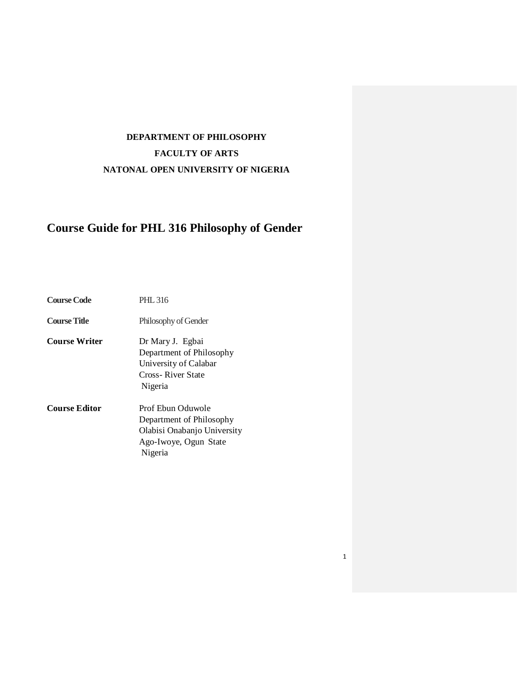# **DEPARTMENT OF PHILOSOPHY FACULTY OF ARTS NATONAL OPEN UNIVERSITY OF NIGERIA**

# **Course Guide for PHL 316 Philosophy of Gender**

| <b>Course Code</b>   | <b>PHL 316</b>                                                                                                   |
|----------------------|------------------------------------------------------------------------------------------------------------------|
| <b>Course Title</b>  | Philosophy of Gender                                                                                             |
| <b>Course Writer</b> | Dr Mary J. Egbai<br>Department of Philosophy<br>University of Calabar<br>Cross-River State<br>Nigeria            |
| <b>Course Editor</b> | Prof Ebun Oduwole<br>Department of Philosophy<br>Olabisi Onabanjo University<br>Ago-Iwoye, Ogun State<br>Nigeria |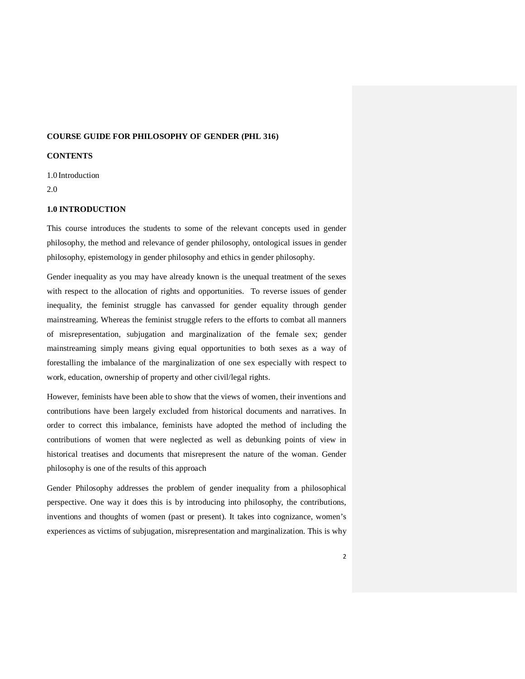# **COURSE GUIDE FOR PHILOSOPHY OF GENDER (PHL 316)**

# **CONTENTS**

1.0 Introduction

2.0

# **1.0 INTRODUCTION**

This course introduces the students to some of the relevant concepts used in gender philosophy, the method and relevance of gender philosophy, ontological issues in gender philosophy, epistemology in gender philosophy and ethics in gender philosophy.

Gender inequality as you may have already known is the unequal treatment of the sexes with respect to the allocation of rights and opportunities. To reverse issues of gender inequality, the feminist struggle has canvassed for gender equality through gender mainstreaming. Whereas the feminist struggle refers to the efforts to combat all manners of misrepresentation, subjugation and marginalization of the female sex; gender mainstreaming simply means giving equal opportunities to both sexes as a way of forestalling the imbalance of the marginalization of one sex especially with respect to work, education, ownership of property and other civil/legal rights.

However, feminists have been able to show that the views of women, their inventions and contributions have been largely excluded from historical documents and narratives. In order to correct this imbalance, feminists have adopted the method of including the contributions of women that were neglected as well as debunking points of view in historical treatises and documents that misrepresent the nature of the woman. Gender philosophy is one of the results of this approach

Gender Philosophy addresses the problem of gender inequality from a philosophical perspective. One way it does this is by introducing into philosophy, the contributions, inventions and thoughts of women (past or present). It takes into cognizance, women's experiences as victims of subjugation, misrepresentation and marginalization. This is why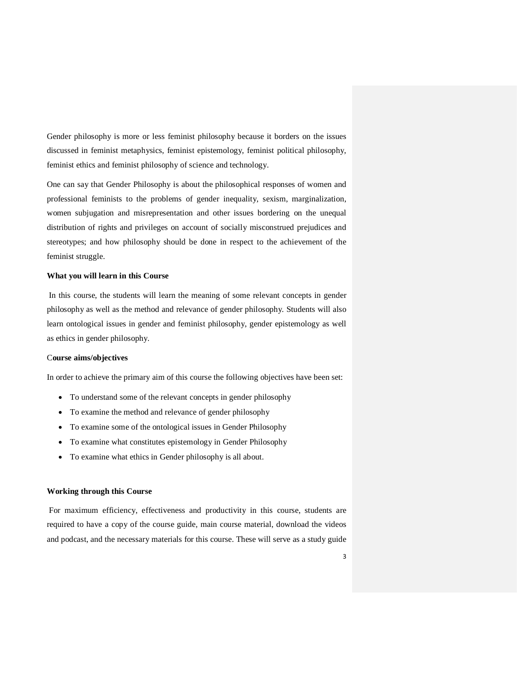Gender philosophy is more or less feminist philosophy because it borders on the issues discussed in feminist metaphysics, feminist epistemology, feminist political philosophy, feminist ethics and feminist philosophy of science and technology.

One can say that Gender Philosophy is about the philosophical responses of women and professional feminists to the problems of gender inequality, sexism, marginalization, women subjugation and misrepresentation and other issues bordering on the unequal distribution of rights and privileges on account of socially misconstrued prejudices and stereotypes; and how philosophy should be done in respect to the achievement of the feminist struggle.

### **What you will learn in this Course**

 In this course, the students will learn the meaning of some relevant concepts in gender philosophy as well as the method and relevance of gender philosophy. Students will also learn ontological issues in gender and feminist philosophy, gender epistemology as well as ethics in gender philosophy.

# C**ourse aims/objectives**

In order to achieve the primary aim of this course the following objectives have been set:

- To understand some of the relevant concepts in gender philosophy
- To examine the method and relevance of gender philosophy
- To examine some of the ontological issues in Gender Philosophy
- To examine what constitutes epistemology in Gender Philosophy
- To examine what ethics in Gender philosophy is all about.

### **Working through this Course**

 For maximum efficiency, effectiveness and productivity in this course, students are required to have a copy of the course guide, main course material, download the videos and podcast, and the necessary materials for this course. These will serve as a study guide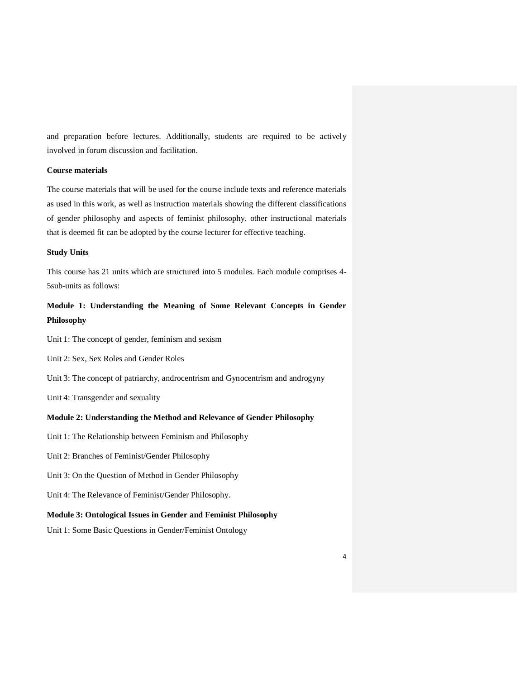and preparation before lectures. Additionally, students are required to be actively involved in forum discussion and facilitation.

# **Course materials**

The course materials that will be used for the course include texts and reference materials as used in this work, as well as instruction materials showing the different classifications of gender philosophy and aspects of feminist philosophy. other instructional materials that is deemed fit can be adopted by the course lecturer for effective teaching.

#### **Study Units**

This course has 21 units which are structured into 5 modules. Each module comprises 4- 5sub-units as follows:

# **Module 1: Understanding the Meaning of Some Relevant Concepts in Gender Philosophy**

Unit 1: The concept of gender, feminism and sexism

Unit 2: Sex, Sex Roles and Gender Roles

Unit 3: The concept of patriarchy, androcentrism and Gynocentrism and androgyny

Unit 4: Transgender and sexuality

# **Module 2: Understanding the Method and Relevance of Gender Philosophy**

- Unit 1: The Relationship between Feminism and Philosophy
- Unit 2: Branches of Feminist/Gender Philosophy
- Unit 3: On the Question of Method in Gender Philosophy
- Unit 4: The Relevance of Feminist/Gender Philosophy.

# **Module 3: Ontological Issues in Gender and Feminist Philosophy**

Unit 1: Some Basic Questions in Gender/Feminist Ontology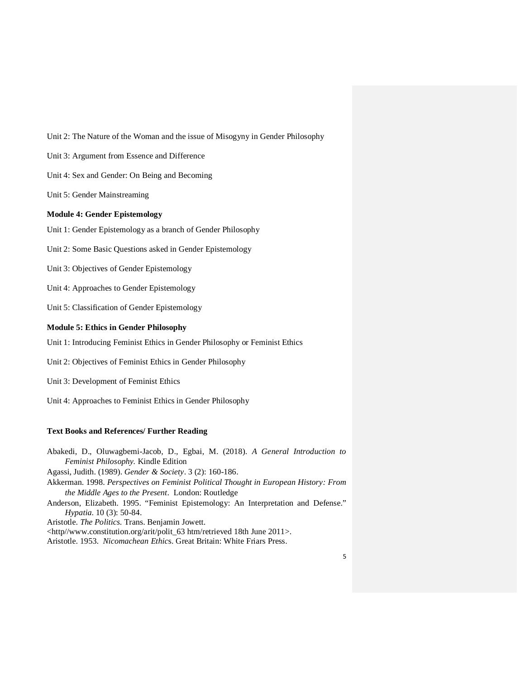Unit 2: The Nature of the Woman and the issue of Misogyny in Gender Philosophy

Unit 3: Argument from Essence and Difference

Unit 4: Sex and Gender: On Being and Becoming

Unit 5: Gender Mainstreaming

### **Module 4: Gender Epistemology**

Unit 1: Gender Epistemology as a branch of Gender Philosophy

Unit 2: Some Basic Questions asked in Gender Epistemology

Unit 3: Objectives of Gender Epistemology

Unit 4: Approaches to Gender Epistemology

Unit 5: Classification of Gender Epistemology

# **Module 5: Ethics in Gender Philosophy**

Unit 1: Introducing Feminist Ethics in Gender Philosophy or Feminist Ethics

Unit 2: Objectives of Feminist Ethics in Gender Philosophy

Unit 3: Development of Feminist Ethics

Unit 4: Approaches to Feminist Ethics in Gender Philosophy

### **Text Books and References/ Further Reading**

Abakedi, D., Oluwagbemi-Jacob, D., Egbai, M. (2018). *A General Introduction to Feminist Philosophy.* Kindle Edition

Agassi, Judith. (1989). *Gender & Society*. 3 (2): 160-186.

Akkerman. 1998. *Perspectives on Feminist Political Thought in European History: From the Middle Ages to the Present*. London: Routledge

Anderson, Elizabeth. 1995. "Feminist Epistemology: An Interpretation and Defense." *Hypatia*. 10 (3): 50-84.

Aristotle. *The Politics*. Trans. Benjamin Jowett.

<http//www.constitution.org/arit/polit\_63 htm/retrieved 18th June 2011>.

Aristotle. 1953. *Nicomachean Ethic*s. Great Britain: White Friars Press.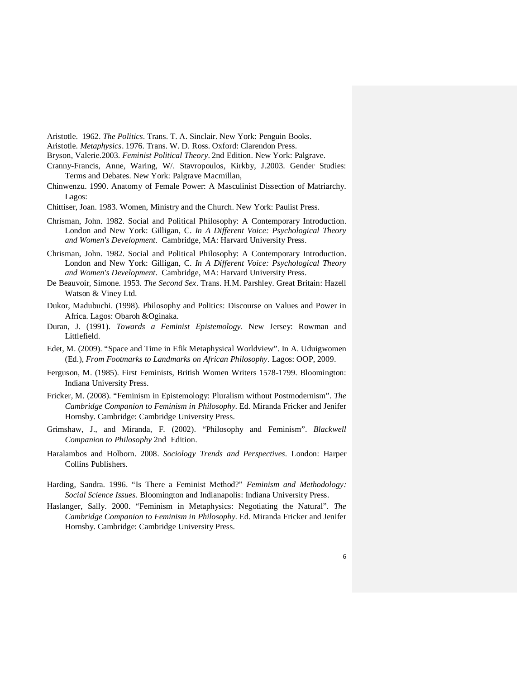Aristotle. 1962. *The Politics*. Trans. T. A. Sinclair. New York: Penguin Books.

Aristotle. *Metaphysics*. 1976. Trans. W. D. Ross. Oxford: Clarendon Press.

- Bryson, Valerie.2003. *Feminist Political Theory*. 2nd Edition. New York: Palgrave.
- Cranny-Francis, Anne, Waring, W/. Stavropoulos, Kirkby, J.2003. Gender Studies: Terms and Debates. New York: Palgrave Macmillan,
- Chinwenzu. 1990. Anatomy of Female Power: A Masculinist Dissection of Matriarchy. Lagos:
- Chittiser, Joan. 1983. Women, Ministry and the Church. New York: Paulist Press.
- Chrisman, John. 1982. Social and Political Philosophy: A Contemporary Introduction. London and New York: Gilligan, C. *In A Different Voice: Psychological Theory and Women's Development*. Cambridge, MA: Harvard University Press.
- Chrisman, John. 1982. Social and Political Philosophy: A Contemporary Introduction. London and New York: Gilligan, C. *In A Different Voice: Psychological Theory and Women's Development*. Cambridge, MA: Harvard University Press.
- De Beauvoir, Simone. 1953. *The Second Sex*. Trans. H.M. Parshley. Great Britain: Hazell Watson & Viney Ltd.
- Dukor, Madubuchi. (1998). Philosophy and Politics: Discourse on Values and Power in Africa. Lagos: Obaroh &Oginaka.
- Duran, J. (1991). *Towards a Feminist Epistemology*. New Jersey: Rowman and Littlefield.
- Edet, M. (2009). "Space and Time in Efik Metaphysical Worldview". In A. Uduigwomen (Ed.), *From Footmarks to Landmarks on African Philosophy*. Lagos: OOP, 2009.
- Ferguson, M. (1985). First Feminists, British Women Writers 1578-1799. Bloomington: Indiana University Press.
- Fricker, M. (2008). "Feminism in Epistemology: Pluralism without Postmodernism". *The Cambridge Companion to Feminism in Philosophy*. Ed. Miranda Fricker and Jenifer Hornsby. Cambridge: Cambridge University Press.
- Grimshaw, J., and Miranda, F. (2002). "Philosophy and Feminism". *Blackwell Companion to Philosophy* 2nd Edition.
- Haralambos and Holborn. 2008. *Sociology Trends and Perspectives*. London: Harper Collins Publishers.
- Harding, Sandra. 1996. "Is There a Feminist Method?" *Feminism and Methodology: Social Science Issues*. Bloomington and Indianapolis: Indiana University Press.
- Haslanger, Sally. 2000. "Feminism in Metaphysics: Negotiating the Natural". *The Cambridge Companion to Feminism in Philosophy*. Ed. Miranda Fricker and Jenifer Hornsby. Cambridge: Cambridge University Press.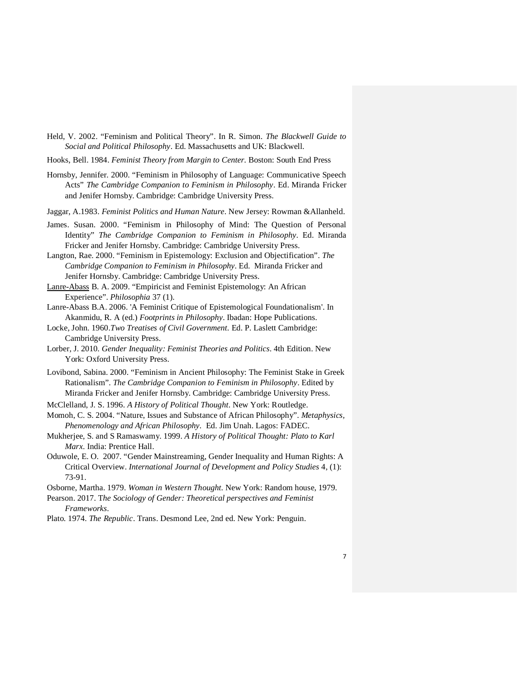- Held, V. 2002. "Feminism and Political Theory". In R. Simon. *The Blackwell Guide to Social and Political Philosophy*. Ed. Massachusetts and UK: Blackwell.
- Hooks, Bell. 1984. *Feminist Theory from Margin to Center.* Boston: South End Press
- Hornsby, Jennifer. 2000. "Feminism in Philosophy of Language: Communicative Speech Acts" *The Cambridge Companion to Feminism in Philosophy*. Ed. Miranda Fricker and Jenifer Hornsby. Cambridge: Cambridge University Press.
- Jaggar, A.1983. *Feminist Politics and Human Nature*. New Jersey: Rowman &Allanheld.
- James. Susan. 2000. "Feminism in Philosophy of Mind: The Question of Personal Identity" *The Cambridge Companion to Feminism in Philosophy*. Ed. Miranda Fricker and Jenifer Hornsby. Cambridge: Cambridge University Press.
- Langton, Rae. 2000. "Feminism in Epistemology: Exclusion and Objectification". *The Cambridge Companion to Feminism in Philosophy*. Ed. Miranda Fricker and Jenifer Hornsby. Cambridge: Cambridge University Press.
- Lanre-Abass B. A. 2009. "Empiricist and Feminist Epistemology: An African Experience". *Philosophia* 37 (1).
- Lanre-Abass B.A. 2006. 'A Feminist Critique of Epistemological Foundationalism'. In Akanmidu, R. A (ed.) *Footprints in Philosophy*. Ibadan: Hope Publications.
- Locke, John. 1960.*Two Treatises of Civil Government.* Ed. P. Laslett Cambridge: Cambridge University Press.
- Lorber, J. 2010. *Gender Inequality: Feminist Theories and Politics*. 4th Edition. New York: Oxford University Press.
- Lovibond, Sabina. 2000. "Feminism in Ancient Philosophy: The Feminist Stake in Greek Rationalism". *The Cambridge Companion to Feminism in Philosophy*. Edited by Miranda Fricker and Jenifer Hornsby. Cambridge: Cambridge University Press.
- McClelland, J. S. 1996. *A History of Political Thought*. New York: Routledge.
- Momoh, C. S. 2004. "Nature, Issues and Substance of African Philosophy". *Metaphysics, Phenomenology and African Philosophy*. Ed. Jim Unah. Lagos: FADEC.
- Mukherjee, S. and S Ramaswamy. 1999. *A History of Political Thought: Plato to Karl Marx*. India: Prentice Hall.
- Oduwole, E. O. 2007. "Gender Mainstreaming, Gender Inequality and Human Rights: A Critical Overview. *International Journal of Development and Policy Studies* 4, (1): 73-91.

Osborne, Martha. 1979. *Woman in Western Thought*. New York: Random house, 1979.

- Pearson. 2017. T*he Sociology of Gender: Theoretical perspectives and Feminist Frameworks*.
- Plato. 1974. *The Republic*. Trans. Desmond Lee, 2nd ed. New York: Penguin.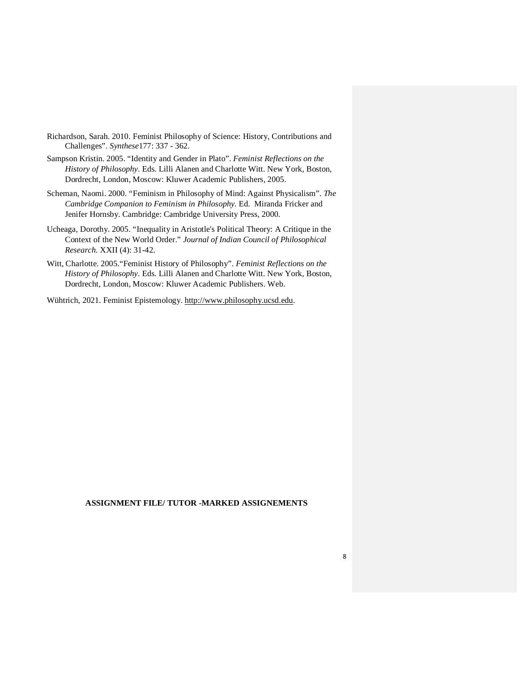- Richardson, Sarah. 2010. Feminist Philosophy of Science: History, Contributions and Challenges". *Synthese*177: 337 - 362.
- Sampson Kristin. 2005. "Identity and Gender in Plato". *Feminist Reflections on the History of Philosophy.* Eds. Lilli Alanen and Charlotte Witt. New York, Boston, Dordrecht, London, Moscow: Kluwer Academic Publishers, 2005.
- Scheman, Naomi. 2000. "Feminism in Philosophy of Mind: Against Physicalism". *The Cambridge Companion to Feminism in Philosophy.* Ed. Miranda Fricker and Jenifer Hornsby. Cambridge: Cambridge University Press, 2000.
- Ucheaga, Dorothy. 2005. "Inequality in Aristotle's Political Theory: A Critique in the Context of the New World Order." *Journal of Indian Council of Philosophical Research.* XXII (4): 31-42.
- Witt, Charlotte. 2005."Feminist History of Philosophy". *Feminist Reflections on the History of Philosophy.* Eds. Lilli Alanen and Charlotte Witt. New York, Boston, Dordrecht, London, Moscow: Kluwer Academic Publishers. Web.

Wühtrich, 2021. Feminist Epistemology. http://www.philosophy.ucsd.edu.

## **ASSIGNMENT FILE/ TUTOR -MARKED ASSIGNEMENTS**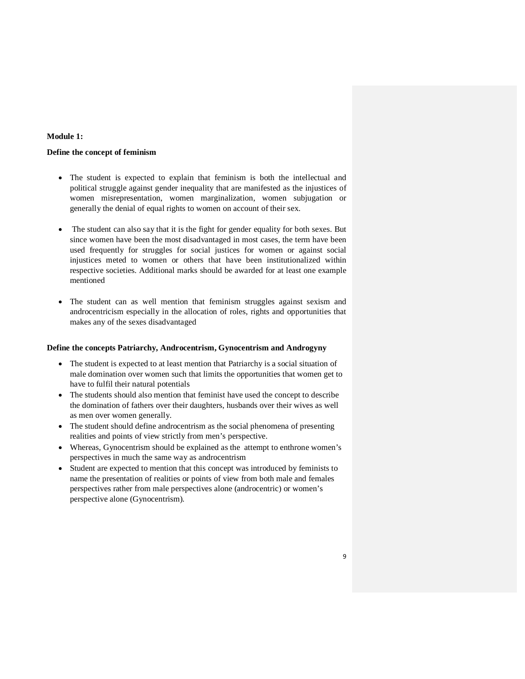# **Module 1:**

### **Define the concept of feminism**

- The student is expected to explain that feminism is both the intellectual and political struggle against gender inequality that are manifested as the injustices of women misrepresentation, women marginalization, women subjugation or generally the denial of equal rights to women on account of their sex.
- The student can also say that it is the fight for gender equality for both sexes. But since women have been the most disadvantaged in most cases, the term have been used frequently for struggles for social justices for women or against social injustices meted to women or others that have been institutionalized within respective societies. Additional marks should be awarded for at least one example mentioned
- The student can as well mention that feminism struggles against sexism and androcentricism especially in the allocation of roles, rights and opportunities that makes any of the sexes disadvantaged

### **Define the concepts Patriarchy, Androcentrism, Gynocentrism and Androgyny**

- The student is expected to at least mention that Patriarchy is a social situation of male domination over women such that limits the opportunities that women get to have to fulfil their natural potentials
- The students should also mention that feminist have used the concept to describe the domination of fathers over their daughters, husbands over their wives as well as men over women generally.
- The student should define androcentrism as the social phenomena of presenting realities and points of view strictly from men's perspective.
- Whereas, Gynocentrism should be explained as the attempt to enthrone women's perspectives in much the same way as androcentrism
- Student are expected to mention that this concept was introduced by feminists to name the presentation of realities or points of view from both male and females perspectives rather from male perspectives alone (androcentric) or women's perspective alone (Gynocentrism).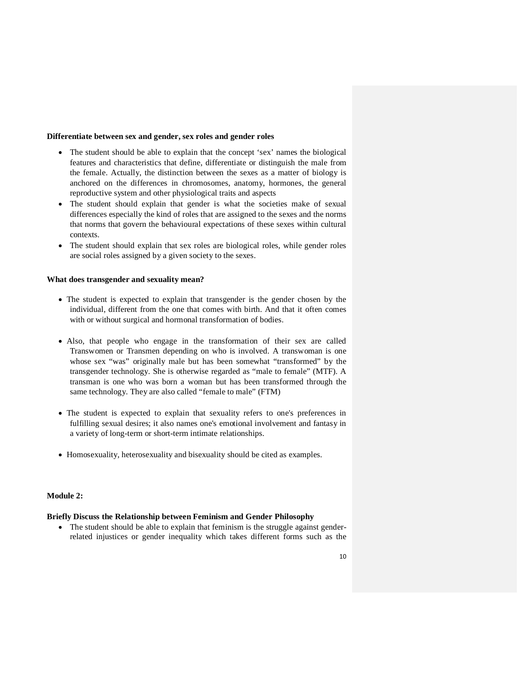# **Differentiate between sex and gender, sex roles and gender roles**

- The student should be able to explain that the concept 'sex' names the biological features and characteristics that define, differentiate or distinguish the male from the female. Actually, the distinction between the sexes as a matter of biology is anchored on the differences in chromosomes, anatomy, hormones, the general reproductive system and other physiological traits and aspects
- The student should explain that gender is what the societies make of sexual differences especially the kind of roles that are assigned to the sexes and the norms that norms that govern the behavioural expectations of these sexes within cultural contexts.
- The student should explain that sex roles are biological roles, while gender roles are social roles assigned by a given society to the sexes.

# **What does transgender and sexuality mean?**

- The student is expected to explain that transgender is the gender chosen by the individual, different from the one that comes with birth. And that it often comes with or without surgical and hormonal transformation of bodies.
- Also, that people who engage in the transformation of their sex are called Transwomen or Transmen depending on who is involved. A transwoman is one whose sex "was" originally male but has been somewhat "transformed" by the transgender technology. She is otherwise regarded as "male to female" (MTF). A transman is one who was born a woman but has been transformed through the same technology. They are also called "female to male" (FTM)
- The student is expected to explain that sexuality refers to one's preferences in fulfilling sexual desires; it also names one's emotional involvement and fantasy in a variety of long-term or short-term intimate relationships.
- Homosexuality, heterosexuality and bisexuality should be cited as examples.

# **Module 2:**

# **Briefly Discuss the Relationship between Feminism and Gender Philosophy**

• The student should be able to explain that feminism is the struggle against genderrelated injustices or gender inequality which takes different forms such as the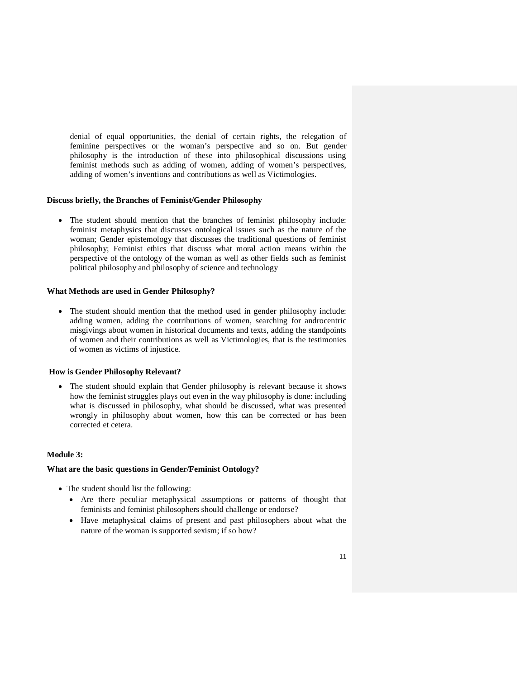denial of equal opportunities, the denial of certain rights, the relegation of feminine perspectives or the woman's perspective and so on. But gender philosophy is the introduction of these into philosophical discussions using feminist methods such as adding of women, adding of women's perspectives, adding of women's inventions and contributions as well as Victimologies.

### **Discuss briefly, the Branches of Feminist/Gender Philosophy**

 The student should mention that the branches of feminist philosophy include: feminist metaphysics that discusses ontological issues such as the nature of the woman; Gender epistemology that discusses the traditional questions of feminist philosophy; Feminist ethics that discuss what moral action means within the perspective of the ontology of the woman as well as other fields such as feminist political philosophy and philosophy of science and technology

### **What Methods are used in Gender Philosophy?**

 The student should mention that the method used in gender philosophy include: adding women, adding the contributions of women, searching for androcentric misgivings about women in historical documents and texts, adding the standpoints of women and their contributions as well as Victimologies, that is the testimonies of women as victims of injustice.

# **How is Gender Philosophy Relevant?**

 The student should explain that Gender philosophy is relevant because it shows how the feminist struggles plays out even in the way philosophy is done: including what is discussed in philosophy, what should be discussed, what was presented wrongly in philosophy about women, how this can be corrected or has been corrected et cetera.

### **Module 3:**

# **What are the basic questions in Gender/Feminist Ontology?**

- The student should list the following:
	- Are there peculiar metaphysical assumptions or patterns of thought that feminists and feminist philosophers should challenge or endorse?
	- Have metaphysical claims of present and past philosophers about what the nature of the woman is supported sexism; if so how?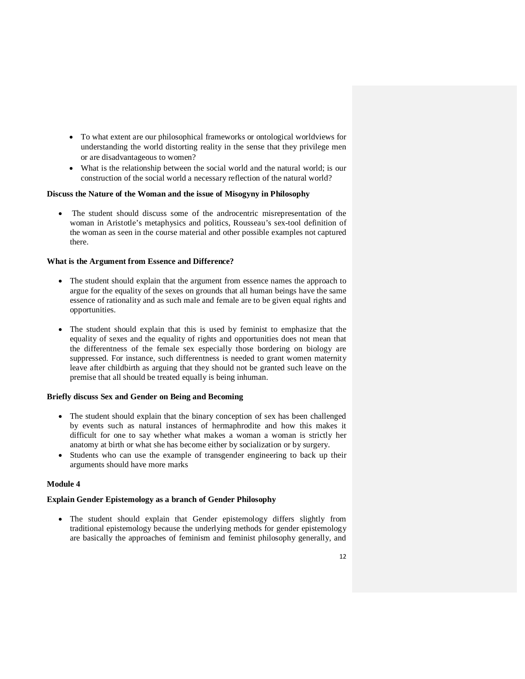- To what extent are our philosophical frameworks or ontological worldviews for understanding the world distorting reality in the sense that they privilege men or are disadvantageous to women?
- What is the relationship between the social world and the natural world; is our construction of the social world a necessary reflection of the natural world?

# **Discuss the Nature of the Woman and the issue of Misogyny in Philosophy**

 The student should discuss some of the androcentric misrepresentation of the woman in Aristotle's metaphysics and politics, Rousseau's sex-tool definition of the woman as seen in the course material and other possible examples not captured there.

### **What is the Argument from Essence and Difference?**

- The student should explain that the argument from essence names the approach to argue for the equality of the sexes on grounds that all human beings have the same essence of rationality and as such male and female are to be given equal rights and opportunities.
- The student should explain that this is used by feminist to emphasize that the equality of sexes and the equality of rights and opportunities does not mean that the differentness of the female sex especially those bordering on biology are suppressed. For instance, such differentness is needed to grant women maternity leave after childbirth as arguing that they should not be granted such leave on the premise that all should be treated equally is being inhuman.

# **Briefly discuss Sex and Gender on Being and Becoming**

- The student should explain that the binary conception of sex has been challenged by events such as natural instances of hermaphrodite and how this makes it difficult for one to say whether what makes a woman a woman is strictly her anatomy at birth or what she has become either by socialization or by surgery.
- Students who can use the example of transgender engineering to back up their arguments should have more marks

### **Module 4**

# **Explain Gender Epistemology as a branch of Gender Philosophy**

 The student should explain that Gender epistemology differs slightly from traditional epistemology because the underlying methods for gender epistemology are basically the approaches of feminism and feminist philosophy generally, and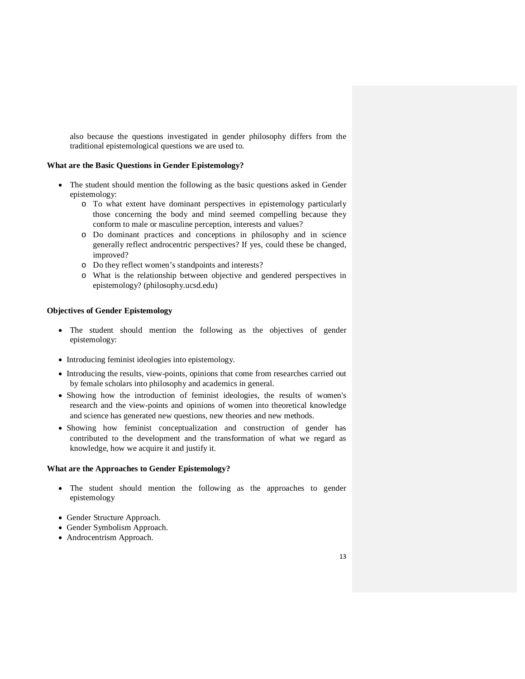also because the questions investigated in gender philosophy differs from the traditional epistemological questions we are used to.

### **What are the Basic Questions in Gender Epistemology?**

- The student should mention the following as the basic questions asked in Gender epistemology:
	- o To what extent have dominant perspectives in epistemology particularly those concerning the body and mind seemed compelling because they conform to male or masculine perception, interests and values?
	- o Do dominant practices and conceptions in philosophy and in science generally reflect androcentric perspectives? If yes, could these be changed, improved?
	- o Do they reflect women's standpoints and interests?
	- o What is the relationship between objective and gendered perspectives in epistemology? (philosophy.ucsd.edu)

# **Objectives of Gender Epistemology**

- The student should mention the following as the objectives of gender epistemology:
- Introducing feminist ideologies into epistemology.
- Introducing the results, view-points, opinions that come from researches carried out by female scholars into philosophy and academics in general.
- Showing how the introduction of feminist ideologies, the results of women's research and the view-points and opinions of women into theoretical knowledge and science has generated new questions, new theories and new methods.
- Showing how feminist conceptualization and construction of gender has contributed to the development and the transformation of what we regard as knowledge, how we acquire it and justify it.

### **What are the Approaches to Gender Epistemology?**

- The student should mention the following as the approaches to gender epistemology
- Gender Structure Approach.
- Gender Symbolism Approach.
- Androcentrism Approach.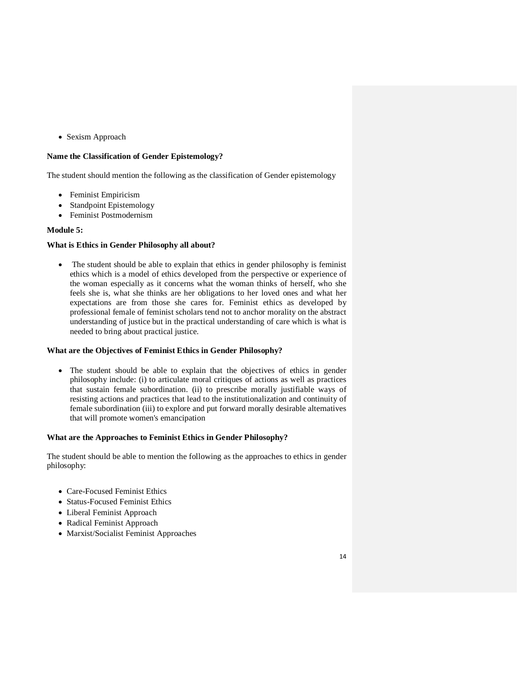Sexism Approach

# **Name the Classification of Gender Epistemology?**

The student should mention the following as the classification of Gender epistemology

- Feminist Empiricism
- Standpoint Epistemology
- Feminist Postmodernism

# **Module 5:**

# **What is Ethics in Gender Philosophy all about?**

 The student should be able to explain that ethics in gender philosophy is feminist ethics which is a model of ethics developed from the perspective or experience of the woman especially as it concerns what the woman thinks of herself, who she feels she is, what she thinks are her obligations to her loved ones and what her expectations are from those she cares for. Feminist ethics as developed by professional female of feminist scholars tend not to anchor morality on the abstract understanding of justice but in the practical understanding of care which is what is needed to bring about practical justice.

# **What are the Objectives of Feminist Ethics in Gender Philosophy?**

 The student should be able to explain that the objectives of ethics in gender philosophy include: (i) to articulate moral critiques of actions as well as practices that sustain female subordination. (ii) to prescribe morally justifiable ways of resisting actions and practices that lead to the institutionalization and continuity of female subordination (iii) to explore and put forward morally desirable alternatives that will promote women's emancipation

# **What are the Approaches to Feminist Ethics in Gender Philosophy?**

The student should be able to mention the following as the approaches to ethics in gender philosophy:

- Care-Focused Feminist Ethics
- Status-Focused Feminist Ethics
- Liberal Feminist Approach
- Radical Feminist Approach
- Marxist/Socialist Feminist Approaches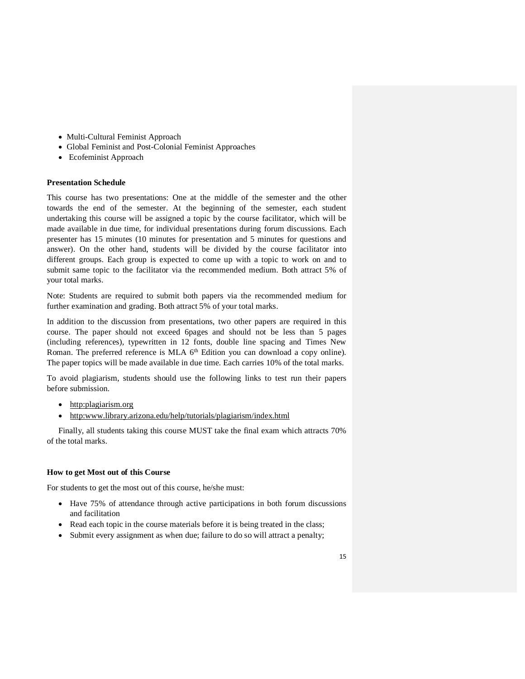- Multi-Cultural Feminist Approach
- Global Feminist and Post-Colonial Feminist Approaches
- Ecofeminist Approach

### **Presentation Schedule**

This course has two presentations: One at the middle of the semester and the other towards the end of the semester. At the beginning of the semester, each student undertaking this course will be assigned a topic by the course facilitator, which will be made available in due time, for individual presentations during forum discussions. Each presenter has 15 minutes (10 minutes for presentation and 5 minutes for questions and answer). On the other hand, students will be divided by the course facilitator into different groups. Each group is expected to come up with a topic to work on and to submit same topic to the facilitator via the recommended medium. Both attract 5% of your total marks.

Note: Students are required to submit both papers via the recommended medium for further examination and grading. Both attract 5% of your total marks.

In addition to the discussion from presentations, two other papers are required in this course. The paper should not exceed 6pages and should not be less than 5 pages (including references), typewritten in 12 fonts, double line spacing and Times New Roman. The preferred reference is MLA  $6<sup>th</sup>$  Edition you can download a copy online). The paper topics will be made available in due time. Each carries 10% of the total marks.

To avoid plagiarism, students should use the following links to test run their papers before submission.

- http:plagiarism.org
- http:www.library.arizona.edu/help/tutorials/plagiarism/index.html

Finally, all students taking this course MUST take the final exam which attracts 70% of the total marks.

### **How to get Most out of this Course**

For students to get the most out of this course, he/she must:

- Have 75% of attendance through active participations in both forum discussions and facilitation
- Read each topic in the course materials before it is being treated in the class;
- Submit every assignment as when due; failure to do so will attract a penalty;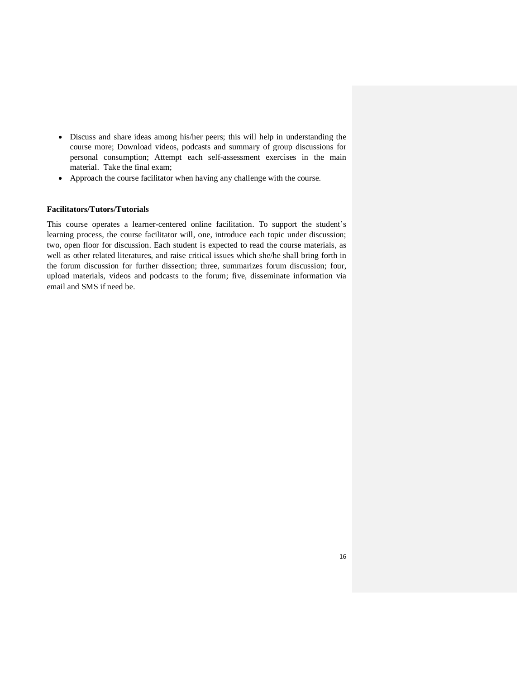- Discuss and share ideas among his/her peers; this will help in understanding the course more; Download videos, podcasts and summary of group discussions for personal consumption; Attempt each self-assessment exercises in the main material. Take the final exam;
- Approach the course facilitator when having any challenge with the course.

# **Facilitators/Tutors/Tutorials**

This course operates a learner-centered online facilitation. To support the student's learning process, the course facilitator will, one, introduce each topic under discussion; two, open floor for discussion. Each student is expected to read the course materials, as well as other related literatures, and raise critical issues which she/he shall bring forth in the forum discussion for further dissection; three, summarizes forum discussion; four, upload materials, videos and podcasts to the forum; five, disseminate information via email and SMS if need be.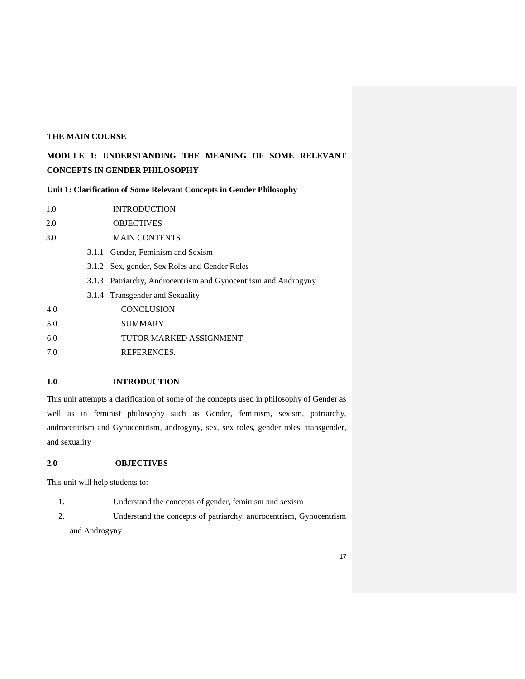# **THE MAIN COURSE**

# **MODULE 1: UNDERSTANDING THE MEANING OF SOME RELEVANT CONCEPTS IN GENDER PHILOSOPHY**

**Unit 1: Clarification of Some Relevant Concepts in Gender Philosophy** 

| 1.0 | <b>INTRODUCTION</b>                                            |
|-----|----------------------------------------------------------------|
| 2.0 | <b>OBJECTIVES</b>                                              |
| 3.0 | <b>MAIN CONTENTS</b>                                           |
|     | 3.1.1 Gender, Feminism and Sexism                              |
|     | 3.1.2 Sex, gender, Sex Roles and Gender Roles                  |
|     | 3.1.3 Patriarchy, Androcentrism and Gynocentrism and Androgyny |
|     | 3.1.4 Transgender and Sexuality                                |
| 4.0 | <b>CONCLUSION</b>                                              |
| 5.0 | <b>SUMMARY</b>                                                 |
| 6.0 | TUTOR MARKED ASSIGNMENT                                        |
| 7.0 | REFERENCES.                                                    |
|     |                                                                |

# **1.0 INTRODUCTION**

This unit attempts a clarification of some of the concepts used in philosophy of Gender as well as in feminist philosophy such as Gender, feminism, sexism, patriarchy, androcentrism and Gynocentrism, androgyny, sex, sex roles, gender roles, transgender, and sexuality

# **2.0 OBJECTIVES**

This unit will help students to:

- 1. Understand the concepts of gender, feminism and sexism
- 2. Understand the concepts of patriarchy, androcentrism, Gynocentrism and Androgyny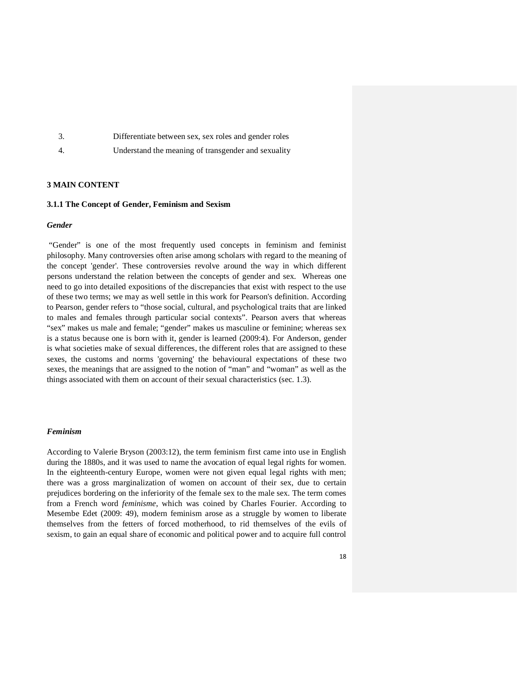|    | Differentiate between sex, sex roles and gender roles |
|----|-------------------------------------------------------|
| 4. | Understand the meaning of transgender and sexuality   |

# **3 MAIN CONTENT**

### **3.1.1 The Concept of Gender, Feminism and Sexism**

# *Gender*

 "Gender" is one of the most frequently used concepts in feminism and feminist philosophy. Many controversies often arise among scholars with regard to the meaning of the concept 'gender'. These controversies revolve around the way in which different persons understand the relation between the concepts of gender and sex. Whereas one need to go into detailed expositions of the discrepancies that exist with respect to the use of these two terms; we may as well settle in this work for Pearson's definition. According to Pearson, gender refers to "those social, cultural, and psychological traits that are linked to males and females through particular social contexts". Pearson avers that whereas "sex" makes us male and female; "gender" makes us masculine or feminine; whereas sex is a status because one is born with it, gender is learned (2009:4). For Anderson, gender is what societies make of sexual differences, the different roles that are assigned to these sexes, the customs and norms 'governing' the behavioural expectations of these two sexes, the meanings that are assigned to the notion of "man" and "woman" as well as the things associated with them on account of their sexual characteristics (sec. 1.3).

#### *Feminism*

According to Valerie Bryson (2003:12), the term feminism first came into use in English during the 1880s, and it was used to name the avocation of equal legal rights for women. In the eighteenth-century Europe, women were not given equal legal rights with men; there was a gross marginalization of women on account of their sex, due to certain prejudices bordering on the inferiority of the female sex to the male sex. The term comes from a French word *feminisme*, which was coined by Charles Fourier. According to Mesembe Edet (2009: 49), modern feminism arose as a struggle by women to liberate themselves from the fetters of forced motherhood, to rid themselves of the evils of sexism, to gain an equal share of economic and political power and to acquire full control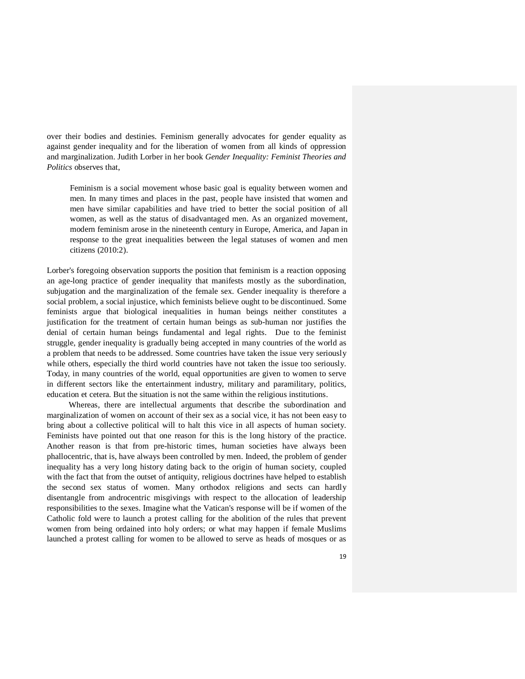over their bodies and destinies. Feminism generally advocates for gender equality as against gender inequality and for the liberation of women from all kinds of oppression and marginalization. Judith Lorber in her book *Gender Inequality: Feminist Theories and Politics* observes that,

Feminism is a social movement whose basic goal is equality between women and men. In many times and places in the past, people have insisted that women and men have similar capabilities and have tried to better the social position of all women, as well as the status of disadvantaged men. As an organized movement, modern feminism arose in the nineteenth century in Europe, America, and Japan in response to the great inequalities between the legal statuses of women and men citizens (2010:2).

Lorber's foregoing observation supports the position that feminism is a reaction opposing an age-long practice of gender inequality that manifests mostly as the subordination, subjugation and the marginalization of the female sex. Gender inequality is therefore a social problem, a social injustice, which feminists believe ought to be discontinued. Some feminists argue that biological inequalities in human beings neither constitutes a justification for the treatment of certain human beings as sub-human nor justifies the denial of certain human beings fundamental and legal rights. Due to the feminist struggle, gender inequality is gradually being accepted in many countries of the world as a problem that needs to be addressed. Some countries have taken the issue very seriously while others, especially the third world countries have not taken the issue too seriously. Today, in many countries of the world, equal opportunities are given to women to serve in different sectors like the entertainment industry, military and paramilitary, politics, education et cetera. But the situation is not the same within the religious institutions.

 Whereas, there are intellectual arguments that describe the subordination and marginalization of women on account of their sex as a social vice, it has not been easy to bring about a collective political will to halt this vice in all aspects of human society. Feminists have pointed out that one reason for this is the long history of the practice. Another reason is that from pre-historic times, human societies have always been phallocentric, that is, have always been controlled by men. Indeed, the problem of gender inequality has a very long history dating back to the origin of human society, coupled with the fact that from the outset of antiquity, religious doctrines have helped to establish the second sex status of women. Many orthodox religions and sects can hardly disentangle from androcentric misgivings with respect to the allocation of leadership responsibilities to the sexes. Imagine what the Vatican's response will be if women of the Catholic fold were to launch a protest calling for the abolition of the rules that prevent women from being ordained into holy orders; or what may happen if female Muslims launched a protest calling for women to be allowed to serve as heads of mosques or as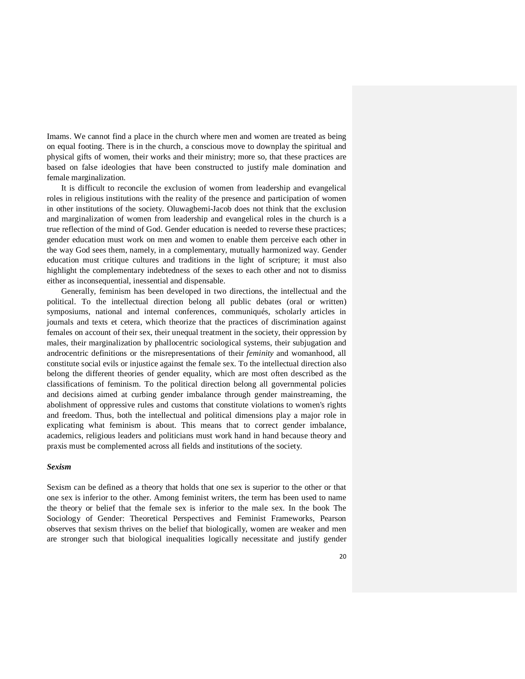Imams. We cannot find a place in the church where men and women are treated as being on equal footing. There is in the church, a conscious move to downplay the spiritual and physical gifts of women, their works and their ministry; more so, that these practices are based on false ideologies that have been constructed to justify male domination and female marginalization.

 It is difficult to reconcile the exclusion of women from leadership and evangelical roles in religious institutions with the reality of the presence and participation of women in other institutions of the society. Oluwagbemi-Jacob does not think that the exclusion and marginalization of women from leadership and evangelical roles in the church is a true reflection of the mind of God. Gender education is needed to reverse these practices; gender education must work on men and women to enable them perceive each other in the way God sees them, namely, in a complementary, mutually harmonized way. Gender education must critique cultures and traditions in the light of scripture; it must also highlight the complementary indebtedness of the sexes to each other and not to dismiss either as inconsequential, inessential and dispensable.

 Generally, feminism has been developed in two directions, the intellectual and the political. To the intellectual direction belong all public debates (oral or written) symposiums, national and internal conferences, communiqués, scholarly articles in journals and texts et cetera, which theorize that the practices of discrimination against females on account of their sex, their unequal treatment in the society, their oppression by males, their marginalization by phallocentric sociological systems, their subjugation and androcentric definitions or the misrepresentations of their *feminity* and womanhood, all constitute social evils or injustice against the female sex. To the intellectual direction also belong the different theories of gender equality, which are most often described as the classifications of feminism. To the political direction belong all governmental policies and decisions aimed at curbing gender imbalance through gender mainstreaming, the abolishment of oppressive rules and customs that constitute violations to women's rights and freedom. Thus, both the intellectual and political dimensions play a major role in explicating what feminism is about. This means that to correct gender imbalance, academics, religious leaders and politicians must work hand in hand because theory and praxis must be complemented across all fields and institutions of the society.

### *Sexism*

Sexism can be defined as a theory that holds that one sex is superior to the other or that one sex is inferior to the other. Among feminist writers, the term has been used to name the theory or belief that the female sex is inferior to the male sex. In the book The Sociology of Gender: Theoretical Perspectives and Feminist Frameworks, Pearson observes that sexism thrives on the belief that biologically, women are weaker and men are stronger such that biological inequalities logically necessitate and justify gender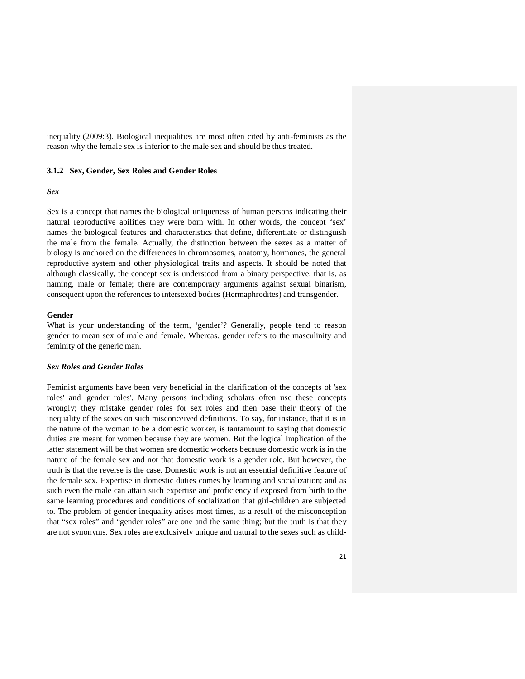inequality (2009:3). Biological inequalities are most often cited by anti-feminists as the reason why the female sex is inferior to the male sex and should be thus treated.

### **3.1.2 Sex, Gender, Sex Roles and Gender Roles**

#### *Sex*

Sex is a concept that names the biological uniqueness of human persons indicating their natural reproductive abilities they were born with. In other words, the concept 'sex' names the biological features and characteristics that define, differentiate or distinguish the male from the female. Actually, the distinction between the sexes as a matter of biology is anchored on the differences in chromosomes, anatomy, hormones, the general reproductive system and other physiological traits and aspects. It should be noted that although classically, the concept sex is understood from a binary perspective, that is, as naming, male or female; there are contemporary arguments against sexual binarism, consequent upon the references to intersexed bodies (Hermaphrodites) and transgender.

# **Gender**

What is your understanding of the term, 'gender'? Generally, people tend to reason gender to mean sex of male and female. Whereas, gender refers to the masculinity and feminity of the generic man.

# *Sex Roles and Gender Roles*

Feminist arguments have been very beneficial in the clarification of the concepts of 'sex roles' and 'gender roles'. Many persons including scholars often use these concepts wrongly; they mistake gender roles for sex roles and then base their theory of the inequality of the sexes on such misconceived definitions. To say, for instance, that it is in the nature of the woman to be a domestic worker, is tantamount to saying that domestic duties are meant for women because they are women. But the logical implication of the latter statement will be that women are domestic workers because domestic work is in the nature of the female sex and not that domestic work is a gender role. But however, the truth is that the reverse is the case. Domestic work is not an essential definitive feature of the female sex. Expertise in domestic duties comes by learning and socialization; and as such even the male can attain such expertise and proficiency if exposed from birth to the same learning procedures and conditions of socialization that girl-children are subjected to. The problem of gender inequality arises most times, as a result of the misconception that "sex roles" and "gender roles" are one and the same thing; but the truth is that they are not synonyms. Sex roles are exclusively unique and natural to the sexes such as child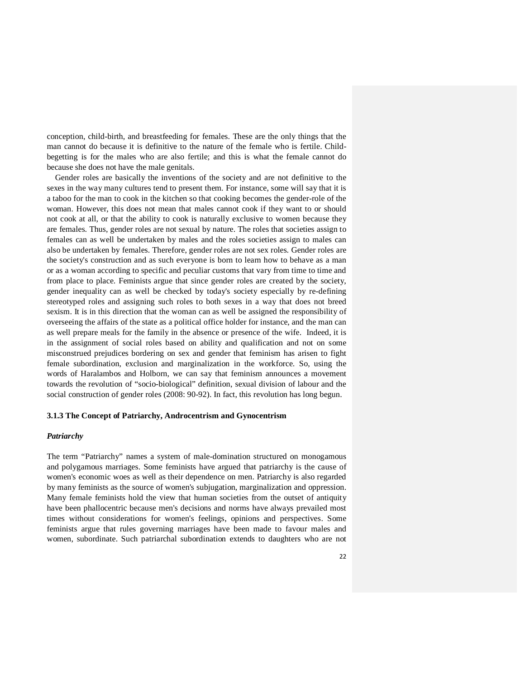conception, child-birth, and breastfeeding for females. These are the only things that the man cannot do because it is definitive to the nature of the female who is fertile. Childbegetting is for the males who are also fertile; and this is what the female cannot do because she does not have the male genitals.

 Gender roles are basically the inventions of the society and are not definitive to the sexes in the way many cultures tend to present them. For instance, some will say that it is a taboo for the man to cook in the kitchen so that cooking becomes the gender-role of the woman. However, this does not mean that males cannot cook if they want to or should not cook at all, or that the ability to cook is naturally exclusive to women because they are females. Thus, gender roles are not sexual by nature. The roles that societies assign to females can as well be undertaken by males and the roles societies assign to males can also be undertaken by females. Therefore, gender roles are not sex roles. Gender roles are the society's construction and as such everyone is born to learn how to behave as a man or as a woman according to specific and peculiar customs that vary from time to time and from place to place. Feminists argue that since gender roles are created by the society, gender inequality can as well be checked by today's society especially by re-defining stereotyped roles and assigning such roles to both sexes in a way that does not breed sexism. It is in this direction that the woman can as well be assigned the responsibility of overseeing the affairs of the state as a political office holder for instance, and the man can as well prepare meals for the family in the absence or presence of the wife. Indeed, it is in the assignment of social roles based on ability and qualification and not on some misconstrued prejudices bordering on sex and gender that feminism has arisen to fight female subordination, exclusion and marginalization in the workforce. So, using the words of Haralambos and Holborn, we can say that feminism announces a movement towards the revolution of "socio-biological" definition, sexual division of labour and the social construction of gender roles (2008: 90-92). In fact, this revolution has long begun.

#### **3.1.3 The Concept of Patriarchy, Androcentrism and Gynocentrism**

#### *Patriarchy*

The term "Patriarchy" names a system of male-domination structured on monogamous and polygamous marriages. Some feminists have argued that patriarchy is the cause of women's economic woes as well as their dependence on men. Patriarchy is also regarded by many feminists as the source of women's subjugation, marginalization and oppression. Many female feminists hold the view that human societies from the outset of antiquity have been phallocentric because men's decisions and norms have always prevailed most times without considerations for women's feelings, opinions and perspectives. Some feminists argue that rules governing marriages have been made to favour males and women, subordinate. Such patriarchal subordination extends to daughters who are not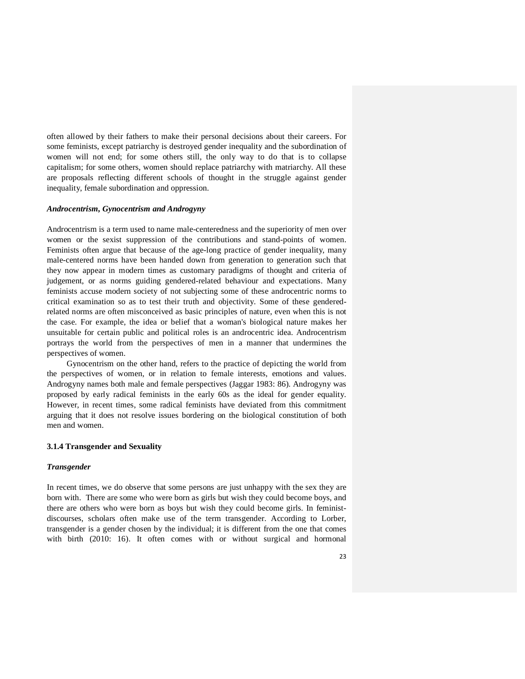often allowed by their fathers to make their personal decisions about their careers. For some feminists, except patriarchy is destroyed gender inequality and the subordination of women will not end; for some others still, the only way to do that is to collapse capitalism; for some others, women should replace patriarchy with matriarchy. All these are proposals reflecting different schools of thought in the struggle against gender inequality, female subordination and oppression.

# *Androcentrism, Gynocentrism and Androgyny*

Androcentrism is a term used to name male-centeredness and the superiority of men over women or the sexist suppression of the contributions and stand-points of women. Feminists often argue that because of the age-long practice of gender inequality, many male-centered norms have been handed down from generation to generation such that they now appear in modern times as customary paradigms of thought and criteria of judgement, or as norms guiding gendered-related behaviour and expectations. Many feminists accuse modern society of not subjecting some of these androcentric norms to critical examination so as to test their truth and objectivity. Some of these genderedrelated norms are often misconceived as basic principles of nature, even when this is not the case. For example, the idea or belief that a woman's biological nature makes her unsuitable for certain public and political roles is an androcentric idea. Androcentrism portrays the world from the perspectives of men in a manner that undermines the perspectives of women.

 Gynocentrism on the other hand, refers to the practice of depicting the world from the perspectives of women, or in relation to female interests, emotions and values. Androgyny names both male and female perspectives (Jaggar 1983: 86). Androgyny was proposed by early radical feminists in the early 60s as the ideal for gender equality. However, in recent times, some radical feminists have deviated from this commitment arguing that it does not resolve issues bordering on the biological constitution of both men and women.

### **3.1.4 Transgender and Sexuality**

#### *Transgender*

In recent times, we do observe that some persons are just unhappy with the sex they are born with. There are some who were born as girls but wish they could become boys, and there are others who were born as boys but wish they could become girls. In feministdiscourses, scholars often make use of the term transgender. According to Lorber, transgender is a gender chosen by the individual; it is different from the one that comes with birth (2010: 16). It often comes with or without surgical and hormonal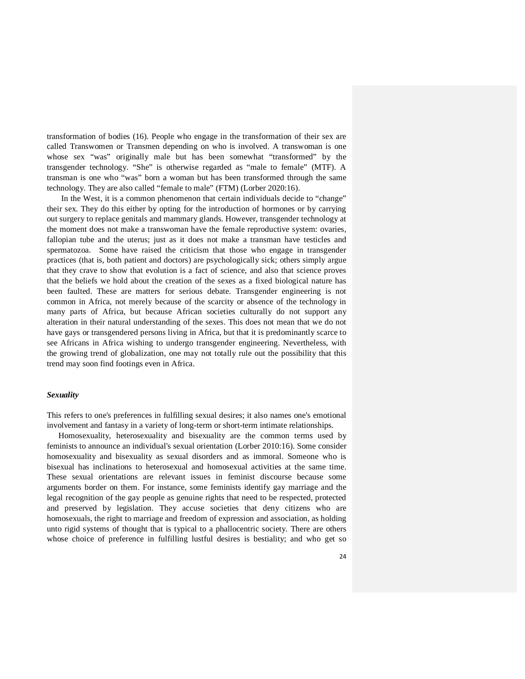transformation of bodies (16). People who engage in the transformation of their sex are called Transwomen or Transmen depending on who is involved. A transwoman is one whose sex "was" originally male but has been somewhat "transformed" by the transgender technology. "She" is otherwise regarded as "male to female" (MTF). A transman is one who "was" born a woman but has been transformed through the same technology. They are also called "female to male" (FTM) (Lorber 2020:16).

 In the West, it is a common phenomenon that certain individuals decide to "change" their sex. They do this either by opting for the introduction of hormones or by carrying out surgery to replace genitals and mammary glands. However, transgender technology at the moment does not make a transwoman have the female reproductive system: ovaries, fallopian tube and the uterus; just as it does not make a transman have testicles and spermatozoa. Some have raised the criticism that those who engage in transgender practices (that is, both patient and doctors) are psychologically sick; others simply argue that they crave to show that evolution is a fact of science, and also that science proves that the beliefs we hold about the creation of the sexes as a fixed biological nature has been faulted. These are matters for serious debate. Transgender engineering is not common in Africa, not merely because of the scarcity or absence of the technology in many parts of Africa, but because African societies culturally do not support any alteration in their natural understanding of the sexes. This does not mean that we do not have gays or transgendered persons living in Africa, but that it is predominantly scarce to see Africans in Africa wishing to undergo transgender engineering. Nevertheless, with the growing trend of globalization, one may not totally rule out the possibility that this trend may soon find footings even in Africa.

# *Sexuality*

This refers to one's preferences in fulfilling sexual desires; it also names one's emotional involvement and fantasy in a variety of long-term or short-term intimate relationships.

 Homosexuality, heterosexuality and bisexuality are the common terms used by feminists to announce an individual's sexual orientation (Lorber 2010:16). Some consider homosexuality and bisexuality as sexual disorders and as immoral. Someone who is bisexual has inclinations to heterosexual and homosexual activities at the same time. These sexual orientations are relevant issues in feminist discourse because some arguments border on them. For instance, some feminists identify gay marriage and the legal recognition of the gay people as genuine rights that need to be respected, protected and preserved by legislation. They accuse societies that deny citizens who are homosexuals, the right to marriage and freedom of expression and association, as holding unto rigid systems of thought that is typical to a phallocentric society. There are others whose choice of preference in fulfilling lustful desires is bestiality; and who get so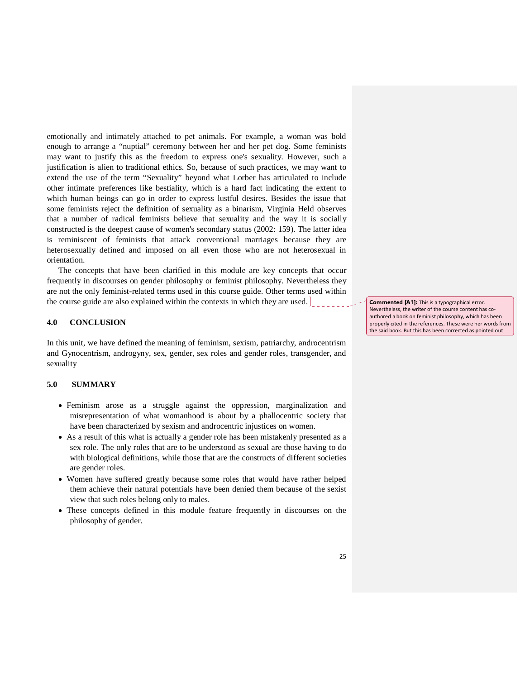emotionally and intimately attached to pet animals. For example, a woman was bold enough to arrange a "nuptial" ceremony between her and her pet dog. Some feminists may want to justify this as the freedom to express one's sexuality. However, such a justification is alien to traditional ethics. So, because of such practices, we may want to extend the use of the term "Sexuality" beyond what Lorber has articulated to include other intimate preferences like bestiality, which is a hard fact indicating the extent to which human beings can go in order to express lustful desires. Besides the issue that some feminists reject the definition of sexuality as a binarism, Virginia Held observes that a number of radical feminists believe that sexuality and the way it is socially constructed is the deepest cause of women's secondary status (2002: 159). The latter idea is reminiscent of feminists that attack conventional marriages because they are heterosexually defined and imposed on all even those who are not heterosexual in orientation.

 The concepts that have been clarified in this module are key concepts that occur frequently in discourses on gender philosophy or feminist philosophy. Nevertheless they are not the only feminist-related terms used in this course guide. Other terms used within the course guide are also explained within the contexts in which they are used.

### **4.0 CONCLUSION**

In this unit, we have defined the meaning of feminism, sexism, patriarchy, androcentrism and Gynocentrism, androgyny, sex, gender, sex roles and gender roles, transgender, and sexuality

#### **5.0 SUMMARY**

- Feminism arose as a struggle against the oppression, marginalization and misrepresentation of what womanhood is about by a phallocentric society that have been characterized by sexism and androcentric injustices on women.
- As a result of this what is actually a gender role has been mistakenly presented as a sex role. The only roles that are to be understood as sexual are those having to do with biological definitions, while those that are the constructs of different societies are gender roles.
- Women have suffered greatly because some roles that would have rather helped them achieve their natural potentials have been denied them because of the sexist view that such roles belong only to males.
- These concepts defined in this module feature frequently in discourses on the philosophy of gender.

Commented [A1]: This is a typographical error. Nevertheless, the writer of the course content has coauthored a book on feminist philosophy, which has been properly cited in the references. These were her words from the said book. But this has been corrected as pointed out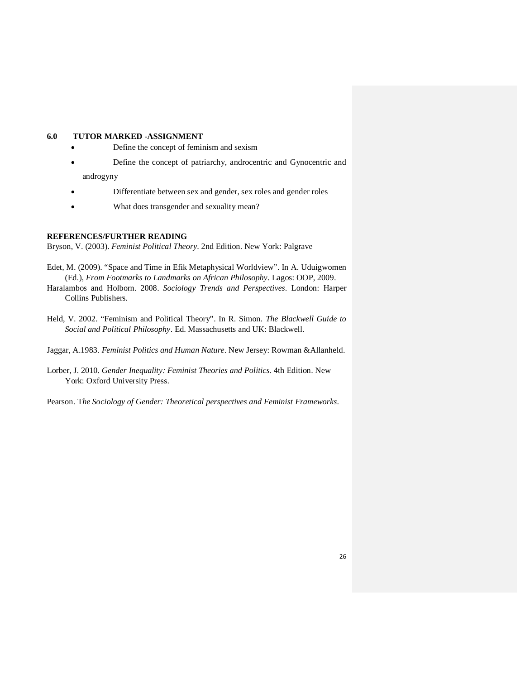# **6.0 TUTOR MARKED -ASSIGNMENT**

- Define the concept of feminism and sexism
- Define the concept of patriarchy, androcentric and Gynocentric and androgyny
- Differentiate between sex and gender, sex roles and gender roles
- What does transgender and sexuality mean?

# **REFERENCES/FURTHER READING**

Bryson, V. (2003). *Feminist Political Theory*. 2nd Edition. New York: Palgrave

- Edet, M. (2009). "Space and Time in Efik Metaphysical Worldview". In A. Uduigwomen (Ed.), *From Footmarks to Landmarks on African Philosophy*. Lagos: OOP, 2009.
- Haralambos and Holborn. 2008. *Sociology Trends and Perspectives*. London: Harper Collins Publishers.
- Held, V. 2002. "Feminism and Political Theory". In R. Simon. *The Blackwell Guide to Social and Political Philosophy*. Ed. Massachusetts and UK: Blackwell.
- Jaggar, A.1983. *Feminist Politics and Human Nature*. New Jersey: Rowman &Allanheld.
- Lorber, J. 2010. *Gender Inequality: Feminist Theories and Politics*. 4th Edition. New York: Oxford University Press.

Pearson. T*he Sociology of Gender: Theoretical perspectives and Feminist Frameworks*.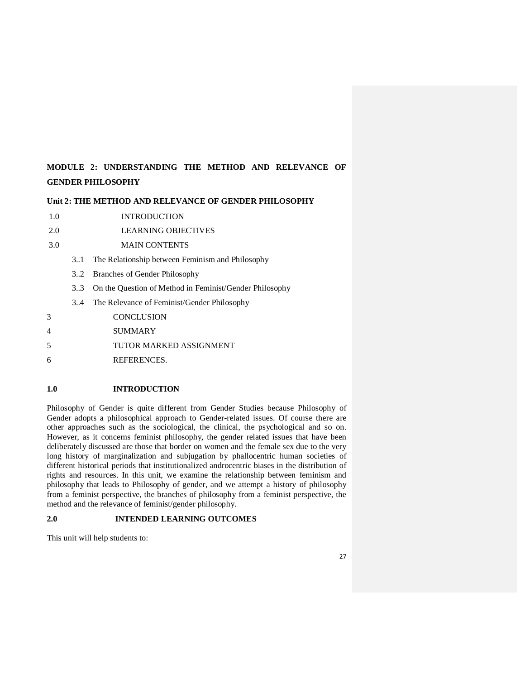# **MODULE 2: UNDERSTANDING THE METHOD AND RELEVANCE OF GENDER PHILOSOPHY**

## **Unit 2: THE METHOD AND RELEVANCE OF GENDER PHILOSOPHY**

- 1.0 INTRODUCTION
- 2.0 LEARNING OBJECTIVES
- 3.0 MAIN CONTENTS
	- 3..1 The Relationship between Feminism and Philosophy
	- 3..2 Branches of Gender Philosophy
	- 3..3 On the Question of Method in Feminist/Gender Philosophy
	- 3..4 The Relevance of Feminist/Gender Philosophy
- 3 CONCLUSION
- 4 SUMMARY
- 5 TUTOR MARKED ASSIGNMENT
- 6 REFERENCES.

# **1.0 INTRODUCTION**

Philosophy of Gender is quite different from Gender Studies because Philosophy of Gender adopts a philosophical approach to Gender-related issues. Of course there are other approaches such as the sociological, the clinical, the psychological and so on. However, as it concerns feminist philosophy, the gender related issues that have been deliberately discussed are those that border on women and the female sex due to the very long history of marginalization and subjugation by phallocentric human societies of different historical periods that institutionalized androcentric biases in the distribution of rights and resources. In this unit, we examine the relationship between feminism and philosophy that leads to Philosophy of gender, and we attempt a history of philosophy from a feminist perspective, the branches of philosophy from a feminist perspective, the method and the relevance of feminist/gender philosophy.

# **2.0 INTENDED LEARNING OUTCOMES**

This unit will help students to: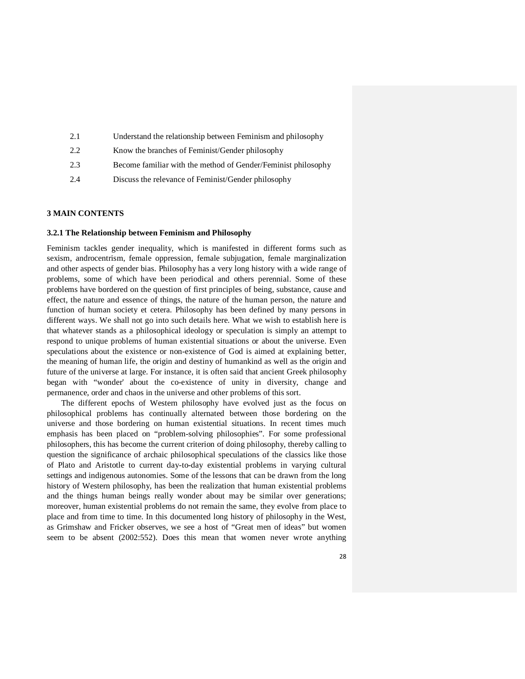| 2.1 | Understand the relationship between Feminism and philosophy   |
|-----|---------------------------------------------------------------|
| 2.2 | Know the branches of Feminist/Gender philosophy               |
| 2.3 | Become familiar with the method of Gender/Feminist philosophy |
| 2.4 | Discuss the relevance of Feminist/Gender philosophy           |
|     |                                                               |

# **3 MAIN CONTENTS**

### **3.2.1 The Relationship between Feminism and Philosophy**

Feminism tackles gender inequality, which is manifested in different forms such as sexism, androcentrism, female oppression, female subjugation, female marginalization and other aspects of gender bias. Philosophy has a very long history with a wide range of problems, some of which have been periodical and others perennial. Some of these problems have bordered on the question of first principles of being, substance, cause and effect, the nature and essence of things, the nature of the human person, the nature and function of human society et cetera. Philosophy has been defined by many persons in different ways. We shall not go into such details here. What we wish to establish here is that whatever stands as a philosophical ideology or speculation is simply an attempt to respond to unique problems of human existential situations or about the universe. Even speculations about the existence or non-existence of God is aimed at explaining better, the meaning of human life, the origin and destiny of humankind as well as the origin and future of the universe at large. For instance, it is often said that ancient Greek philosophy began with "wonder' about the co-existence of unity in diversity, change and permanence, order and chaos in the universe and other problems of this sort.

 The different epochs of Western philosophy have evolved just as the focus on philosophical problems has continually alternated between those bordering on the universe and those bordering on human existential situations. In recent times much emphasis has been placed on "problem-solving philosophies". For some professional philosophers, this has become the current criterion of doing philosophy, thereby calling to question the significance of archaic philosophical speculations of the classics like those of Plato and Aristotle to current day-to-day existential problems in varying cultural settings and indigenous autonomies. Some of the lessons that can be drawn from the long history of Western philosophy, has been the realization that human existential problems and the things human beings really wonder about may be similar over generations; moreover, human existential problems do not remain the same, they evolve from place to place and from time to time. In this documented long history of philosophy in the West, as Grimshaw and Fricker observes, we see a host of "Great men of ideas" but women seem to be absent (2002:552). Does this mean that women never wrote anything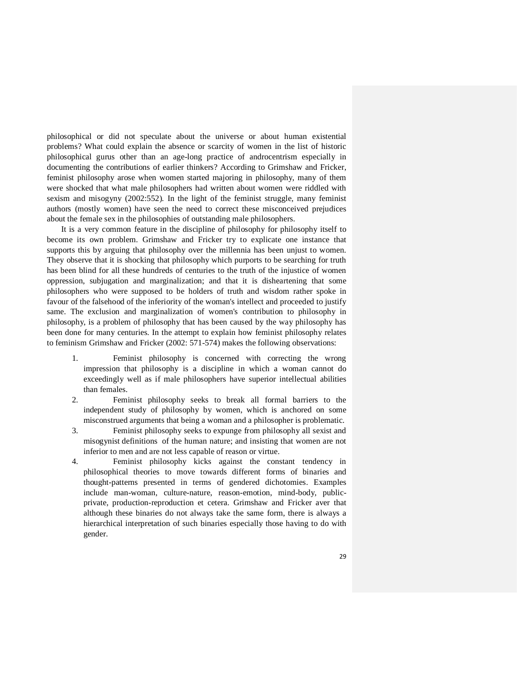philosophical or did not speculate about the universe or about human existential problems? What could explain the absence or scarcity of women in the list of historic philosophical gurus other than an age-long practice of androcentrism especially in documenting the contributions of earlier thinkers? According to Grimshaw and Fricker, feminist philosophy arose when women started majoring in philosophy, many of them were shocked that what male philosophers had written about women were riddled with sexism and misogyny (2002:552). In the light of the feminist struggle, many feminist authors (mostly women) have seen the need to correct these misconceived prejudices about the female sex in the philosophies of outstanding male philosophers.

 It is a very common feature in the discipline of philosophy for philosophy itself to become its own problem. Grimshaw and Fricker try to explicate one instance that supports this by arguing that philosophy over the millennia has been unjust to women. They observe that it is shocking that philosophy which purports to be searching for truth has been blind for all these hundreds of centuries to the truth of the injustice of women oppression, subjugation and marginalization; and that it is disheartening that some philosophers who were supposed to be holders of truth and wisdom rather spoke in favour of the falsehood of the inferiority of the woman's intellect and proceeded to justify same. The exclusion and marginalization of women's contribution to philosophy in philosophy, is a problem of philosophy that has been caused by the way philosophy has been done for many centuries. In the attempt to explain how feminist philosophy relates to feminism Grimshaw and Fricker (2002: 571-574) makes the following observations:

- 1. Feminist philosophy is concerned with correcting the wrong impression that philosophy is a discipline in which a woman cannot do exceedingly well as if male philosophers have superior intellectual abilities than females.
- 2. Feminist philosophy seeks to break all formal barriers to the independent study of philosophy by women, which is anchored on some misconstrued arguments that being a woman and a philosopher is problematic.
- 3. Feminist philosophy seeks to expunge from philosophy all sexist and misogynist definitions of the human nature; and insisting that women are not inferior to men and are not less capable of reason or virtue.
- 4. Feminist philosophy kicks against the constant tendency in philosophical theories to move towards different forms of binaries and thought-patterns presented in terms of gendered dichotomies. Examples include man-woman, culture-nature, reason-emotion, mind-body, publicprivate, production-reproduction et cetera. Grimshaw and Fricker aver that although these binaries do not always take the same form, there is always a hierarchical interpretation of such binaries especially those having to do with gender.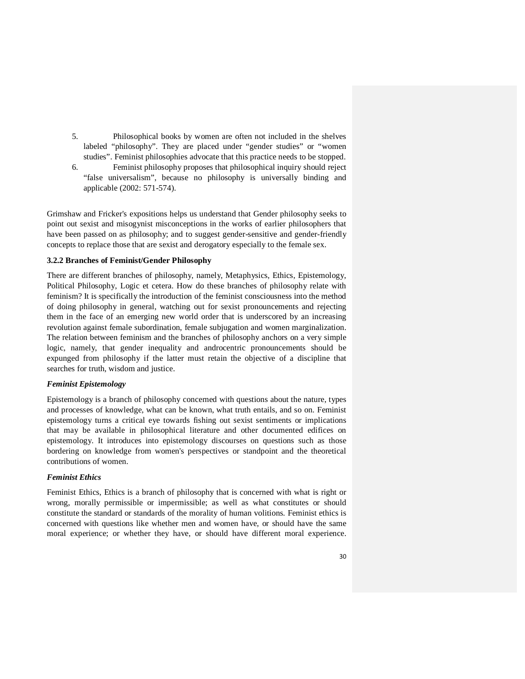- 5. Philosophical books by women are often not included in the shelves labeled "philosophy". They are placed under "gender studies" or "women studies". Feminist philosophies advocate that this practice needs to be stopped.
- 6. Feminist philosophy proposes that philosophical inquiry should reject "false universalism", because no philosophy is universally binding and applicable (2002: 571-574).

Grimshaw and Fricker's expositions helps us understand that Gender philosophy seeks to point out sexist and misogynist misconceptions in the works of earlier philosophers that have been passed on as philosophy; and to suggest gender-sensitive and gender-friendly concepts to replace those that are sexist and derogatory especially to the female sex.

### **3.2.2 Branches of Feminist/Gender Philosophy**

There are different branches of philosophy, namely, Metaphysics, Ethics, Epistemology, Political Philosophy, Logic et cetera. How do these branches of philosophy relate with feminism? It is specifically the introduction of the feminist consciousness into the method of doing philosophy in general, watching out for sexist pronouncements and rejecting them in the face of an emerging new world order that is underscored by an increasing revolution against female subordination, female subjugation and women marginalization. The relation between feminism and the branches of philosophy anchors on a very simple logic, namely, that gender inequality and androcentric pronouncements should be expunged from philosophy if the latter must retain the objective of a discipline that searches for truth, wisdom and justice.

### *Feminist Epistemology*

Epistemology is a branch of philosophy concerned with questions about the nature, types and processes of knowledge, what can be known, what truth entails, and so on. Feminist epistemology turns a critical eye towards fishing out sexist sentiments or implications that may be available in philosophical literature and other documented edifices on epistemology. It introduces into epistemology discourses on questions such as those bordering on knowledge from women's perspectives or standpoint and the theoretical contributions of women.

### *Feminist Ethics*

Feminist Ethics, Ethics is a branch of philosophy that is concerned with what is right or wrong, morally permissible or impermissible; as well as what constitutes or should constitute the standard or standards of the morality of human volitions. Feminist ethics is concerned with questions like whether men and women have, or should have the same moral experience; or whether they have, or should have different moral experience.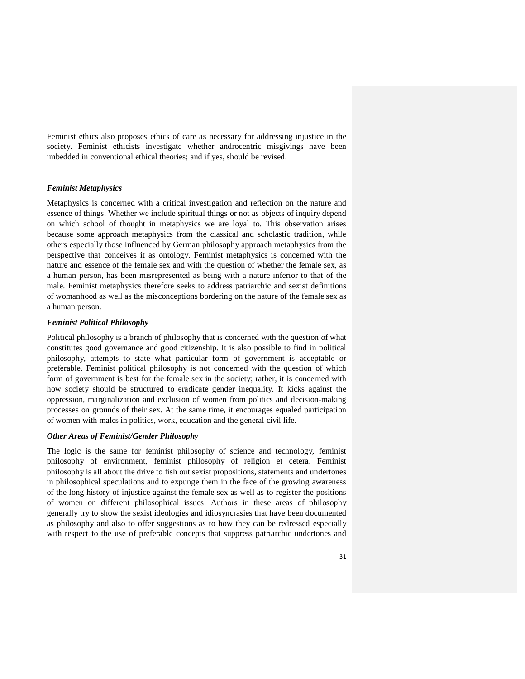Feminist ethics also proposes ethics of care as necessary for addressing injustice in the society. Feminist ethicists investigate whether androcentric misgivings have been imbedded in conventional ethical theories; and if yes, should be revised.

# *Feminist Metaphysics*

Metaphysics is concerned with a critical investigation and reflection on the nature and essence of things. Whether we include spiritual things or not as objects of inquiry depend on which school of thought in metaphysics we are loyal to. This observation arises because some approach metaphysics from the classical and scholastic tradition, while others especially those influenced by German philosophy approach metaphysics from the perspective that conceives it as ontology. Feminist metaphysics is concerned with the nature and essence of the female sex and with the question of whether the female sex, as a human person, has been misrepresented as being with a nature inferior to that of the male. Feminist metaphysics therefore seeks to address patriarchic and sexist definitions of womanhood as well as the misconceptions bordering on the nature of the female sex as a human person.

### *Feminist Political Philosophy*

Political philosophy is a branch of philosophy that is concerned with the question of what constitutes good governance and good citizenship. It is also possible to find in political philosophy, attempts to state what particular form of government is acceptable or preferable. Feminist political philosophy is not concerned with the question of which form of government is best for the female sex in the society; rather, it is concerned with how society should be structured to eradicate gender inequality. It kicks against the oppression, marginalization and exclusion of women from politics and decision-making processes on grounds of their sex. At the same time, it encourages equaled participation of women with males in politics, work, education and the general civil life.

# *Other Areas of Feminist/Gender Philosophy*

The logic is the same for feminist philosophy of science and technology, feminist philosophy of environment, feminist philosophy of religion et cetera. Feminist philosophy is all about the drive to fish out sexist propositions, statements and undertones in philosophical speculations and to expunge them in the face of the growing awareness of the long history of injustice against the female sex as well as to register the positions of women on different philosophical issues. Authors in these areas of philosophy generally try to show the sexist ideologies and idiosyncrasies that have been documented as philosophy and also to offer suggestions as to how they can be redressed especially with respect to the use of preferable concepts that suppress patriarchic undertones and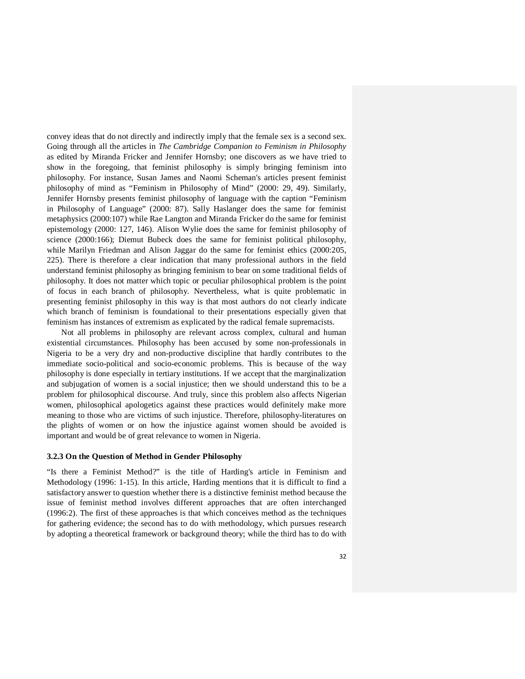convey ideas that do not directly and indirectly imply that the female sex is a second sex. Going through all the articles in *The Cambridge Companion to Feminism in Philosophy* as edited by Miranda Fricker and Jennifer Hornsby; one discovers as we have tried to show in the foregoing, that feminist philosophy is simply bringing feminism into philosophy. For instance, Susan James and Naomi Scheman's articles present feminist philosophy of mind as "Feminism in Philosophy of Mind" (2000: 29, 49). Similarly, Jennifer Hornsby presents feminist philosophy of language with the caption "Feminism in Philosophy of Language" (2000: 87). Sally Haslanger does the same for feminist metaphysics (2000:107) while Rae Langton and Miranda Fricker do the same for feminist epistemology (2000: 127, 146). Alison Wylie does the same for feminist philosophy of science (2000:166); Diemut Bubeck does the same for feminist political philosophy, while Marilyn Friedman and Alison Jaggar do the same for feminist ethics (2000:205, 225). There is therefore a clear indication that many professional authors in the field understand feminist philosophy as bringing feminism to bear on some traditional fields of philosophy. It does not matter which topic or peculiar philosophical problem is the point of focus in each branch of philosophy. Nevertheless, what is quite problematic in presenting feminist philosophy in this way is that most authors do not clearly indicate which branch of feminism is foundational to their presentations especially given that feminism has instances of extremism as explicated by the radical female supremacists.

 Not all problems in philosophy are relevant across complex, cultural and human existential circumstances. Philosophy has been accused by some non-professionals in Nigeria to be a very dry and non-productive discipline that hardly contributes to the immediate socio-political and socio-economic problems. This is because of the way philosophy is done especially in tertiary institutions. If we accept that the marginalization and subjugation of women is a social injustice; then we should understand this to be a problem for philosophical discourse. And truly, since this problem also affects Nigerian women, philosophical apologetics against these practices would definitely make more meaning to those who are victims of such injustice. Therefore, philosophy-literatures on the plights of women or on how the injustice against women should be avoided is important and would be of great relevance to women in Nigeria.

### **3.2.3 On the Question of Method in Gender Philosophy**

"Is there a Feminist Method?" is the title of Harding's article in Feminism and Methodology (1996: 1-15). In this article, Harding mentions that it is difficult to find a satisfactory answer to question whether there is a distinctive feminist method because the issue of feminist method involves different approaches that are often interchanged (1996:2). The first of these approaches is that which conceives method as the techniques for gathering evidence; the second has to do with methodology, which pursues research by adopting a theoretical framework or background theory; while the third has to do with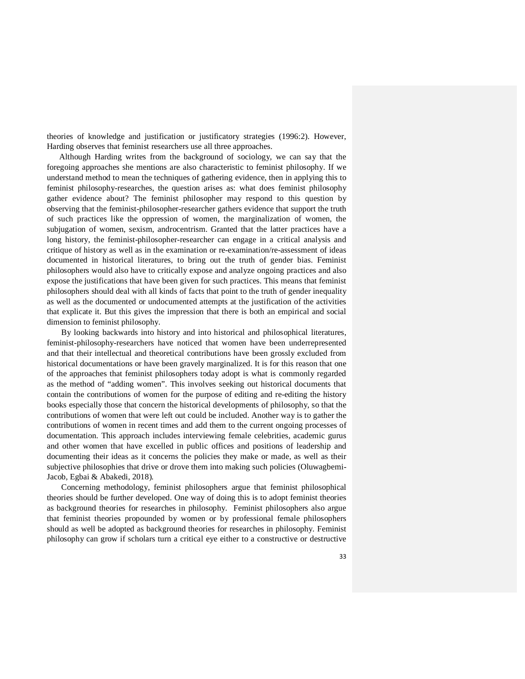theories of knowledge and justification or justificatory strategies (1996:2). However, Harding observes that feminist researchers use all three approaches.

 Although Harding writes from the background of sociology, we can say that the foregoing approaches she mentions are also characteristic to feminist philosophy. If we understand method to mean the techniques of gathering evidence, then in applying this to feminist philosophy-researches, the question arises as: what does feminist philosophy gather evidence about? The feminist philosopher may respond to this question by observing that the feminist-philosopher-researcher gathers evidence that support the truth of such practices like the oppression of women, the marginalization of women, the subjugation of women, sexism, androcentrism. Granted that the latter practices have a long history, the feminist-philosopher-researcher can engage in a critical analysis and critique of history as well as in the examination or re-examination/re-assessment of ideas documented in historical literatures, to bring out the truth of gender bias. Feminist philosophers would also have to critically expose and analyze ongoing practices and also expose the justifications that have been given for such practices. This means that feminist philosophers should deal with all kinds of facts that point to the truth of gender inequality as well as the documented or undocumented attempts at the justification of the activities that explicate it. But this gives the impression that there is both an empirical and social dimension to feminist philosophy.

 By looking backwards into history and into historical and philosophical literatures, feminist-philosophy-researchers have noticed that women have been underrepresented and that their intellectual and theoretical contributions have been grossly excluded from historical documentations or have been gravely marginalized. It is for this reason that one of the approaches that feminist philosophers today adopt is what is commonly regarded as the method of "adding women". This involves seeking out historical documents that contain the contributions of women for the purpose of editing and re-editing the history books especially those that concern the historical developments of philosophy, so that the contributions of women that were left out could be included. Another way is to gather the contributions of women in recent times and add them to the current ongoing processes of documentation. This approach includes interviewing female celebrities, academic gurus and other women that have excelled in public offices and positions of leadership and documenting their ideas as it concerns the policies they make or made, as well as their subjective philosophies that drive or drove them into making such policies (Oluwagbemi-Jacob, Egbai & Abakedi, 2018).

 Concerning methodology, feminist philosophers argue that feminist philosophical theories should be further developed. One way of doing this is to adopt feminist theories as background theories for researches in philosophy. Feminist philosophers also argue that feminist theories propounded by women or by professional female philosophers should as well be adopted as background theories for researches in philosophy. Feminist philosophy can grow if scholars turn a critical eye either to a constructive or destructive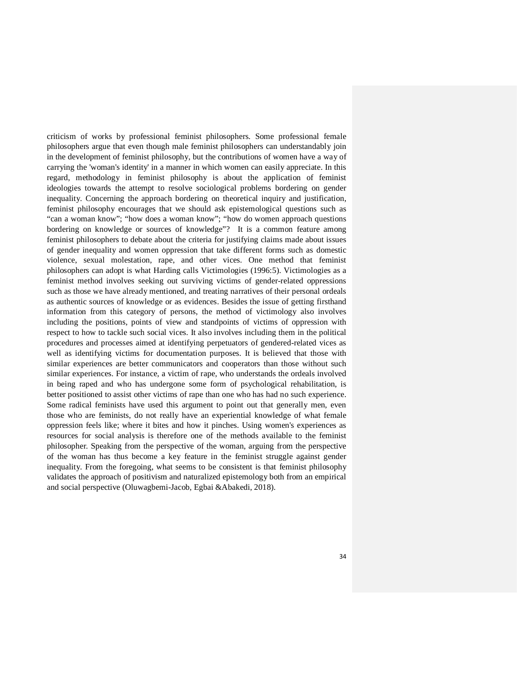criticism of works by professional feminist philosophers. Some professional female philosophers argue that even though male feminist philosophers can understandably join in the development of feminist philosophy, but the contributions of women have a way of carrying the 'woman's identity' in a manner in which women can easily appreciate. In this regard, methodology in feminist philosophy is about the application of feminist ideologies towards the attempt to resolve sociological problems bordering on gender inequality. Concerning the approach bordering on theoretical inquiry and justification, feminist philosophy encourages that we should ask epistemological questions such as "can a woman know"; "how does a woman know"; "how do women approach questions bordering on knowledge or sources of knowledge"? It is a common feature among feminist philosophers to debate about the criteria for justifying claims made about issues of gender inequality and women oppression that take different forms such as domestic violence, sexual molestation, rape, and other vices. One method that feminist philosophers can adopt is what Harding calls Victimologies (1996:5). Victimologies as a feminist method involves seeking out surviving victims of gender-related oppressions such as those we have already mentioned, and treating narratives of their personal ordeals as authentic sources of knowledge or as evidences. Besides the issue of getting firsthand information from this category of persons, the method of victimology also involves including the positions, points of view and standpoints of victims of oppression with respect to how to tackle such social vices. It also involves including them in the political procedures and processes aimed at identifying perpetuators of gendered-related vices as well as identifying victims for documentation purposes. It is believed that those with similar experiences are better communicators and cooperators than those without such similar experiences. For instance, a victim of rape, who understands the ordeals involved in being raped and who has undergone some form of psychological rehabilitation, is better positioned to assist other victims of rape than one who has had no such experience. Some radical feminists have used this argument to point out that generally men, even those who are feminists, do not really have an experiential knowledge of what female oppression feels like; where it bites and how it pinches. Using women's experiences as resources for social analysis is therefore one of the methods available to the feminist philosopher. Speaking from the perspective of the woman, arguing from the perspective of the woman has thus become a key feature in the feminist struggle against gender inequality. From the foregoing, what seems to be consistent is that feminist philosophy validates the approach of positivism and naturalized epistemology both from an empirical and social perspective (Oluwagbemi-Jacob, Egbai &Abakedi, 2018).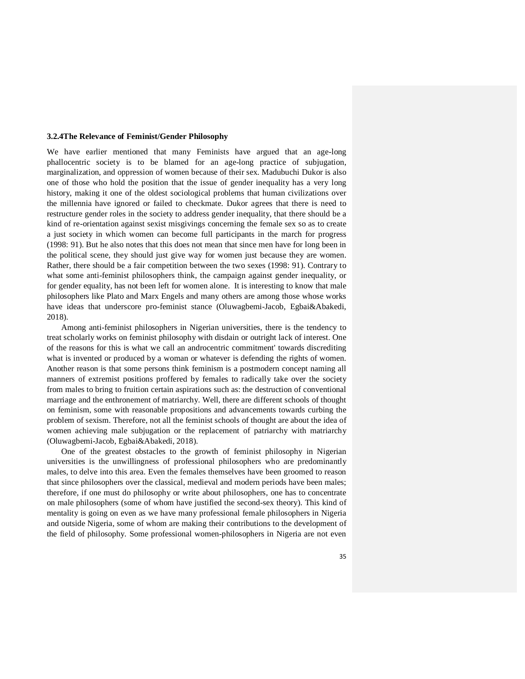### **3.2.4The Relevance of Feminist/Gender Philosophy**

We have earlier mentioned that many Feminists have argued that an age-long phallocentric society is to be blamed for an age-long practice of subjugation, marginalization, and oppression of women because of their sex. Madubuchi Dukor is also one of those who hold the position that the issue of gender inequality has a very long history, making it one of the oldest sociological problems that human civilizations over the millennia have ignored or failed to checkmate. Dukor agrees that there is need to restructure gender roles in the society to address gender inequality, that there should be a kind of re-orientation against sexist misgivings concerning the female sex so as to create a just society in which women can become full participants in the march for progress (1998: 91). But he also notes that this does not mean that since men have for long been in the political scene, they should just give way for women just because they are women. Rather, there should be a fair competition between the two sexes (1998: 91). Contrary to what some anti-feminist philosophers think, the campaign against gender inequality, or for gender equality, has not been left for women alone. It is interesting to know that male philosophers like Plato and Marx Engels and many others are among those whose works have ideas that underscore pro-feminist stance (Oluwagbemi-Jacob, Egbai&Abakedi, 2018).

 Among anti-feminist philosophers in Nigerian universities, there is the tendency to treat scholarly works on feminist philosophy with disdain or outright lack of interest. One of the reasons for this is what we call an androcentric commitment' towards discrediting what is invented or produced by a woman or whatever is defending the rights of women. Another reason is that some persons think feminism is a postmodern concept naming all manners of extremist positions proffered by females to radically take over the society from males to bring to fruition certain aspirations such as: the destruction of conventional marriage and the enthronement of matriarchy. Well, there are different schools of thought on feminism, some with reasonable propositions and advancements towards curbing the problem of sexism. Therefore, not all the feminist schools of thought are about the idea of women achieving male subjugation or the replacement of patriarchy with matriarchy (Oluwagbemi-Jacob, Egbai&Abakedi, 2018).

 One of the greatest obstacles to the growth of feminist philosophy in Nigerian universities is the unwillingness of professional philosophers who are predominantly males, to delve into this area. Even the females themselves have been groomed to reason that since philosophers over the classical, medieval and modern periods have been males; therefore, if one must do philosophy or write about philosophers, one has to concentrate on male philosophers (some of whom have justified the second-sex theory). This kind of mentality is going on even as we have many professional female philosophers in Nigeria and outside Nigeria, some of whom are making their contributions to the development of the field of philosophy. Some professional women-philosophers in Nigeria are not even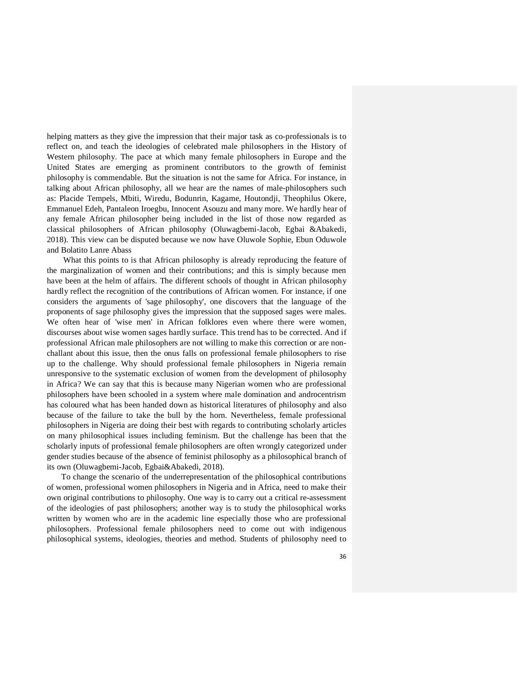helping matters as they give the impression that their major task as co-professionals is to reflect on, and teach the ideologies of celebrated male philosophers in the History of Western philosophy. The pace at which many female philosophers in Europe and the United States are emerging as prominent contributors to the growth of feminist philosophy is commendable. But the situation is not the same for Africa. For instance, in talking about African philosophy, all we hear are the names of male-philosophers such as: Placide Tempels, Mbiti, Wiredu, Bodunrin, Kagame, Houtondji, Theophilus Okere, Emmanuel Edeh, Pantaleon Iroegbu, Innocent Asouzu and many more. We hardly hear of any female African philosopher being included in the list of those now regarded as classical philosophers of African philosophy (Oluwagbemi-Jacob, Egbai &Abakedi, 2018). This view can be disputed because we now have Oluwole Sophie, Ebun Oduwole and Bolatito Lanre Abass

 What this points to is that African philosophy is already reproducing the feature of the marginalization of women and their contributions; and this is simply because men have been at the helm of affairs. The different schools of thought in African philosophy hardly reflect the recognition of the contributions of African women. For instance, if one considers the arguments of 'sage philosophy', one discovers that the language of the proponents of sage philosophy gives the impression that the supposed sages were males. We often hear of 'wise men' in African folklores even where there were women, discourses about wise women sages hardly surface. This trend has to be corrected. And if professional African male philosophers are not willing to make this correction or are nonchallant about this issue, then the onus falls on professional female philosophers to rise up to the challenge. Why should professional female philosophers in Nigeria remain unresponsive to the systematic exclusion of women from the development of philosophy in Africa? We can say that this is because many Nigerian women who are professional philosophers have been schooled in a system where male domination and androcentrism has coloured what has been handed down as historical literatures of philosophy and also because of the failure to take the bull by the horn. Nevertheless, female professional philosophers in Nigeria are doing their best with regards to contributing scholarly articles on many philosophical issues including feminism. But the challenge has been that the scholarly inputs of professional female philosophers are often wrongly categorized under gender studies because of the absence of feminist philosophy as a philosophical branch of its own (Oluwagbemi-Jacob, Egbai&Abakedi, 2018).

 To change the scenario of the underrepresentation of the philosophical contributions of women, professional women philosophers in Nigeria and in Africa, need to make their own original contributions to philosophy. One way is to carry out a critical re-assessment of the ideologies of past philosophers; another way is to study the philosophical works written by women who are in the academic line especially those who are professional philosophers. Professional female philosophers need to come out with indigenous philosophical systems, ideologies, theories and method. Students of philosophy need to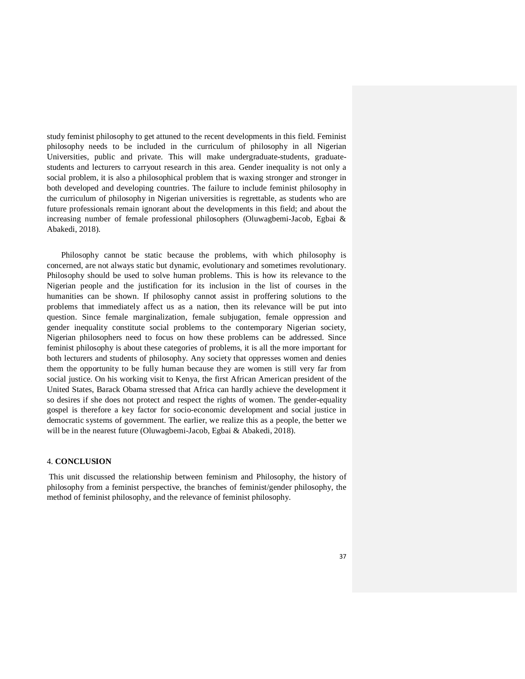study feminist philosophy to get attuned to the recent developments in this field. Feminist philosophy needs to be included in the curriculum of philosophy in all Nigerian Universities, public and private. This will make undergraduate-students, graduatestudents and lecturers to carryout research in this area. Gender inequality is not only a social problem, it is also a philosophical problem that is waxing stronger and stronger in both developed and developing countries. The failure to include feminist philosophy in the curriculum of philosophy in Nigerian universities is regrettable, as students who are future professionals remain ignorant about the developments in this field; and about the increasing number of female professional philosophers (Oluwagbemi-Jacob, Egbai & Abakedi, 2018).

 Philosophy cannot be static because the problems, with which philosophy is concerned, are not always static but dynamic, evolutionary and sometimes revolutionary. Philosophy should be used to solve human problems. This is how its relevance to the Nigerian people and the justification for its inclusion in the list of courses in the humanities can be shown. If philosophy cannot assist in proffering solutions to the problems that immediately affect us as a nation, then its relevance will be put into question. Since female marginalization, female subjugation, female oppression and gender inequality constitute social problems to the contemporary Nigerian society, Nigerian philosophers need to focus on how these problems can be addressed. Since feminist philosophy is about these categories of problems, it is all the more important for both lecturers and students of philosophy. Any society that oppresses women and denies them the opportunity to be fully human because they are women is still very far from social justice. On his working visit to Kenya, the first African American president of the United States, Barack Obama stressed that Africa can hardly achieve the development it so desires if she does not protect and respect the rights of women. The gender-equality gospel is therefore a key factor for socio-economic development and social justice in democratic systems of government. The earlier, we realize this as a people, the better we will be in the nearest future (Oluwagbemi-Jacob, Egbai & Abakedi, 2018).

#### 4. **CONCLUSION**

 This unit discussed the relationship between feminism and Philosophy, the history of philosophy from a feminist perspective, the branches of feminist/gender philosophy, the method of feminist philosophy, and the relevance of feminist philosophy.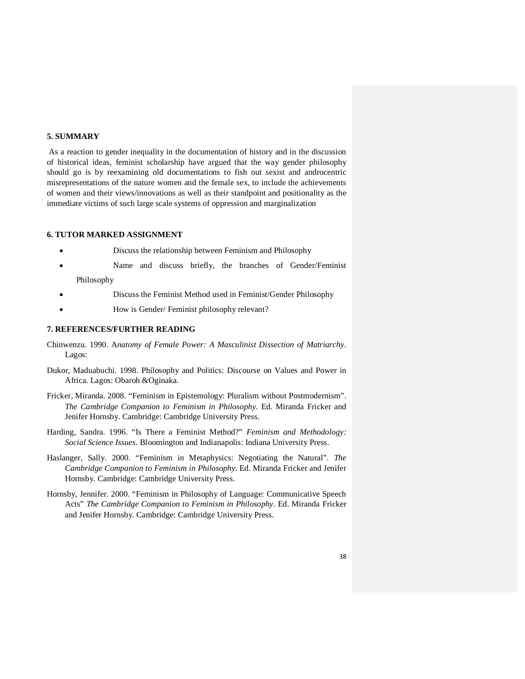## **5. SUMMARY**

 As a reaction to gender inequality in the documentation of history and in the discussion of historical ideas, feminist scholarship have argued that the way gender philosophy should go is by reexamining old documentations to fish out sexist and androcentric misrepresentations of the nature women and the female sex, to include the achievements of women and their views/innovations as well as their standpoint and positionality as the immediate victims of such large scale systems of oppression and marginalization

## **6. TUTOR MARKED ASSIGNMENT**

- Discuss the relationship between Feminism and Philosophy
- Name and discuss briefly, the branches of Gender/Feminist Philosophy
- Discuss the Feminist Method used in Feminist/Gender Philosophy
- How is Gender/ Feminist philosophy relevant?

### **7. REFERENCES/FURTHER READING**

- Chinwenzu. 1990. A*natomy of Female Power: A Masculinist Dissection of Matriarchy*. Lagos:
- Dukor, Maduabuchi. 1998. Philosophy and Politics: Discourse on Values and Power in Africa. Lagos: Obaroh &Oginaka.
- Fricker, Miranda. 2008. "Feminism in Epistemology: Pluralism without Postmodernism". *The Cambridge Companion to Feminism in Philosophy*. Ed. Miranda Fricker and Jenifer Hornsby. Cambridge: Cambridge University Press.
- Harding, Sandra. 1996. "Is There a Feminist Method?" *Feminism and Methodology: Social Science Issues*. Bloomington and Indianapolis: Indiana University Press.
- Haslanger, Sally. 2000. "Feminism in Metaphysics: Negotiating the Natural". *The Cambridge Companion to Feminism in Philosophy*. Ed. Miranda Fricker and Jenifer Hornsby. Cambridge: Cambridge University Press.
- Hornsby, Jennifer. 2000. "Feminism in Philosophy of Language: Communicative Speech Acts" *The Cambridge Companion to Feminism in Philosophy*. Ed. Miranda Fricker and Jenifer Hornsby. Cambridge: Cambridge University Press.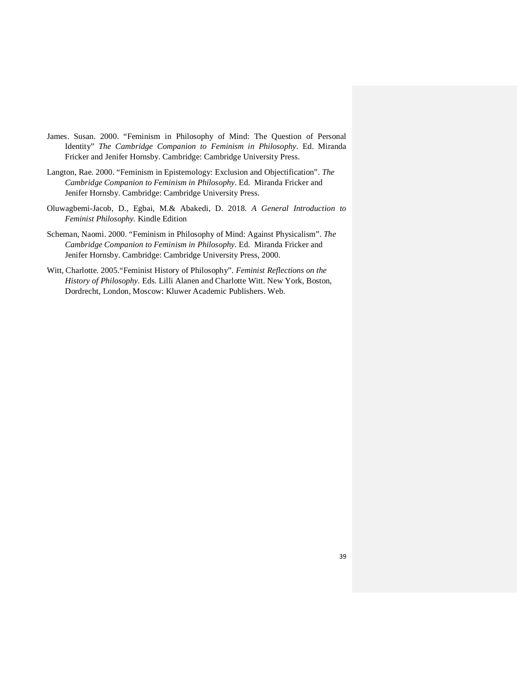- James. Susan. 2000. "Feminism in Philosophy of Mind: The Question of Personal Identity" *The Cambridge Companion to Feminism in Philosophy*. Ed. Miranda Fricker and Jenifer Hornsby. Cambridge: Cambridge University Press.
- Langton, Rae. 2000. "Feminism in Epistemology: Exclusion and Objectification". *The Cambridge Companion to Feminism in Philosophy*. Ed. Miranda Fricker and Jenifer Hornsby. Cambridge: Cambridge University Press.
- Oluwagbemi-Jacob, D., Egbai, M.& Abakedi, D. 2018. *A General Introduction to Feminist Philosophy.* Kindle Edition
- Scheman, Naomi. 2000. "Feminism in Philosophy of Mind: Against Physicalism". *The Cambridge Companion to Feminism in Philosophy.* Ed. Miranda Fricker and Jenifer Hornsby. Cambridge: Cambridge University Press, 2000.
- Witt, Charlotte. 2005."Feminist History of Philosophy". *Feminist Reflections on the History of Philosophy.* Eds. Lilli Alanen and Charlotte Witt. New York, Boston, Dordrecht, London, Moscow: Kluwer Academic Publishers. Web.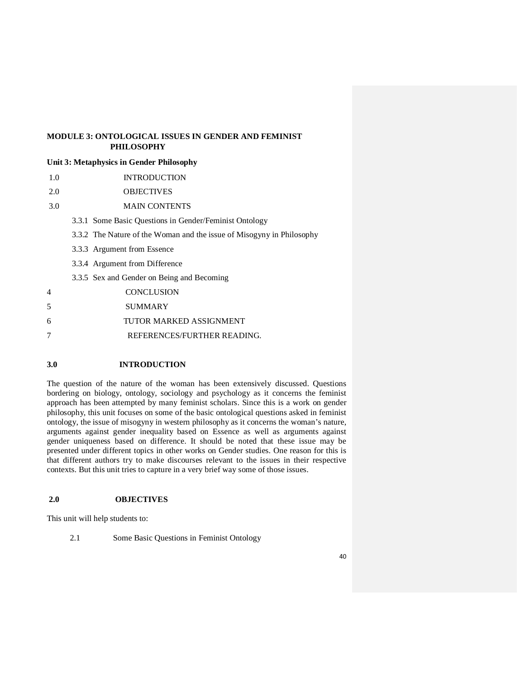# **MODULE 3: ONTOLOGICAL ISSUES IN GENDER AND FEMINIST PHILOSOPHY**

## **Unit 3: Metaphysics in Gender Philosophy**

- 1.0 INTRODUCTION
- 2.0 OBJECTIVES
- 3.0 MAIN CONTENTS
	- 3.3.1 Some Basic Questions in Gender/Feminist Ontology
	- 3.3.2 The Nature of the Woman and the issue of Misogyny in Philosophy
	- 3.3.3 Argument from Essence
	- 3.3.4 Argument from Difference
	- 3.3.5 Sex and Gender on Being and Becoming
- 4 CONCLUSION
- 5 SUMMARY
- 6 TUTOR MARKED ASSIGNMENT
- 7 REFERENCES/FURTHER READING.

## **3.0 INTRODUCTION**

The question of the nature of the woman has been extensively discussed. Questions bordering on biology, ontology, sociology and psychology as it concerns the feminist approach has been attempted by many feminist scholars. Since this is a work on gender philosophy, this unit focuses on some of the basic ontological questions asked in feminist ontology, the issue of misogyny in western philosophy as it concerns the woman's nature, arguments against gender inequality based on Essence as well as arguments against gender uniqueness based on difference. It should be noted that these issue may be presented under different topics in other works on Gender studies. One reason for this is that different authors try to make discourses relevant to the issues in their respective contexts. But this unit tries to capture in a very brief way some of those issues.

### **2.0 OBJECTIVES**

This unit will help students to:

2.1 Some Basic Questions in Feminist Ontology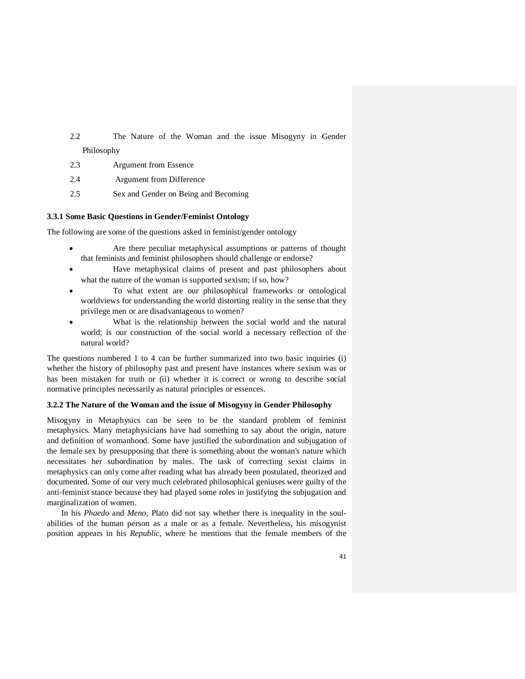2.2 The Nature of the Woman and the issue Misogyny in Gender Philosophy

- 2.3 Argument from Essence
- 2.4 Argument from Difference
- 2.5 Sex and Gender on Being and Becoming

## **3.3.1 Some Basic Questions in Gender/Feminist Ontology**

The following are some of the questions asked in feminist/gender ontology

- Are there peculiar metaphysical assumptions or patterns of thought that feminists and feminist philosophers should challenge or endorse?
- Have metaphysical claims of present and past philosophers about what the nature of the woman is supported sexism; if so, how?
- To what extent are our philosophical frameworks or ontological worldviews for understanding the world distorting reality in the sense that they privilege men or are disadvantageous to women?
- What is the relationship between the social world and the natural world; is our construction of the social world a necessary reflection of the natural world?

The questions numbered 1 to 4 can be further summarized into two basic inquiries (i) whether the history of philosophy past and present have instances where sexism was or has been mistaken for truth or (ii) whether it is correct or wrong to describe social normative principles necessarily as natural principles or essences.

### **3.2.2 The Nature of the Woman and the issue of Misogyny in Gender Philosophy**

Misogyny in Metaphysics can be seen to be the standard problem of feminist metaphysics. Many metaphysicians have had something to say about the origin, nature and definition of womanhood. Some have justified the subordination and subjugation of the female sex by presupposing that there is something about the woman's nature which necessitates her subordination by males. The task of correcting sexist claims in metaphysics can only come after reading what has already been postulated, theorized and documented. Some of our very much celebrated philosophical geniuses were guilty of the anti-feminist stance because they had played some roles in justifying the subjugation and marginalization of women.

 In his *Phaedo* and *Meno,* Plato did not say whether there is inequality in the soulabilities of the human person as a male or as a female. Nevertheless, his misogynist position appears in his *Republic*, where he mentions that the female members of the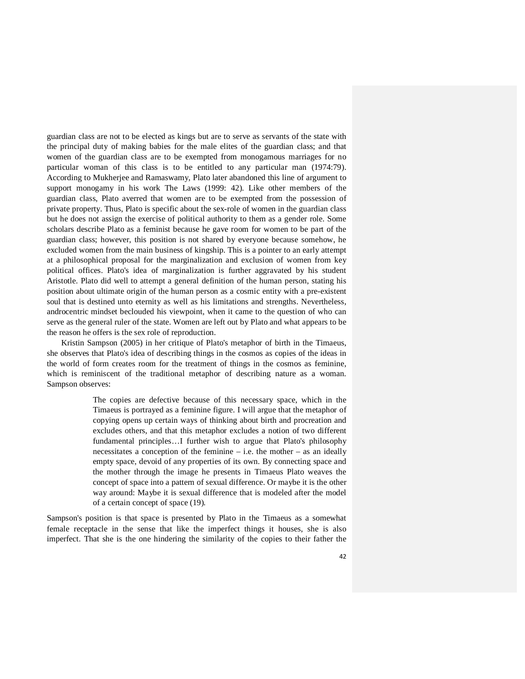guardian class are not to be elected as kings but are to serve as servants of the state with the principal duty of making babies for the male elites of the guardian class; and that women of the guardian class are to be exempted from monogamous marriages for no particular woman of this class is to be entitled to any particular man (1974:79). According to Mukherjee and Ramaswamy, Plato later abandoned this line of argument to support monogamy in his work The Laws (1999: 42). Like other members of the guardian class, Plato averred that women are to be exempted from the possession of private property. Thus, Plato is specific about the sex-role of women in the guardian class but he does not assign the exercise of political authority to them as a gender role. Some scholars describe Plato as a feminist because he gave room for women to be part of the guardian class; however, this position is not shared by everyone because somehow, he excluded women from the main business of kingship. This is a pointer to an early attempt at a philosophical proposal for the marginalization and exclusion of women from key political offices. Plato's idea of marginalization is further aggravated by his student Aristotle. Plato did well to attempt a general definition of the human person, stating his position about ultimate origin of the human person as a cosmic entity with a pre-existent soul that is destined unto eternity as well as his limitations and strengths. Nevertheless, androcentric mindset beclouded his viewpoint, when it came to the question of who can serve as the general ruler of the state. Women are left out by Plato and what appears to be the reason he offers is the sex role of reproduction.

 Kristin Sampson (2005) in her critique of Plato's metaphor of birth in the Timaeus, she observes that Plato's idea of describing things in the cosmos as copies of the ideas in the world of form creates room for the treatment of things in the cosmos as feminine, which is reminiscent of the traditional metaphor of describing nature as a woman. Sampson observes:

> The copies are defective because of this necessary space, which in the Timaeus is portrayed as a feminine figure. I will argue that the metaphor of copying opens up certain ways of thinking about birth and procreation and excludes others, and that this metaphor excludes a notion of two different fundamental principles…I further wish to argue that Plato's philosophy necessitates a conception of the feminine  $-$  i.e. the mother  $-$  as an ideally empty space, devoid of any properties of its own. By connecting space and the mother through the image he presents in Timaeus Plato weaves the concept of space into a pattern of sexual difference. Or maybe it is the other way around: Maybe it is sexual difference that is modeled after the model of a certain concept of space (19).

Sampson's position is that space is presented by Plato in the Timaeus as a somewhat female receptacle in the sense that like the imperfect things it houses, she is also imperfect. That she is the one hindering the similarity of the copies to their father the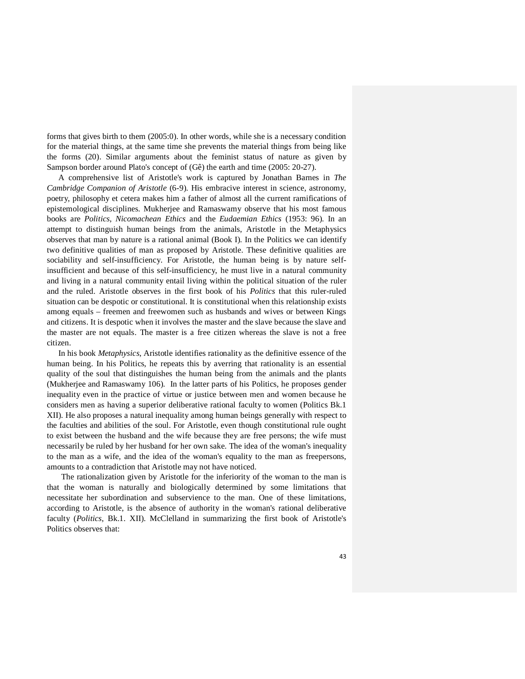forms that gives birth to them (2005:0). In other words, while she is a necessary condition for the material things, at the same time she prevents the material things from being like the forms (20). Similar arguments about the feminist status of nature as given by Sampson border around Plato's concept of (Gê) the earth and time (2005: 20-27).

 A comprehensive list of Aristotle's work is captured by Jonathan Barnes in *The Cambridge Companion of Aristotle* (6-9). His embracive interest in science, astronomy, poetry, philosophy et cetera makes him a father of almost all the current ramifications of epistemological disciplines. Mukherjee and Ramaswamy observe that his most famous books are *Politics*, *Nicomachean Ethics* and the *Eudaemian Ethics* (1953: 96). In an attempt to distinguish human beings from the animals, Aristotle in the Metaphysics observes that man by nature is a rational animal (Book I). In the Politics we can identify two definitive qualities of man as proposed by Aristotle. These definitive qualities are sociability and self-insufficiency. For Aristotle, the human being is by nature selfinsufficient and because of this self-insufficiency, he must live in a natural community and living in a natural community entail living within the political situation of the ruler and the ruled. Aristotle observes in the first book of his *Politics* that this ruler-ruled situation can be despotic or constitutional. It is constitutional when this relationship exists among equals – freemen and freewomen such as husbands and wives or between Kings and citizens. It is despotic when it involves the master and the slave because the slave and the master are not equals. The master is a free citizen whereas the slave is not a free citizen.

 In his book *Metaphysics*, Aristotle identifies rationality as the definitive essence of the human being. In his Politics, he repeats this by averring that rationality is an essential quality of the soul that distinguishes the human being from the animals and the plants (Mukherjee and Ramaswamy 106). In the latter parts of his Politics, he proposes gender inequality even in the practice of virtue or justice between men and women because he considers men as having a superior deliberative rational faculty to women (Politics Bk.1 XII). He also proposes a natural inequality among human beings generally with respect to the faculties and abilities of the soul. For Aristotle, even though constitutional rule ought to exist between the husband and the wife because they are free persons; the wife must necessarily be ruled by her husband for her own sake. The idea of the woman's inequality to the man as a wife, and the idea of the woman's equality to the man as freepersons, amounts to a contradiction that Aristotle may not have noticed.

 The rationalization given by Aristotle for the inferiority of the woman to the man is that the woman is naturally and biologically determined by some limitations that necessitate her subordination and subservience to the man. One of these limitations, according to Aristotle, is the absence of authority in the woman's rational deliberative faculty (*Politics*, Bk.1. XII). McClelland in summarizing the first book of Aristotle's Politics observes that: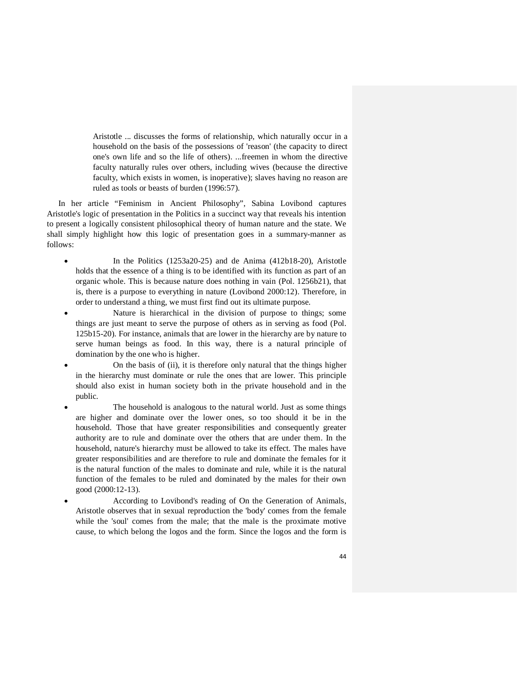Aristotle ... discusses the forms of relationship, which naturally occur in a household on the basis of the possessions of 'reason' (the capacity to direct one's own life and so the life of others). ...freemen in whom the directive faculty naturally rules over others, including wives (because the directive faculty, which exists in women, is inoperative); slaves having no reason are ruled as tools or beasts of burden (1996:57).

In her article "Feminism in Ancient Philosophy", Sabina Lovibond captures Aristotle's logic of presentation in the Politics in a succinct way that reveals his intention to present a logically consistent philosophical theory of human nature and the state. We shall simply highlight how this logic of presentation goes in a summary-manner as follows:

- In the Politics (1253a20-25) and de Anima (412b18-20), Aristotle holds that the essence of a thing is to be identified with its function as part of an organic whole. This is because nature does nothing in vain (Pol. 1256b21), that is, there is a purpose to everything in nature (Lovibond 2000:12). Therefore, in order to understand a thing, we must first find out its ultimate purpose.
- Nature is hierarchical in the division of purpose to things; some things are just meant to serve the purpose of others as in serving as food (Pol. 125b15-20). For instance, animals that are lower in the hierarchy are by nature to serve human beings as food. In this way, there is a natural principle of domination by the one who is higher.
- On the basis of (ii), it is therefore only natural that the things higher in the hierarchy must dominate or rule the ones that are lower. This principle should also exist in human society both in the private household and in the public.
- The household is analogous to the natural world. Just as some things are higher and dominate over the lower ones, so too should it be in the household. Those that have greater responsibilities and consequently greater authority are to rule and dominate over the others that are under them. In the household, nature's hierarchy must be allowed to take its effect. The males have greater responsibilities and are therefore to rule and dominate the females for it is the natural function of the males to dominate and rule, while it is the natural function of the females to be ruled and dominated by the males for their own good (2000:12-13).
- According to Lovibond's reading of On the Generation of Animals, Aristotle observes that in sexual reproduction the 'body' comes from the female while the 'soul' comes from the male; that the male is the proximate motive cause, to which belong the logos and the form. Since the logos and the form is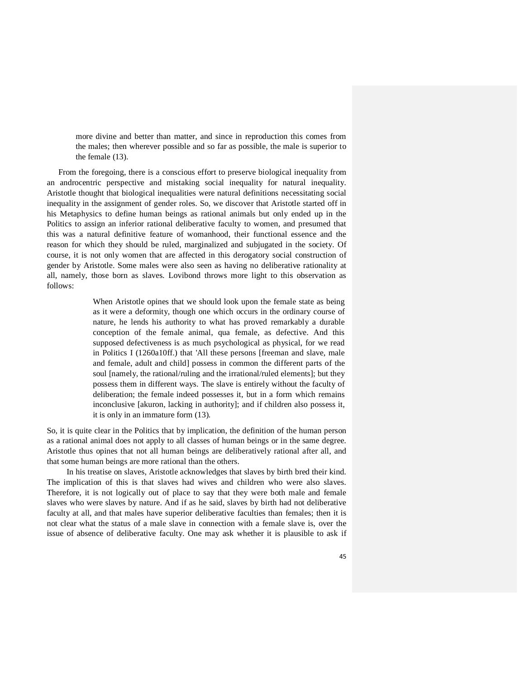more divine and better than matter, and since in reproduction this comes from the males; then wherever possible and so far as possible, the male is superior to the female (13).

From the foregoing, there is a conscious effort to preserve biological inequality from an androcentric perspective and mistaking social inequality for natural inequality. Aristotle thought that biological inequalities were natural definitions necessitating social inequality in the assignment of gender roles. So, we discover that Aristotle started off in his Metaphysics to define human beings as rational animals but only ended up in the Politics to assign an inferior rational deliberative faculty to women, and presumed that this was a natural definitive feature of womanhood, their functional essence and the reason for which they should be ruled, marginalized and subjugated in the society. Of course, it is not only women that are affected in this derogatory social construction of gender by Aristotle. Some males were also seen as having no deliberative rationality at all, namely, those born as slaves. Lovibond throws more light to this observation as follows:

> When Aristotle opines that we should look upon the female state as being as it were a deformity, though one which occurs in the ordinary course of nature, he lends his authority to what has proved remarkably a durable conception of the female animal, qua female, as defective. And this supposed defectiveness is as much psychological as physical, for we read in Politics I (1260a10ff.) that 'All these persons [freeman and slave, male and female, adult and child] possess in common the different parts of the soul [namely, the rational/ruling and the irrational/ruled elements]; but they possess them in different ways. The slave is entirely without the faculty of deliberation; the female indeed possesses it, but in a form which remains inconclusive [akuron, lacking in authority]; and if children also possess it, it is only in an immature form (13).

So, it is quite clear in the Politics that by implication, the definition of the human person as a rational animal does not apply to all classes of human beings or in the same degree. Aristotle thus opines that not all human beings are deliberatively rational after all, and that some human beings are more rational than the others.

 In his treatise on slaves, Aristotle acknowledges that slaves by birth bred their kind. The implication of this is that slaves had wives and children who were also slaves. Therefore, it is not logically out of place to say that they were both male and female slaves who were slaves by nature. And if as he said, slaves by birth had not deliberative faculty at all, and that males have superior deliberative faculties than females; then it is not clear what the status of a male slave in connection with a female slave is, over the issue of absence of deliberative faculty. One may ask whether it is plausible to ask if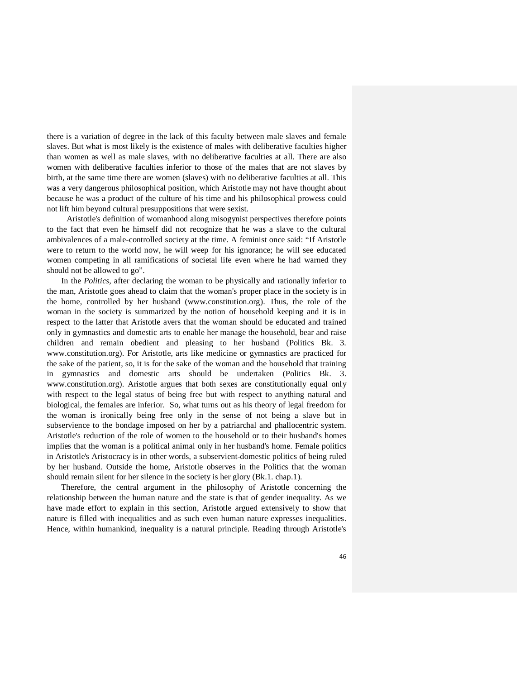there is a variation of degree in the lack of this faculty between male slaves and female slaves. But what is most likely is the existence of males with deliberative faculties higher than women as well as male slaves, with no deliberative faculties at all. There are also women with deliberative faculties inferior to those of the males that are not slaves by birth, at the same time there are women (slaves) with no deliberative faculties at all. This was a very dangerous philosophical position, which Aristotle may not have thought about because he was a product of the culture of his time and his philosophical prowess could not lift him beyond cultural presuppositions that were sexist.

 Aristotle's definition of womanhood along misogynist perspectives therefore points to the fact that even he himself did not recognize that he was a slave to the cultural ambivalences of a male-controlled society at the time. A feminist once said: "If Aristotle were to return to the world now, he will weep for his ignorance; he will see educated women competing in all ramifications of societal life even where he had warned they should not be allowed to go".

 In the *Politics*, after declaring the woman to be physically and rationally inferior to the man, Aristotle goes ahead to claim that the woman's proper place in the society is in the home, controlled by her husband (www.constitution.org). Thus, the role of the woman in the society is summarized by the notion of household keeping and it is in respect to the latter that Aristotle avers that the woman should be educated and trained only in gymnastics and domestic arts to enable her manage the household, bear and raise children and remain obedient and pleasing to her husband (Politics Bk. 3. www.constitution.org). For Aristotle, arts like medicine or gymnastics are practiced for the sake of the patient, so, it is for the sake of the woman and the household that training in gymnastics and domestic arts should be undertaken (Politics Bk. 3. www.constitution.org). Aristotle argues that both sexes are constitutionally equal only with respect to the legal status of being free but with respect to anything natural and biological, the females are inferior. So, what turns out as his theory of legal freedom for the woman is ironically being free only in the sense of not being a slave but in subservience to the bondage imposed on her by a patriarchal and phallocentric system. Aristotle's reduction of the role of women to the household or to their husband's homes implies that the woman is a political animal only in her husband's home. Female politics in Aristotle's Aristocracy is in other words, a subservient-domestic politics of being ruled by her husband. Outside the home, Aristotle observes in the Politics that the woman should remain silent for her silence in the society is her glory (Bk.1. chap.1).

 Therefore, the central argument in the philosophy of Aristotle concerning the relationship between the human nature and the state is that of gender inequality. As we have made effort to explain in this section, Aristotle argued extensively to show that nature is filled with inequalities and as such even human nature expresses inequalities. Hence, within humankind, inequality is a natural principle. Reading through Aristotle's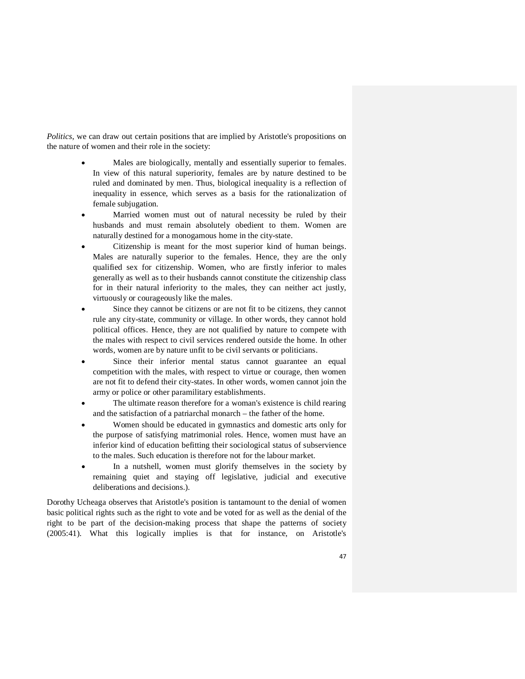*Politics*, we can draw out certain positions that are implied by Aristotle's propositions on the nature of women and their role in the society:

- Males are biologically, mentally and essentially superior to females. In view of this natural superiority, females are by nature destined to be ruled and dominated by men. Thus, biological inequality is a reflection of inequality in essence, which serves as a basis for the rationalization of female subjugation.
- Married women must out of natural necessity be ruled by their husbands and must remain absolutely obedient to them. Women are naturally destined for a monogamous home in the city-state.
- Citizenship is meant for the most superior kind of human beings. Males are naturally superior to the females. Hence, they are the only qualified sex for citizenship. Women, who are firstly inferior to males generally as well as to their husbands cannot constitute the citizenship class for in their natural inferiority to the males, they can neither act justly, virtuously or courageously like the males.
- Since they cannot be citizens or are not fit to be citizens, they cannot rule any city-state, community or village. In other words, they cannot hold political offices. Hence, they are not qualified by nature to compete with the males with respect to civil services rendered outside the home. In other words, women are by nature unfit to be civil servants or politicians.
- Since their inferior mental status cannot guarantee an equal competition with the males, with respect to virtue or courage, then women are not fit to defend their city-states. In other words, women cannot join the army or police or other paramilitary establishments.
- The ultimate reason therefore for a woman's existence is child rearing and the satisfaction of a patriarchal monarch – the father of the home.
- Women should be educated in gymnastics and domestic arts only for the purpose of satisfying matrimonial roles. Hence, women must have an inferior kind of education befitting their sociological status of subservience to the males. Such education is therefore not for the labour market.
- In a nutshell, women must glorify themselves in the society by remaining quiet and staying off legislative, judicial and executive deliberations and decisions.).

Dorothy Ucheaga observes that Aristotle's position is tantamount to the denial of women basic political rights such as the right to vote and be voted for as well as the denial of the right to be part of the decision-making process that shape the patterns of society (2005:41). What this logically implies is that for instance, on Aristotle's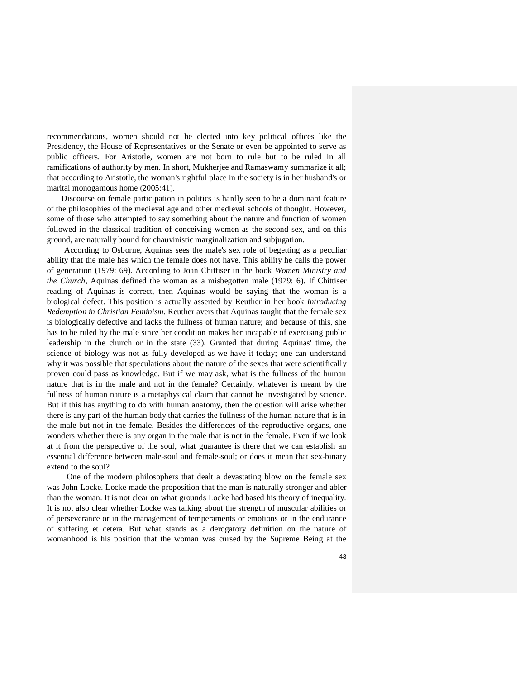recommendations, women should not be elected into key political offices like the Presidency, the House of Representatives or the Senate or even be appointed to serve as public officers. For Aristotle, women are not born to rule but to be ruled in all ramifications of authority by men. In short, Mukherjee and Ramaswamy summarize it all; that according to Aristotle, the woman's rightful place in the society is in her husband's or marital monogamous home (2005:41).

 Discourse on female participation in politics is hardly seen to be a dominant feature of the philosophies of the medieval age and other medieval schools of thought. However, some of those who attempted to say something about the nature and function of women followed in the classical tradition of conceiving women as the second sex, and on this ground, are naturally bound for chauvinistic marginalization and subjugation.

 According to Osborne, Aquinas sees the male's sex role of begetting as a peculiar ability that the male has which the female does not have. This ability he calls the power of generation (1979: 69). According to Joan Chittiser in the book *Women Ministry and the Church,* Aquinas defined the woman as a misbegotten male (1979: 6). If Chittiser reading of Aquinas is correct, then Aquinas would be saying that the woman is a biological defect. This position is actually asserted by Reuther in her book *Introducing Redemption in Christian Feminism*. Reuther avers that Aquinas taught that the female sex is biologically defective and lacks the fullness of human nature; and because of this, she has to be ruled by the male since her condition makes her incapable of exercising public leadership in the church or in the state (33). Granted that during Aquinas' time, the science of biology was not as fully developed as we have it today; one can understand why it was possible that speculations about the nature of the sexes that were scientifically proven could pass as knowledge. But if we may ask, what is the fullness of the human nature that is in the male and not in the female? Certainly, whatever is meant by the fullness of human nature is a metaphysical claim that cannot be investigated by science. But if this has anything to do with human anatomy, then the question will arise whether there is any part of the human body that carries the fullness of the human nature that is in the male but not in the female. Besides the differences of the reproductive organs, one wonders whether there is any organ in the male that is not in the female. Even if we look at it from the perspective of the soul, what guarantee is there that we can establish an essential difference between male-soul and female-soul; or does it mean that sex-binary extend to the soul?

 One of the modern philosophers that dealt a devastating blow on the female sex was John Locke. Locke made the proposition that the man is naturally stronger and abler than the woman. It is not clear on what grounds Locke had based his theory of inequality. It is not also clear whether Locke was talking about the strength of muscular abilities or of perseverance or in the management of temperaments or emotions or in the endurance of suffering et cetera. But what stands as a derogatory definition on the nature of womanhood is his position that the woman was cursed by the Supreme Being at the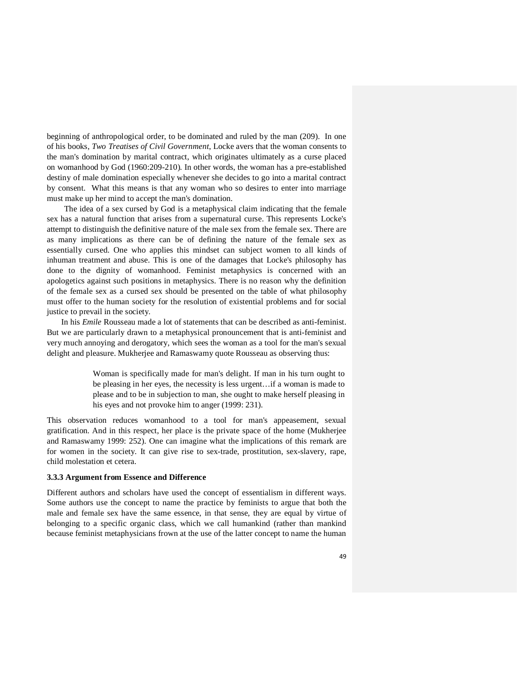beginning of anthropological order, to be dominated and ruled by the man (209). In one of his books, *Two Treatises of Civil Government*, Locke avers that the woman consents to the man's domination by marital contract, which originates ultimately as a curse placed on womanhood by God (1960:209-210). In other words, the woman has a pre-established destiny of male domination especially whenever she decides to go into a marital contract by consent. What this means is that any woman who so desires to enter into marriage must make up her mind to accept the man's domination.

 The idea of a sex cursed by God is a metaphysical claim indicating that the female sex has a natural function that arises from a supernatural curse. This represents Locke's attempt to distinguish the definitive nature of the male sex from the female sex. There are as many implications as there can be of defining the nature of the female sex as essentially cursed. One who applies this mindset can subject women to all kinds of inhuman treatment and abuse. This is one of the damages that Locke's philosophy has done to the dignity of womanhood. Feminist metaphysics is concerned with an apologetics against such positions in metaphysics. There is no reason why the definition of the female sex as a cursed sex should be presented on the table of what philosophy must offer to the human society for the resolution of existential problems and for social justice to prevail in the society.

 In his *Emile* Rousseau made a lot of statements that can be described as anti-feminist. But we are particularly drawn to a metaphysical pronouncement that is anti-feminist and very much annoying and derogatory, which sees the woman as a tool for the man's sexual delight and pleasure. Mukherjee and Ramaswamy quote Rousseau as observing thus:

> Woman is specifically made for man's delight. If man in his turn ought to be pleasing in her eyes, the necessity is less urgent…if a woman is made to please and to be in subjection to man, she ought to make herself pleasing in his eyes and not provoke him to anger (1999: 231).

This observation reduces womanhood to a tool for man's appeasement, sexual gratification. And in this respect, her place is the private space of the home (Mukherjee and Ramaswamy 1999: 252). One can imagine what the implications of this remark are for women in the society. It can give rise to sex-trade, prostitution, sex-slavery, rape, child molestation et cetera.

### **3.3.3 Argument from Essence and Difference**

Different authors and scholars have used the concept of essentialism in different ways. Some authors use the concept to name the practice by feminists to argue that both the male and female sex have the same essence, in that sense, they are equal by virtue of belonging to a specific organic class, which we call humankind (rather than mankind because feminist metaphysicians frown at the use of the latter concept to name the human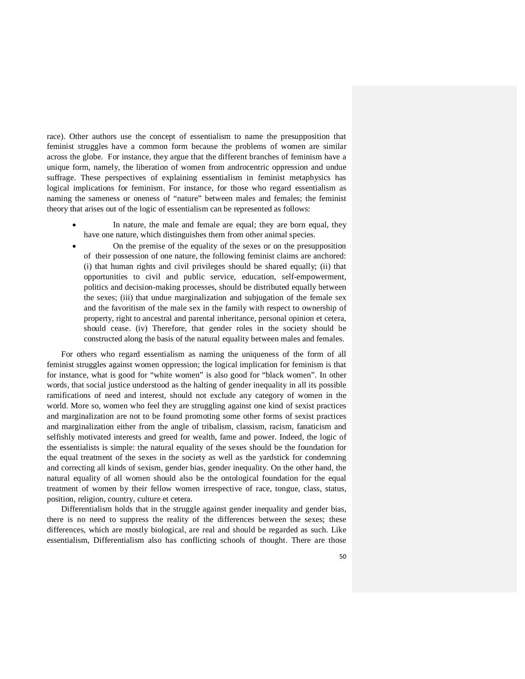race). Other authors use the concept of essentialism to name the presupposition that feminist struggles have a common form because the problems of women are similar across the globe. For instance, they argue that the different branches of feminism have a unique form, namely, the liberation of women from androcentric oppression and undue suffrage. These perspectives of explaining essentialism in feminist metaphysics has logical implications for feminism. For instance, for those who regard essentialism as naming the sameness or oneness of "nature" between males and females; the feminist theory that arises out of the logic of essentialism can be represented as follows:

- In nature, the male and female are equal; they are born equal, they have one nature, which distinguishes them from other animal species.
- On the premise of the equality of the sexes or on the presupposition of their possession of one nature, the following feminist claims are anchored: (i) that human rights and civil privileges should be shared equally; (ii) that opportunities to civil and public service, education, self-empowerment, politics and decision-making processes, should be distributed equally between the sexes; (iii) that undue marginalization and subjugation of the female sex and the favoritism of the male sex in the family with respect to ownership of property, right to ancestral and parental inheritance, personal opinion et cetera, should cease. (iv) Therefore, that gender roles in the society should be constructed along the basis of the natural equality between males and females.

 For others who regard essentialism as naming the uniqueness of the form of all feminist struggles against women oppression; the logical implication for feminism is that for instance, what is good for "white women" is also good for "black women". In other words, that social justice understood as the halting of gender inequality in all its possible ramifications of need and interest, should not exclude any category of women in the world. More so, women who feel they are struggling against one kind of sexist practices and marginalization are not to be found promoting some other forms of sexist practices and marginalization either from the angle of tribalism, classism, racism, fanaticism and selfishly motivated interests and greed for wealth, fame and power. Indeed, the logic of the essentialists is simple: the natural equality of the sexes should be the foundation for the equal treatment of the sexes in the society as well as the yardstick for condemning and correcting all kinds of sexism, gender bias, gender inequality. On the other hand, the natural equality of all women should also be the ontological foundation for the equal treatment of women by their fellow women irrespective of race, tongue, class, status, position, religion, country, culture et cetera.

Differentialism holds that in the struggle against gender inequality and gender bias, there is no need to suppress the reality of the differences between the sexes; these differences, which are mostly biological, are real and should be regarded as such. Like essentialism, Differentialism also has conflicting schools of thought. There are those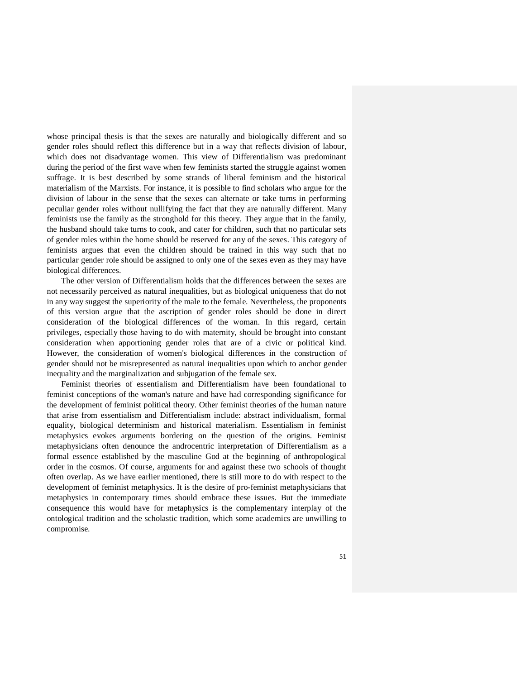whose principal thesis is that the sexes are naturally and biologically different and so gender roles should reflect this difference but in a way that reflects division of labour, which does not disadvantage women. This view of Differentialism was predominant during the period of the first wave when few feminists started the struggle against women suffrage. It is best described by some strands of liberal feminism and the historical materialism of the Marxists. For instance, it is possible to find scholars who argue for the division of labour in the sense that the sexes can alternate or take turns in performing peculiar gender roles without nullifying the fact that they are naturally different. Many feminists use the family as the stronghold for this theory. They argue that in the family, the husband should take turns to cook, and cater for children, such that no particular sets of gender roles within the home should be reserved for any of the sexes. This category of feminists argues that even the children should be trained in this way such that no particular gender role should be assigned to only one of the sexes even as they may have biological differences.

 The other version of Differentialism holds that the differences between the sexes are not necessarily perceived as natural inequalities, but as biological uniqueness that do not in any way suggest the superiority of the male to the female. Nevertheless, the proponents of this version argue that the ascription of gender roles should be done in direct consideration of the biological differences of the woman. In this regard, certain privileges, especially those having to do with maternity, should be brought into constant consideration when apportioning gender roles that are of a civic or political kind. However, the consideration of women's biological differences in the construction of gender should not be misrepresented as natural inequalities upon which to anchor gender inequality and the marginalization and subjugation of the female sex.

 Feminist theories of essentialism and Differentialism have been foundational to feminist conceptions of the woman's nature and have had corresponding significance for the development of feminist political theory. Other feminist theories of the human nature that arise from essentialism and Differentialism include: abstract individualism, formal equality, biological determinism and historical materialism. Essentialism in feminist metaphysics evokes arguments bordering on the question of the origins. Feminist metaphysicians often denounce the androcentric interpretation of Differentialism as a formal essence established by the masculine God at the beginning of anthropological order in the cosmos. Of course, arguments for and against these two schools of thought often overlap. As we have earlier mentioned, there is still more to do with respect to the development of feminist metaphysics. It is the desire of pro-feminist metaphysicians that metaphysics in contemporary times should embrace these issues. But the immediate consequence this would have for metaphysics is the complementary interplay of the ontological tradition and the scholastic tradition, which some academics are unwilling to compromise.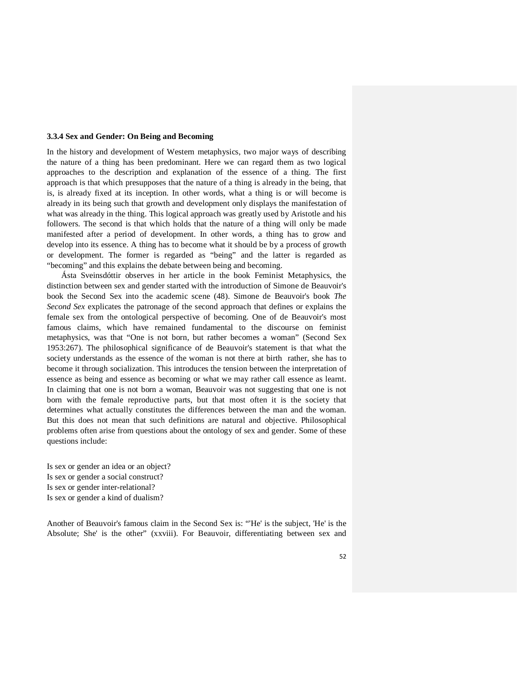#### **3.3.4 Sex and Gender: On Being and Becoming**

In the history and development of Western metaphysics, two major ways of describing the nature of a thing has been predominant. Here we can regard them as two logical approaches to the description and explanation of the essence of a thing. The first approach is that which presupposes that the nature of a thing is already in the being, that is, is already fixed at its inception. In other words, what a thing is or will become is already in its being such that growth and development only displays the manifestation of what was already in the thing. This logical approach was greatly used by Aristotle and his followers. The second is that which holds that the nature of a thing will only be made manifested after a period of development. In other words, a thing has to grow and develop into its essence. A thing has to become what it should be by a process of growth or development. The former is regarded as "being" and the latter is regarded as "becoming" and this explains the debate between being and becoming.

 Ásta Sveinsdóttir observes in her article in the book Feminist Metaphysics, the distinction between sex and gender started with the introduction of Simone de Beauvoir's book the Second Sex into the academic scene (48). Simone de Beauvoir's book *The Second Sex* explicates the patronage of the second approach that defines or explains the female sex from the ontological perspective of becoming. One of de Beauvoir's most famous claims, which have remained fundamental to the discourse on feminist metaphysics, was that "One is not born, but rather becomes a woman" (Second Sex 1953:267). The philosophical significance of de Beauvoir's statement is that what the society understands as the essence of the woman is not there at birth rather, she has to become it through socialization. This introduces the tension between the interpretation of essence as being and essence as becoming or what we may rather call essence as learnt. In claiming that one is not born a woman, Beauvoir was not suggesting that one is not born with the female reproductive parts, but that most often it is the society that determines what actually constitutes the differences between the man and the woman. But this does not mean that such definitions are natural and objective. Philosophical problems often arise from questions about the ontology of sex and gender. Some of these questions include:

Is sex or gender an idea or an object? Is sex or gender a social construct? Is sex or gender inter-relational? Is sex or gender a kind of dualism?

Another of Beauvoir's famous claim in the Second Sex is: "'He' is the subject, 'He' is the Absolute; She' is the other" (xxviii). For Beauvoir, differentiating between sex and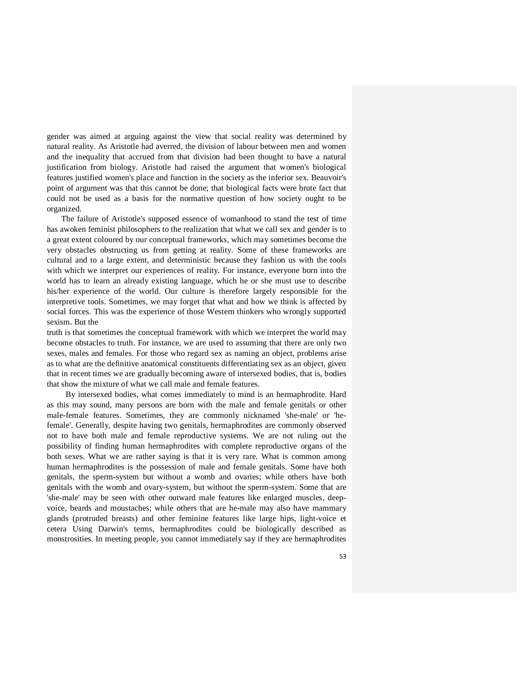gender was aimed at arguing against the view that social reality was determined by natural reality. As Aristotle had averred, the division of labour between men and women and the inequality that accrued from that division had been thought to have a natural justification from biology. Aristotle had raised the argument that women's biological features justified women's place and function in the society as the inferior sex. Beauvoir's point of argument was that this cannot be done; that biological facts were brute fact that could not be used as a basis for the normative question of how society ought to be organized.

 The failure of Aristotle's supposed essence of womanhood to stand the test of time has awoken feminist philosophers to the realization that what we call sex and gender is to a great extent coloured by our conceptual frameworks, which may sometimes become the very obstacles obstructing us from getting at reality. Some of these frameworks are cultural and to a large extent, and deterministic because they fashion us with the tools with which we interpret our experiences of reality. For instance, everyone born into the world has to learn an already existing language, which he or she must use to describe his/her experience of the world. Our culture is therefore largely responsible for the interpretive tools. Sometimes, we may forget that what and how we think is affected by social forces. This was the experience of those Western thinkers who wrongly supported sexism. But the

truth is that sometimes the conceptual framework with which we interpret the world may become obstacles to truth. For instance, we are used to assuming that there are only two sexes, males and females. For those who regard sex as naming an object, problems arise as to what are the definitive anatomical constituents differentiating sex as an object, given that in recent times we are gradually becoming aware of intersexed bodies, that is, bodies that show the mixture of what we call male and female features.

 By intersexed bodies, what comes immediately to mind is an hermaphrodite. Hard as this may sound, many persons are born with the male and female genitals or other male-female features. Sometimes, they are commonly nicknamed 'she-male' or 'hefemale'. Generally, despite having two genitals, hermaphrodites are commonly observed not to have both male and female reproductive systems. We are not ruling out the possibility of finding human hermaphrodites with complete reproductive organs of the both sexes. What we are rather saying is that it is very rare. What is common among human hermaphrodites is the possession of male and female genitals. Some have both genitals, the sperm-system but without a womb and ovaries; while others have both genitals with the womb and ovary-system, but without the sperm-system. Some that are 'she-male' may be seen with other outward male features like enlarged muscles, deepvoice, beards and moustaches; while others that are he-male may also have mammary glands (protruded breasts) and other feminine features like large hips, light-voice et cetera Using Darwin's terms, hermaphrodites could be biologically described as monstrosities. In meeting people, you cannot immediately say if they are hermaphrodites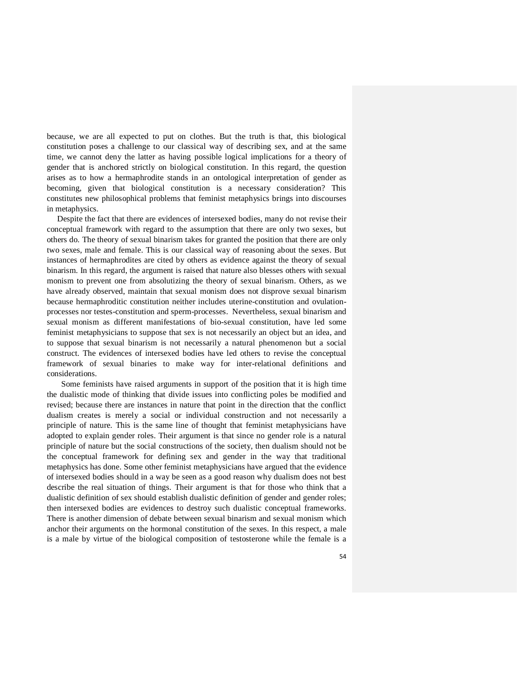because, we are all expected to put on clothes. But the truth is that, this biological constitution poses a challenge to our classical way of describing sex, and at the same time, we cannot deny the latter as having possible logical implications for a theory of gender that is anchored strictly on biological constitution. In this regard, the question arises as to how a hermaphrodite stands in an ontological interpretation of gender as becoming, given that biological constitution is a necessary consideration? This constitutes new philosophical problems that feminist metaphysics brings into discourses in metaphysics.

 Despite the fact that there are evidences of intersexed bodies, many do not revise their conceptual framework with regard to the assumption that there are only two sexes, but others do. The theory of sexual binarism takes for granted the position that there are only two sexes, male and female. This is our classical way of reasoning about the sexes. But instances of hermaphrodites are cited by others as evidence against the theory of sexual binarism. In this regard, the argument is raised that nature also blesses others with sexual monism to prevent one from absolutizing the theory of sexual binarism. Others, as we have already observed, maintain that sexual monism does not disprove sexual binarism because hermaphroditic constitution neither includes uterine-constitution and ovulationprocesses nor testes-constitution and sperm-processes. Nevertheless, sexual binarism and sexual monism as different manifestations of bio-sexual constitution, have led some feminist metaphysicians to suppose that sex is not necessarily an object but an idea, and to suppose that sexual binarism is not necessarily a natural phenomenon but a social construct. The evidences of intersexed bodies have led others to revise the conceptual framework of sexual binaries to make way for inter-relational definitions and considerations.

 Some feminists have raised arguments in support of the position that it is high time the dualistic mode of thinking that divide issues into conflicting poles be modified and revised; because there are instances in nature that point in the direction that the conflict dualism creates is merely a social or individual construction and not necessarily a principle of nature. This is the same line of thought that feminist metaphysicians have adopted to explain gender roles. Their argument is that since no gender role is a natural principle of nature but the social constructions of the society, then dualism should not be the conceptual framework for defining sex and gender in the way that traditional metaphysics has done. Some other feminist metaphysicians have argued that the evidence of intersexed bodies should in a way be seen as a good reason why dualism does not best describe the real situation of things. Their argument is that for those who think that a dualistic definition of sex should establish dualistic definition of gender and gender roles; then intersexed bodies are evidences to destroy such dualistic conceptual frameworks. There is another dimension of debate between sexual binarism and sexual monism which anchor their arguments on the hormonal constitution of the sexes. In this respect, a male is a male by virtue of the biological composition of testosterone while the female is a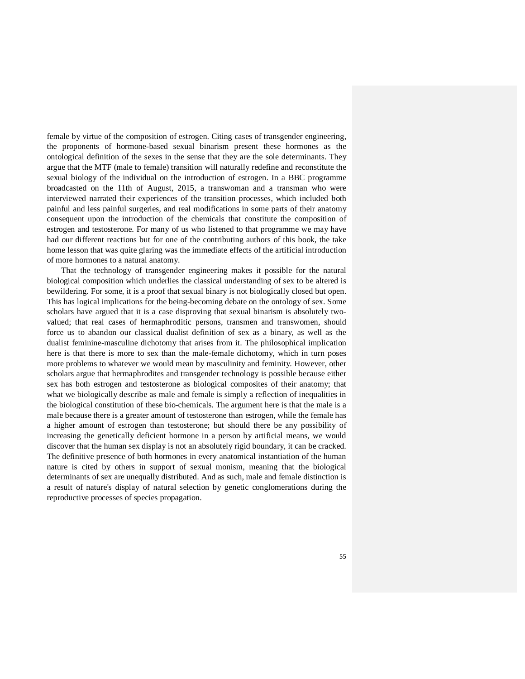female by virtue of the composition of estrogen. Citing cases of transgender engineering, the proponents of hormone-based sexual binarism present these hormones as the ontological definition of the sexes in the sense that they are the sole determinants. They argue that the MTF (male to female) transition will naturally redefine and reconstitute the sexual biology of the individual on the introduction of estrogen. In a BBC programme broadcasted on the 11th of August, 2015, a transwoman and a transman who were interviewed narrated their experiences of the transition processes, which included both painful and less painful surgeries, and real modifications in some parts of their anatomy consequent upon the introduction of the chemicals that constitute the composition of estrogen and testosterone. For many of us who listened to that programme we may have had our different reactions but for one of the contributing authors of this book, the take home lesson that was quite glaring was the immediate effects of the artificial introduction of more hormones to a natural anatomy.

 That the technology of transgender engineering makes it possible for the natural biological composition which underlies the classical understanding of sex to be altered is bewildering. For some, it is a proof that sexual binary is not biologically closed but open. This has logical implications for the being-becoming debate on the ontology of sex. Some scholars have argued that it is a case disproving that sexual binarism is absolutely twovalued; that real cases of hermaphroditic persons, transmen and transwomen, should force us to abandon our classical dualist definition of sex as a binary, as well as the dualist feminine-masculine dichotomy that arises from it. The philosophical implication here is that there is more to sex than the male-female dichotomy, which in turn poses more problems to whatever we would mean by masculinity and feminity. However, other scholars argue that hermaphrodites and transgender technology is possible because either sex has both estrogen and testosterone as biological composites of their anatomy; that what we biologically describe as male and female is simply a reflection of inequalities in the biological constitution of these bio-chemicals. The argument here is that the male is a male because there is a greater amount of testosterone than estrogen, while the female has a higher amount of estrogen than testosterone; but should there be any possibility of increasing the genetically deficient hormone in a person by artificial means, we would discover that the human sex display is not an absolutely rigid boundary, it can be cracked. The definitive presence of both hormones in every anatomical instantiation of the human nature is cited by others in support of sexual monism, meaning that the biological determinants of sex are unequally distributed. And as such, male and female distinction is a result of nature's display of natural selection by genetic conglomerations during the reproductive processes of species propagation.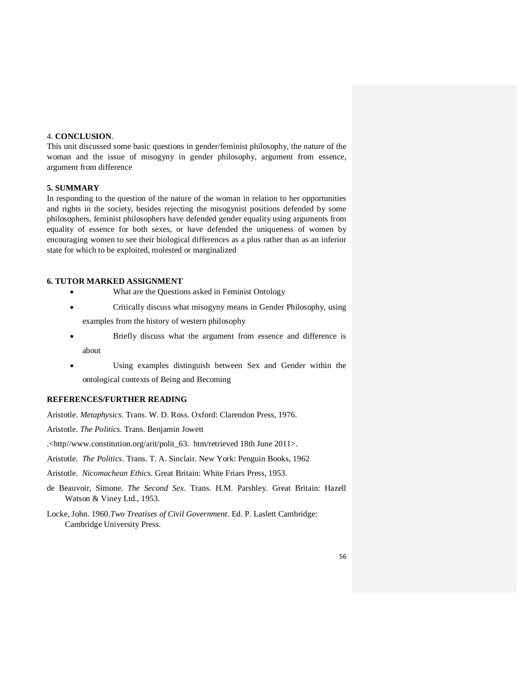## 4. **CONCLUSION**.

This unit discussed some basic questions in gender/feminist philosophy, the nature of the woman and the issue of misogyny in gender philosophy, argument from essence, argument from difference

## **5. SUMMARY**

In responding to the question of the nature of the woman in relation to her opportunities and rights in the society, besides rejecting the misogynist positions defended by some philosophers, feminist philosophers have defended gender equality using arguments from equality of essence for both sexes, or have defended the uniqueness of women by encouraging women to see their biological differences as a plus rather than as an inferior state for which to be exploited, molested or marginalized

### **6. TUTOR MARKED ASSIGNMENT**

- What are the Questions asked in Feminist Ontology
- Critically discuss what misogyny means in Gender Philosophy, using examples from the history of western philosophy
- Briefly discuss what the argument from essence and difference is about
- Using examples distinguish between Sex and Gender within the ontological contexts of Being and Becoming

## **REFERENCES/FURTHER READING**

Aristotle. *Metaphysics*. Trans. W. D. Ross. Oxford: Clarendon Press, 1976.

Aristotle. *The Politics*. Trans. Benjamin Jowett

- .<http//www.constitution.org/arit/polit\_63. htm/retrieved 18th June 2011>.
- Aristotle. *The Politics*. Trans. T. A. Sinclair. New York: Penguin Books, 1962
- Aristotle. *Nicomachean Ethic*s. Great Britain: White Friars Press, 1953.
- de Beauvoir, Simone. *The Second Sex*. Trans. H.M. Parshley. Great Britain: Hazell Watson & Viney Ltd., 1953.
- Locke, John. 1960.*Two Treatises of Civil Government.* Ed. P. Laslett Cambridge: Cambridge University Press.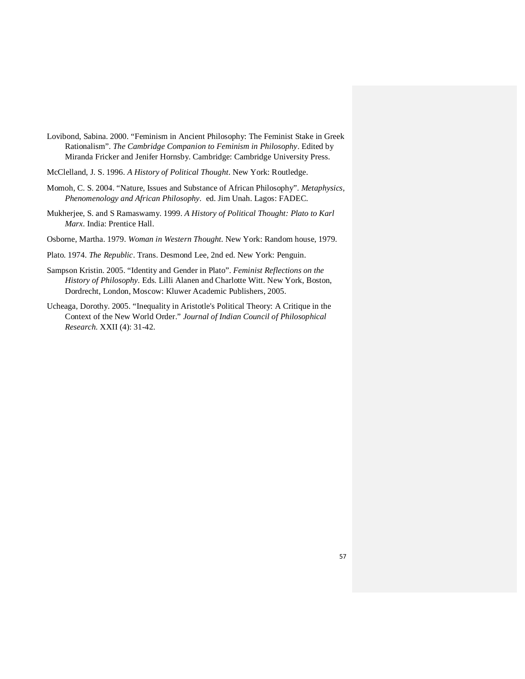- Lovibond, Sabina. 2000. "Feminism in Ancient Philosophy: The Feminist Stake in Greek Rationalism". *The Cambridge Companion to Feminism in Philosophy*. Edited by Miranda Fricker and Jenifer Hornsby. Cambridge: Cambridge University Press.
- McClelland, J. S. 1996. *A History of Political Thought*. New York: Routledge.
- Momoh, C. S. 2004. "Nature, Issues and Substance of African Philosophy". *Metaphysics, Phenomenology and African Philosophy*. ed. Jim Unah. Lagos: FADEC.
- Mukherjee, S. and S Ramaswamy. 1999. *A History of Political Thought: Plato to Karl Marx*. India: Prentice Hall.
- Osborne, Martha. 1979. *Woman in Western Thought*. New York: Random house, 1979.
- Plato. 1974. *The Republic*. Trans. Desmond Lee, 2nd ed. New York: Penguin.
- Sampson Kristin. 2005. "Identity and Gender in Plato". *Feminist Reflections on the History of Philosophy.* Eds. Lilli Alanen and Charlotte Witt. New York, Boston, Dordrecht, London, Moscow: Kluwer Academic Publishers, 2005.
- Ucheaga, Dorothy. 2005. "Inequality in Aristotle's Political Theory: A Critique in the Context of the New World Order." *Journal of Indian Council of Philosophical Research.* XXII (4): 31-42.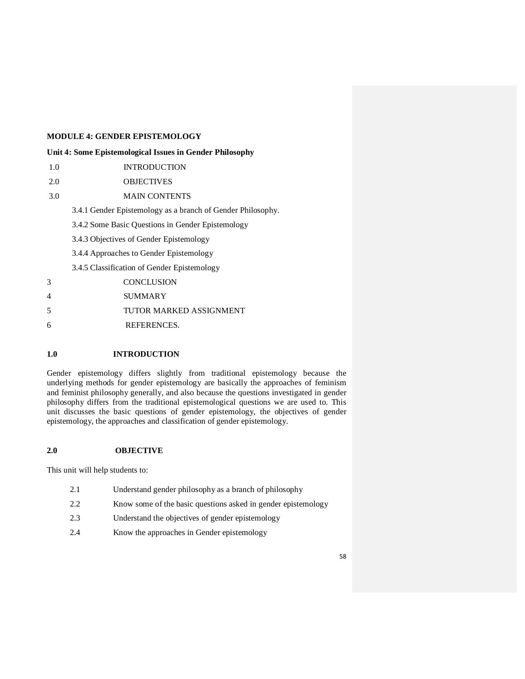# **MODULE 4: GENDER EPISTEMOLOGY**

## **Unit 4: Some Epistemological Issues in Gender Philosophy**

- 1.0 INTRODUCTION
- 2.0 OBJECTIVES
- 3.0 MAIN CONTENTS

3.4.1 Gender Epistemology as a branch of Gender Philosophy.

- 3.4.2 Some Basic Questions in Gender Epistemology
- 3.4.3 Objectives of Gender Epistemology
- 3.4.4 Approaches to Gender Epistemology
- 3.4.5 Classification of Gender Epistemology

| 3 | <b>CONCLUSION</b>       |
|---|-------------------------|
| 4 | <b>SUMMARY</b>          |
| 5 | TUTOR MARKED ASSIGNMENT |
| 6 | REFERENCES.             |

# **1.0 INTRODUCTION**

Gender epistemology differs slightly from traditional epistemology because the underlying methods for gender epistemology are basically the approaches of feminism and feminist philosophy generally, and also because the questions investigated in gender philosophy differs from the traditional epistemological questions we are used to. This unit discusses the basic questions of gender epistemology, the objectives of gender epistemology, the approaches and classification of gender epistemology.

## **2.0 OBJECTIVE**

This unit will help students to:

- 2.1 Understand gender philosophy as a branch of philosophy
- 2.2 Know some of the basic questions asked in gender epistemology
- 2.3 Understand the objectives of gender epistemology
- 2.4 Know the approaches in Gender epistemology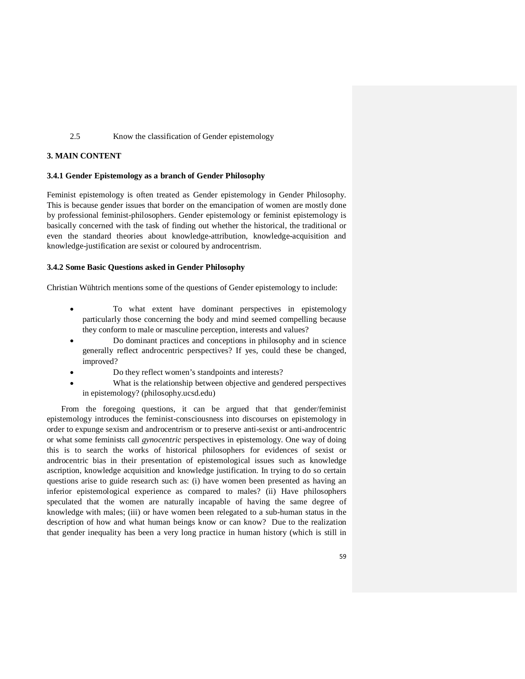## 2.5 Know the classification of Gender epistemology

### **3. MAIN CONTENT**

### **3.4.1 Gender Epistemology as a branch of Gender Philosophy**

Feminist epistemology is often treated as Gender epistemology in Gender Philosophy. This is because gender issues that border on the emancipation of women are mostly done by professional feminist-philosophers. Gender epistemology or feminist epistemology is basically concerned with the task of finding out whether the historical, the traditional or even the standard theories about knowledge-attribution, knowledge-acquisition and knowledge-justification are sexist or coloured by androcentrism.

### **3.4.2 Some Basic Questions asked in Gender Philosophy**

Christian Wühtrich mentions some of the questions of Gender epistemology to include:

- To what extent have dominant perspectives in epistemology particularly those concerning the body and mind seemed compelling because they conform to male or masculine perception, interests and values?
- Do dominant practices and conceptions in philosophy and in science generally reflect androcentric perspectives? If yes, could these be changed, improved?
- Do they reflect women's standpoints and interests?
- What is the relationship between objective and gendered perspectives in epistemology? (philosophy.ucsd.edu)

 From the foregoing questions, it can be argued that that gender/feminist epistemology introduces the feminist-consciousness into discourses on epistemology in order to expunge sexism and androcentrism or to preserve anti-sexist or anti-androcentric or what some feminists call *gynocentric* perspectives in epistemology. One way of doing this is to search the works of historical philosophers for evidences of sexist or androcentric bias in their presentation of epistemological issues such as knowledge ascription, knowledge acquisition and knowledge justification. In trying to do so certain questions arise to guide research such as: (i) have women been presented as having an inferior epistemological experience as compared to males? (ii) Have philosophers speculated that the women are naturally incapable of having the same degree of knowledge with males; (iii) or have women been relegated to a sub-human status in the description of how and what human beings know or can know? Due to the realization that gender inequality has been a very long practice in human history (which is still in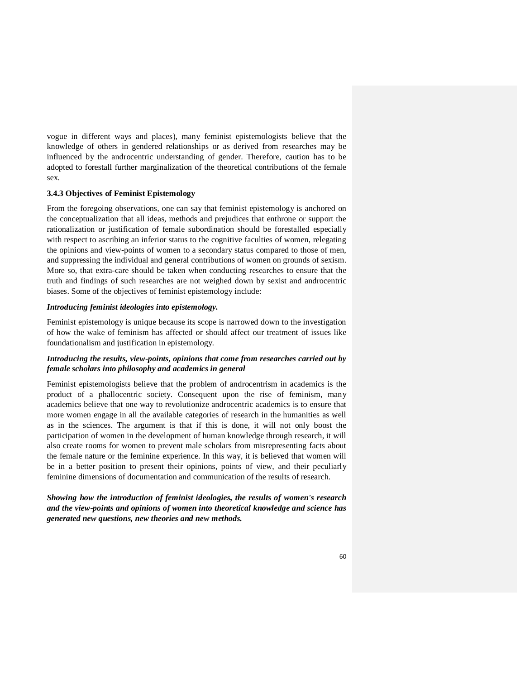vogue in different ways and places), many feminist epistemologists believe that the knowledge of others in gendered relationships or as derived from researches may be influenced by the androcentric understanding of gender. Therefore, caution has to be adopted to forestall further marginalization of the theoretical contributions of the female sex.

### **3.4.3 Objectives of Feminist Epistemology**

From the foregoing observations, one can say that feminist epistemology is anchored on the conceptualization that all ideas, methods and prejudices that enthrone or support the rationalization or justification of female subordination should be forestalled especially with respect to ascribing an inferior status to the cognitive faculties of women, relegating the opinions and view-points of women to a secondary status compared to those of men, and suppressing the individual and general contributions of women on grounds of sexism. More so, that extra-care should be taken when conducting researches to ensure that the truth and findings of such researches are not weighed down by sexist and androcentric biases. Some of the objectives of feminist epistemology include:

#### *Introducing feminist ideologies into epistemology.*

Feminist epistemology is unique because its scope is narrowed down to the investigation of how the wake of feminism has affected or should affect our treatment of issues like foundationalism and justification in epistemology.

## *Introducing the results, view-points, opinions that come from researches carried out by female scholars into philosophy and academics in general*

Feminist epistemologists believe that the problem of androcentrism in academics is the product of a phallocentric society. Consequent upon the rise of feminism, many academics believe that one way to revolutionize androcentric academics is to ensure that more women engage in all the available categories of research in the humanities as well as in the sciences. The argument is that if this is done, it will not only boost the participation of women in the development of human knowledge through research, it will also create rooms for women to prevent male scholars from misrepresenting facts about the female nature or the feminine experience. In this way, it is believed that women will be in a better position to present their opinions, points of view, and their peculiarly feminine dimensions of documentation and communication of the results of research.

*Showing how the introduction of feminist ideologies, the results of women's research and the view-points and opinions of women into theoretical knowledge and science has generated new questions, new theories and new methods.*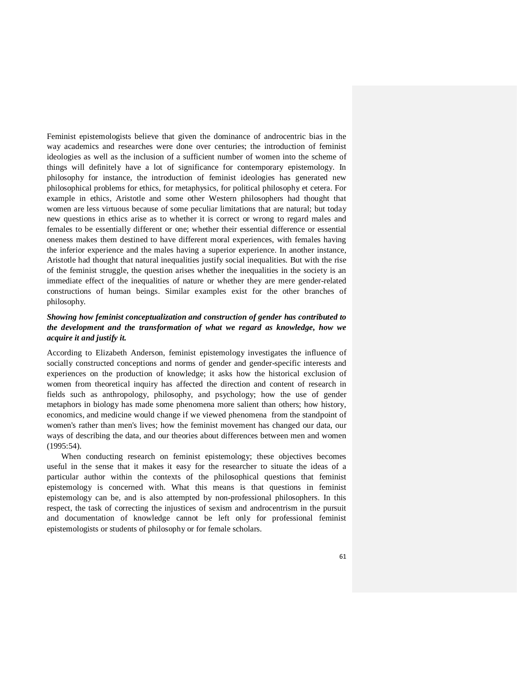Feminist epistemologists believe that given the dominance of androcentric bias in the way academics and researches were done over centuries; the introduction of feminist ideologies as well as the inclusion of a sufficient number of women into the scheme of things will definitely have a lot of significance for contemporary epistemology. In philosophy for instance, the introduction of feminist ideologies has generated new philosophical problems for ethics, for metaphysics, for political philosophy et cetera. For example in ethics, Aristotle and some other Western philosophers had thought that women are less virtuous because of some peculiar limitations that are natural; but today new questions in ethics arise as to whether it is correct or wrong to regard males and females to be essentially different or one; whether their essential difference or essential oneness makes them destined to have different moral experiences, with females having the inferior experience and the males having a superior experience. In another instance, Aristotle had thought that natural inequalities justify social inequalities. But with the rise of the feminist struggle, the question arises whether the inequalities in the society is an immediate effect of the inequalities of nature or whether they are mere gender-related constructions of human beings. Similar examples exist for the other branches of philosophy.

# *Showing how feminist conceptualization and construction of gender has contributed to the development and the transformation of what we regard as knowledge, how we acquire it and justify it.*

According to Elizabeth Anderson, feminist epistemology investigates the influence of socially constructed conceptions and norms of gender and gender-specific interests and experiences on the production of knowledge; it asks how the historical exclusion of women from theoretical inquiry has affected the direction and content of research in fields such as anthropology, philosophy, and psychology; how the use of gender metaphors in biology has made some phenomena more salient than others; how history, economics, and medicine would change if we viewed phenomena from the standpoint of women's rather than men's lives; how the feminist movement has changed our data, our ways of describing the data, and our theories about differences between men and women (1995:54).

 When conducting research on feminist epistemology; these objectives becomes useful in the sense that it makes it easy for the researcher to situate the ideas of a particular author within the contexts of the philosophical questions that feminist epistemology is concerned with. What this means is that questions in feminist epistemology can be, and is also attempted by non-professional philosophers. In this respect, the task of correcting the injustices of sexism and androcentrism in the pursuit and documentation of knowledge cannot be left only for professional feminist epistemologists or students of philosophy or for female scholars.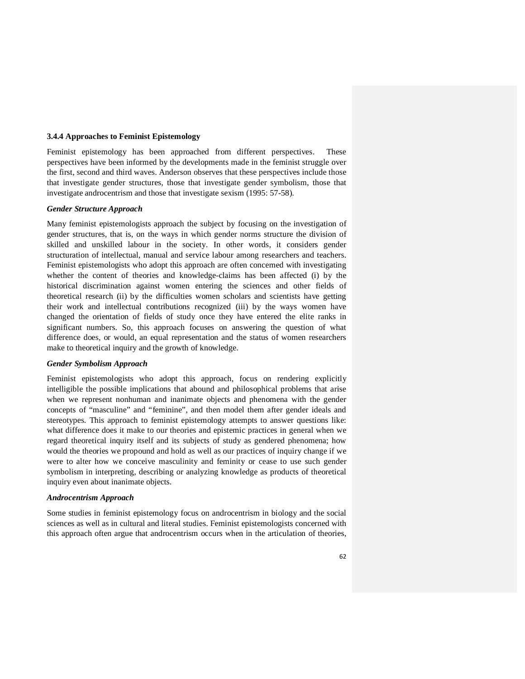### **3.4.4 Approaches to Feminist Epistemology**

Feminist epistemology has been approached from different perspectives. perspectives have been informed by the developments made in the feminist struggle over the first, second and third waves. Anderson observes that these perspectives include those that investigate gender structures, those that investigate gender symbolism, those that investigate androcentrism and those that investigate sexism (1995: 57-58).

### *Gender Structure Approach*

Many feminist epistemologists approach the subject by focusing on the investigation of gender structures, that is, on the ways in which gender norms structure the division of skilled and unskilled labour in the society. In other words, it considers gender structuration of intellectual, manual and service labour among researchers and teachers. Feminist epistemologists who adopt this approach are often concerned with investigating whether the content of theories and knowledge-claims has been affected (i) by the historical discrimination against women entering the sciences and other fields of theoretical research (ii) by the difficulties women scholars and scientists have getting their work and intellectual contributions recognized (iii) by the ways women have changed the orientation of fields of study once they have entered the elite ranks in significant numbers. So, this approach focuses on answering the question of what difference does, or would, an equal representation and the status of women researchers make to theoretical inquiry and the growth of knowledge.

#### *Gender Symbolism Approach*

Feminist epistemologists who adopt this approach, focus on rendering explicitly intelligible the possible implications that abound and philosophical problems that arise when we represent nonhuman and inanimate objects and phenomena with the gender concepts of "masculine" and "feminine", and then model them after gender ideals and stereotypes. This approach to feminist epistemology attempts to answer questions like: what difference does it make to our theories and epistemic practices in general when we regard theoretical inquiry itself and its subjects of study as gendered phenomena; how would the theories we propound and hold as well as our practices of inquiry change if we were to alter how we conceive masculinity and feminity or cease to use such gender symbolism in interpreting, describing or analyzing knowledge as products of theoretical inquiry even about inanimate objects.

### *Androcentrism Approach*

Some studies in feminist epistemology focus on androcentrism in biology and the social sciences as well as in cultural and literal studies. Feminist epistemologists concerned with this approach often argue that androcentrism occurs when in the articulation of theories,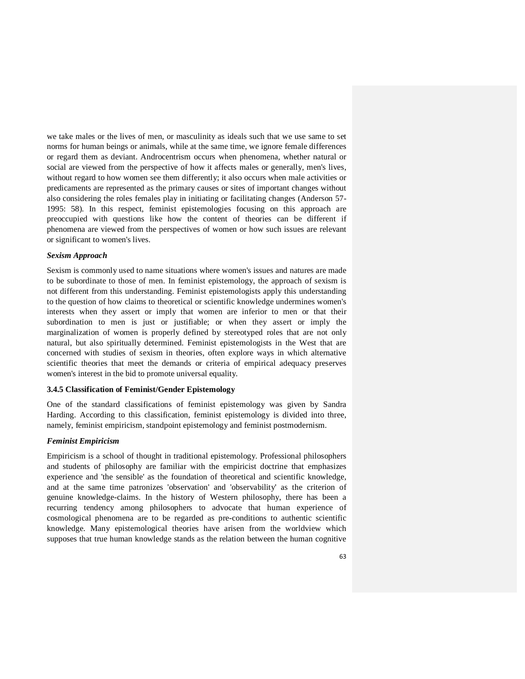we take males or the lives of men, or masculinity as ideals such that we use same to set norms for human beings or animals, while at the same time, we ignore female differences or regard them as deviant. Androcentrism occurs when phenomena, whether natural or social are viewed from the perspective of how it affects males or generally, men's lives, without regard to how women see them differently; it also occurs when male activities or predicaments are represented as the primary causes or sites of important changes without also considering the roles females play in initiating or facilitating changes (Anderson 57- 1995: 58). In this respect, feminist epistemologies focusing on this approach are preoccupied with questions like how the content of theories can be different if phenomena are viewed from the perspectives of women or how such issues are relevant or significant to women's lives.

### *Sexism Approach*

Sexism is commonly used to name situations where women's issues and natures are made to be subordinate to those of men. In feminist epistemology, the approach of sexism is not different from this understanding. Feminist epistemologists apply this understanding to the question of how claims to theoretical or scientific knowledge undermines women's interests when they assert or imply that women are inferior to men or that their subordination to men is just or justifiable; or when they assert or imply the marginalization of women is properly defined by stereotyped roles that are not only natural, but also spiritually determined. Feminist epistemologists in the West that are concerned with studies of sexism in theories, often explore ways in which alternative scientific theories that meet the demands or criteria of empirical adequacy preserves women's interest in the bid to promote universal equality.

### **3.4.5 Classification of Feminist/Gender Epistemology**

One of the standard classifications of feminist epistemology was given by Sandra Harding. According to this classification, feminist epistemology is divided into three, namely, feminist empiricism, standpoint epistemology and feminist postmodernism.

### *Feminist Empiricism*

Empiricism is a school of thought in traditional epistemology. Professional philosophers and students of philosophy are familiar with the empiricist doctrine that emphasizes experience and 'the sensible' as the foundation of theoretical and scientific knowledge, and at the same time patronizes 'observation' and 'observability' as the criterion of genuine knowledge-claims. In the history of Western philosophy, there has been a recurring tendency among philosophers to advocate that human experience of cosmological phenomena are to be regarded as pre-conditions to authentic scientific knowledge. Many epistemological theories have arisen from the worldview which supposes that true human knowledge stands as the relation between the human cognitive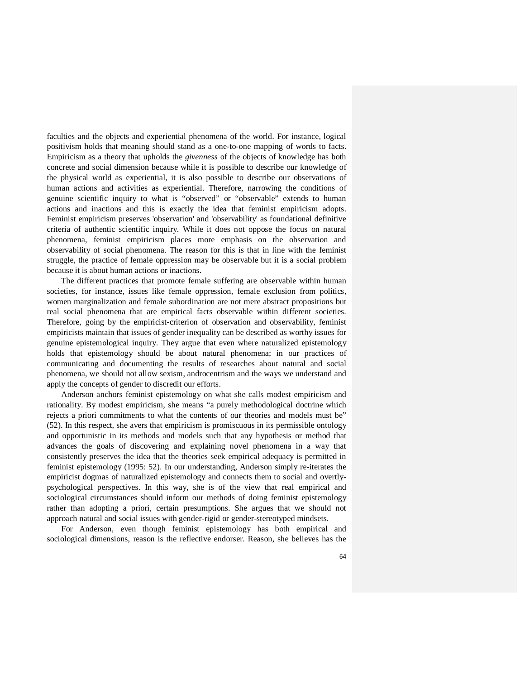faculties and the objects and experiential phenomena of the world. For instance, logical positivism holds that meaning should stand as a one-to-one mapping of words to facts. Empiricism as a theory that upholds the *givenness* of the objects of knowledge has both concrete and social dimension because while it is possible to describe our knowledge of the physical world as experiential, it is also possible to describe our observations of human actions and activities as experiential. Therefore, narrowing the conditions of genuine scientific inquiry to what is "observed" or "observable" extends to human actions and inactions and this is exactly the idea that feminist empiricism adopts. Feminist empiricism preserves 'observation' and 'observability' as foundational definitive criteria of authentic scientific inquiry. While it does not oppose the focus on natural phenomena, feminist empiricism places more emphasis on the observation and observability of social phenomena. The reason for this is that in line with the feminist struggle, the practice of female oppression may be observable but it is a social problem because it is about human actions or inactions.

 The different practices that promote female suffering are observable within human societies, for instance, issues like female oppression, female exclusion from politics, women marginalization and female subordination are not mere abstract propositions but real social phenomena that are empirical facts observable within different societies. Therefore, going by the empiricist-criterion of observation and observability, feminist empiricists maintain that issues of gender inequality can be described as worthy issues for genuine epistemological inquiry. They argue that even where naturalized epistemology holds that epistemology should be about natural phenomena; in our practices of communicating and documenting the results of researches about natural and social phenomena, we should not allow sexism, androcentrism and the ways we understand and apply the concepts of gender to discredit our efforts.

 Anderson anchors feminist epistemology on what she calls modest empiricism and rationality. By modest empiricism, she means "a purely methodological doctrine which rejects a priori commitments to what the contents of our theories and models must be" (52). In this respect, she avers that empiricism is promiscuous in its permissible ontology and opportunistic in its methods and models such that any hypothesis or method that advances the goals of discovering and explaining novel phenomena in a way that consistently preserves the idea that the theories seek empirical adequacy is permitted in feminist epistemology (1995: 52). In our understanding, Anderson simply re-iterates the empiricist dogmas of naturalized epistemology and connects them to social and overtlypsychological perspectives. In this way, she is of the view that real empirical and sociological circumstances should inform our methods of doing feminist epistemology rather than adopting a priori, certain presumptions. She argues that we should not approach natural and social issues with gender-rigid or gender-stereotyped mindsets.

 For Anderson, even though feminist epistemology has both empirical and sociological dimensions, reason is the reflective endorser. Reason, she believes has the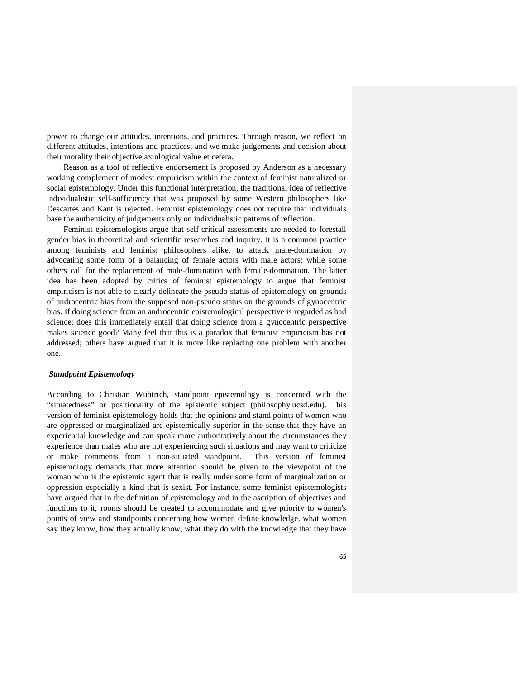power to change our attitudes, intentions, and practices. Through reason, we reflect on different attitudes, intentions and practices; and we make judgements and decision about their morality their objective axiological value et cetera.

 Reason as a tool of reflective endorsement is proposed by Anderson as a necessary working complement of modest empiricism within the context of feminist naturalized or social epistemology. Under this functional interpretation, the traditional idea of reflective individualistic self-sufficiency that was proposed by some Western philosophers like Descartes and Kant is rejected. Feminist epistemology does not require that individuals base the authenticity of judgements only on individualistic patterns of reflection.

 Feminist epistemologists argue that self-critical assessments are needed to forestall gender bias in theoretical and scientific researches and inquiry. It is a common practice among feminists and feminist philosophers alike, to attack male-domination by advocating some form of a balancing of female actors with male actors; while some others call for the replacement of male-domination with female-domination. The latter idea has been adopted by critics of feminist epistemology to argue that feminist empiricism is not able to clearly delineate the pseudo-status of epistemology on grounds of androcentric bias from the supposed non-pseudo status on the grounds of gynocentric bias. If doing science from an androcentric epistemological perspective is regarded as bad science; does this immediately entail that doing science from a gynocentric perspective makes science good? Many feel that this is a paradox that feminist empiricism has not addressed; others have argued that it is more like replacing one problem with another one.

#### *Standpoint Epistemology*

According to Christian Wühtrich, standpoint epistemology is concerned with the "situatedness" or positionality of the epistemic subject (philosophy.ucsd.edu). This version of feminist epistemology holds that the opinions and stand points of women who are oppressed or marginalized are epistemically superior in the sense that they have an experiential knowledge and can speak more authoritatively about the circumstances they experience than males who are not experiencing such situations and may want to criticize or make comments from a non-situated standpoint. This version of feminist epistemology demands that more attention should be given to the viewpoint of the woman who is the epistemic agent that is really under some form of marginalization or oppression especially a kind that is sexist. For instance, some feminist epistemologists have argued that in the definition of epistemology and in the ascription of objectives and functions to it, rooms should be created to accommodate and give priority to women's points of view and standpoints concerning how women define knowledge, what women say they know, how they actually know, what they do with the knowledge that they have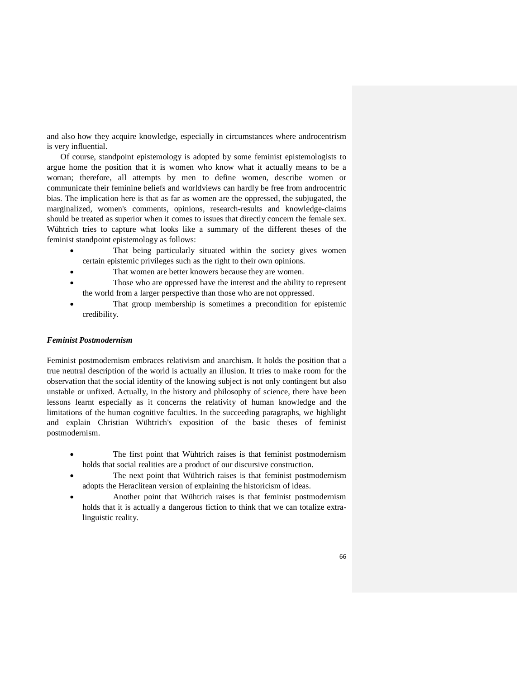and also how they acquire knowledge, especially in circumstances where androcentrism is very influential.

Of course, standpoint epistemology is adopted by some feminist epistemologists to argue home the position that it is women who know what it actually means to be a woman; therefore, all attempts by men to define women, describe women or communicate their feminine beliefs and worldviews can hardly be free from androcentric bias. The implication here is that as far as women are the oppressed, the subjugated, the marginalized, women's comments, opinions, research-results and knowledge-claims should be treated as superior when it comes to issues that directly concern the female sex. Wühtrich tries to capture what looks like a summary of the different theses of the feminist standpoint epistemology as follows:

- That being particularly situated within the society gives women certain epistemic privileges such as the right to their own opinions.
- That women are better knowers because they are women.
- Those who are oppressed have the interest and the ability to represent the world from a larger perspective than those who are not oppressed.
- That group membership is sometimes a precondition for epistemic credibility.

## *Feminist Postmodernism*

Feminist postmodernism embraces relativism and anarchism. It holds the position that a true neutral description of the world is actually an illusion. It tries to make room for the observation that the social identity of the knowing subject is not only contingent but also unstable or unfixed. Actually, in the history and philosophy of science, there have been lessons learnt especially as it concerns the relativity of human knowledge and the limitations of the human cognitive faculties. In the succeeding paragraphs, we highlight and explain Christian Wühtrich's exposition of the basic theses of feminist postmodernism.

- The first point that Wühtrich raises is that feminist postmodernism holds that social realities are a product of our discursive construction.
- The next point that Wühtrich raises is that feminist postmodernism adopts the Heraclitean version of explaining the historicism of ideas.
- Another point that Wühtrich raises is that feminist postmodernism holds that it is actually a dangerous fiction to think that we can totalize extralinguistic reality.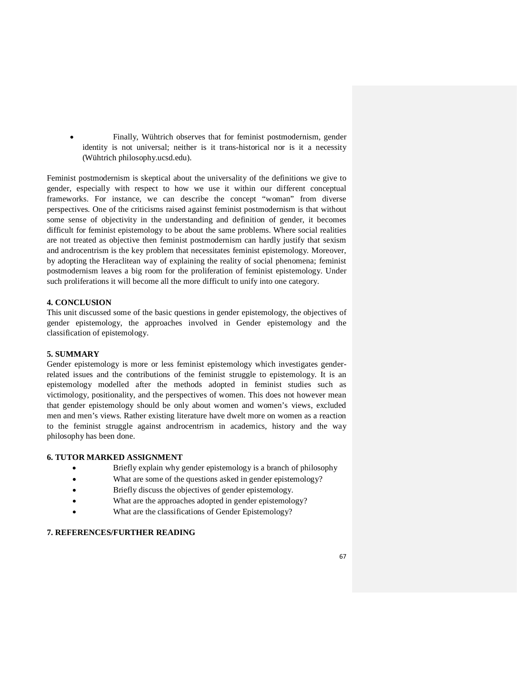Finally, Wühtrich observes that for feminist postmodernism, gender identity is not universal; neither is it trans-historical nor is it a necessity (Wühtrich philosophy.ucsd.edu).

Feminist postmodernism is skeptical about the universality of the definitions we give to gender, especially with respect to how we use it within our different conceptual frameworks. For instance, we can describe the concept "woman" from diverse perspectives. One of the criticisms raised against feminist postmodernism is that without some sense of objectivity in the understanding and definition of gender, it becomes difficult for feminist epistemology to be about the same problems. Where social realities are not treated as objective then feminist postmodernism can hardly justify that sexism and androcentrism is the key problem that necessitates feminist epistemology. Moreover, by adopting the Heraclitean way of explaining the reality of social phenomena; feminist postmodernism leaves a big room for the proliferation of feminist epistemology. Under such proliferations it will become all the more difficult to unify into one category.

## **4. CONCLUSION**

This unit discussed some of the basic questions in gender epistemology, the objectives of gender epistemology, the approaches involved in Gender epistemology and the classification of epistemology.

## **5. SUMMARY**

Gender epistemology is more or less feminist epistemology which investigates genderrelated issues and the contributions of the feminist struggle to epistemology. It is an epistemology modelled after the methods adopted in feminist studies such as victimology, positionality, and the perspectives of women. This does not however mean that gender epistemology should be only about women and women's views, excluded men and men's views. Rather existing literature have dwelt more on women as a reaction to the feminist struggle against androcentrism in academics, history and the way philosophy has been done.

### **6. TUTOR MARKED ASSIGNMENT**

- Briefly explain why gender epistemology is a branch of philosophy
- What are some of the questions asked in gender epistemology?
- Briefly discuss the objectives of gender epistemology.
- What are the approaches adopted in gender epistemology?
- What are the classifications of Gender Epistemology?

# **7. REFERENCES/FURTHER READING**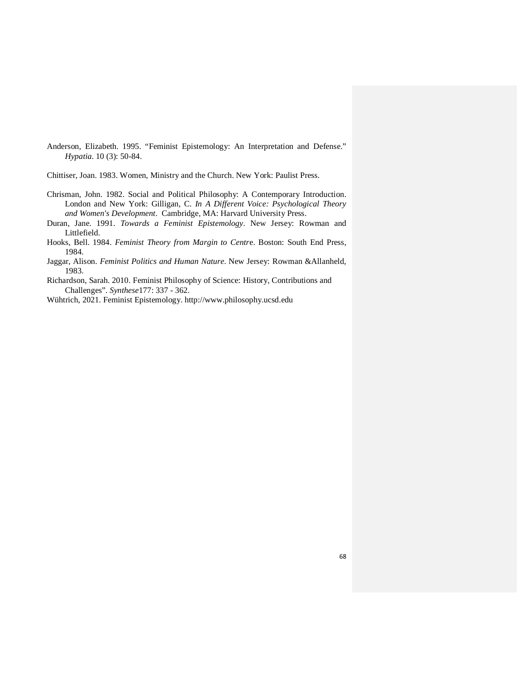- Anderson, Elizabeth. 1995. "Feminist Epistemology: An Interpretation and Defense." *Hypatia*. 10 (3): 50-84.
- Chittiser, Joan. 1983. Women, Ministry and the Church. New York: Paulist Press.
- Chrisman, John. 1982. Social and Political Philosophy: A Contemporary Introduction. London and New York: Gilligan, C. *In A Different Voice: Psychological Theory and Women's Development*. Cambridge, MA: Harvard University Press.
- Duran, Jane. 1991. *Towards a Feminist Epistemology*. New Jersey: Rowman and Littlefield.
- Hooks, Bell. 1984. *Feminist Theory from Margin to Centr*e. Boston: South End Press, 1984.
- Jaggar, Alison. *Feminist Politics and Human Nature*. New Jersey: Rowman &Allanheld, 1983.
- Richardson, Sarah. 2010. Feminist Philosophy of Science: History, Contributions and Challenges". *Synthese*177: 337 - 362.
- Wühtrich, 2021. Feminist Epistemology. http://www.philosophy.ucsd.edu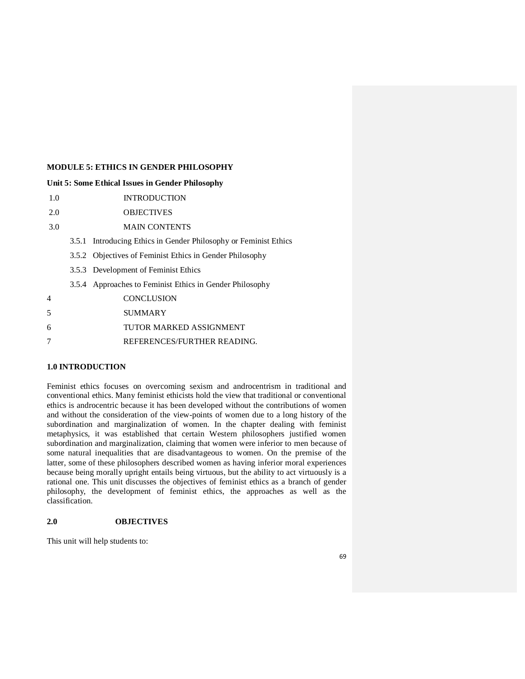## **MODULE 5: ETHICS IN GENDER PHILOSOPHY**

### **Unit 5: Some Ethical Issues in Gender Philosophy**

- 1.0 INTRODUCTION
- 2.0 OBJECTIVES
- 3.0 MAIN CONTENTS
	- 3.5.1 Introducing Ethics in Gender Philosophy or Feminist Ethics
	- 3.5.2 Objectives of Feminist Ethics in Gender Philosophy
	- 3.5.3 Development of Feminist Ethics
	- 3.5.4 Approaches to Feminist Ethics in Gender Philosophy
- 4 CONCLUSION 5 SUMMARY 6 TUTOR MARKED ASSIGNMENT 7 REFERENCES/FURTHER READING.

## **1.0 INTRODUCTION**

Feminist ethics focuses on overcoming sexism and androcentrism in traditional and conventional ethics. Many feminist ethicists hold the view that traditional or conventional ethics is androcentric because it has been developed without the contributions of women and without the consideration of the view-points of women due to a long history of the subordination and marginalization of women. In the chapter dealing with feminist metaphysics, it was established that certain Western philosophers justified women subordination and marginalization, claiming that women were inferior to men because of some natural inequalities that are disadvantageous to women. On the premise of the latter, some of these philosophers described women as having inferior moral experiences because being morally upright entails being virtuous, but the ability to act virtuously is a rational one. This unit discusses the objectives of feminist ethics as a branch of gender philosophy, the development of feminist ethics, the approaches as well as the classification.

## **2.0 OBJECTIVES**

This unit will help students to: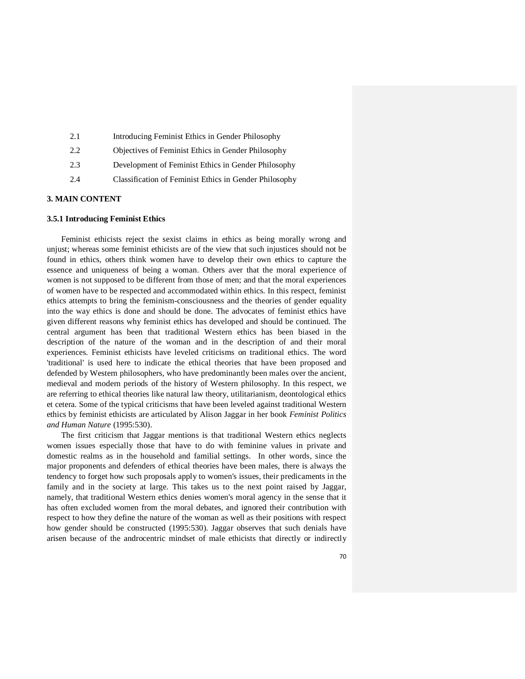| 2.1 | Introducing Feminist Ethics in Gender Philosophy       |
|-----|--------------------------------------------------------|
| 2.2 | Objectives of Feminist Ethics in Gender Philosophy     |
| 2.3 | Development of Feminist Ethics in Gender Philosophy    |
| 2.4 | Classification of Feminist Ethics in Gender Philosophy |
|     |                                                        |

### **3. MAIN CONTENT**

#### **3.5.1 Introducing Feminist Ethics**

 Feminist ethicists reject the sexist claims in ethics as being morally wrong and unjust; whereas some feminist ethicists are of the view that such injustices should not be found in ethics, others think women have to develop their own ethics to capture the essence and uniqueness of being a woman. Others aver that the moral experience of women is not supposed to be different from those of men; and that the moral experiences of women have to be respected and accommodated within ethics. In this respect, feminist ethics attempts to bring the feminism-consciousness and the theories of gender equality into the way ethics is done and should be done. The advocates of feminist ethics have given different reasons why feminist ethics has developed and should be continued. The central argument has been that traditional Western ethics has been biased in the description of the nature of the woman and in the description of and their moral experiences. Feminist ethicists have leveled criticisms on traditional ethics. The word 'traditional' is used here to indicate the ethical theories that have been proposed and defended by Western philosophers, who have predominantly been males over the ancient, medieval and modern periods of the history of Western philosophy. In this respect, we are referring to ethical theories like natural law theory, utilitarianism, deontological ethics et cetera. Some of the typical criticisms that have been leveled against traditional Western ethics by feminist ethicists are articulated by Alison Jaggar in her book *Feminist Politics and Human Nature* (1995:530).

 The first criticism that Jaggar mentions is that traditional Western ethics neglects women issues especially those that have to do with feminine values in private and domestic realms as in the household and familial settings. In other words, since the major proponents and defenders of ethical theories have been males, there is always the tendency to forget how such proposals apply to women's issues, their predicaments in the family and in the society at large. This takes us to the next point raised by Jaggar, namely, that traditional Western ethics denies women's moral agency in the sense that it has often excluded women from the moral debates, and ignored their contribution with respect to how they define the nature of the woman as well as their positions with respect how gender should be constructed (1995:530). Jaggar observes that such denials have arisen because of the androcentric mindset of male ethicists that directly or indirectly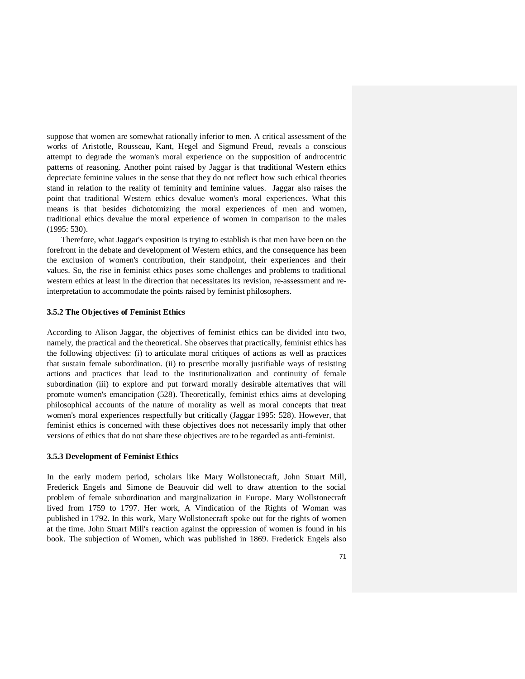suppose that women are somewhat rationally inferior to men. A critical assessment of the works of Aristotle, Rousseau, Kant, Hegel and Sigmund Freud, reveals a conscious attempt to degrade the woman's moral experience on the supposition of androcentric patterns of reasoning. Another point raised by Jaggar is that traditional Western ethics depreciate feminine values in the sense that they do not reflect how such ethical theories stand in relation to the reality of feminity and feminine values. Jaggar also raises the point that traditional Western ethics devalue women's moral experiences. What this means is that besides dichotomizing the moral experiences of men and women, traditional ethics devalue the moral experience of women in comparison to the males (1995: 530).

 Therefore, what Jaggar's exposition is trying to establish is that men have been on the forefront in the debate and development of Western ethics, and the consequence has been the exclusion of women's contribution, their standpoint, their experiences and their values. So, the rise in feminist ethics poses some challenges and problems to traditional western ethics at least in the direction that necessitates its revision, re-assessment and reinterpretation to accommodate the points raised by feminist philosophers.

#### **3.5.2 The Objectives of Feminist Ethics**

According to Alison Jaggar, the objectives of feminist ethics can be divided into two, namely, the practical and the theoretical. She observes that practically, feminist ethics has the following objectives: (i) to articulate moral critiques of actions as well as practices that sustain female subordination. (ii) to prescribe morally justifiable ways of resisting actions and practices that lead to the institutionalization and continuity of female subordination (iii) to explore and put forward morally desirable alternatives that will promote women's emancipation (528). Theoretically, feminist ethics aims at developing philosophical accounts of the nature of morality as well as moral concepts that treat women's moral experiences respectfully but critically (Jaggar 1995: 528). However, that feminist ethics is concerned with these objectives does not necessarily imply that other versions of ethics that do not share these objectives are to be regarded as anti-feminist.

### **3.5.3 Development of Feminist Ethics**

In the early modern period, scholars like Mary Wollstonecraft, John Stuart Mill, Frederick Engels and Simone de Beauvoir did well to draw attention to the social problem of female subordination and marginalization in Europe. Mary Wollstonecraft lived from 1759 to 1797. Her work, A Vindication of the Rights of Woman was published in 1792. In this work, Mary Wollstonecraft spoke out for the rights of women at the time. John Stuart Mill's reaction against the oppression of women is found in his book. The subjection of Women, which was published in 1869. Frederick Engels also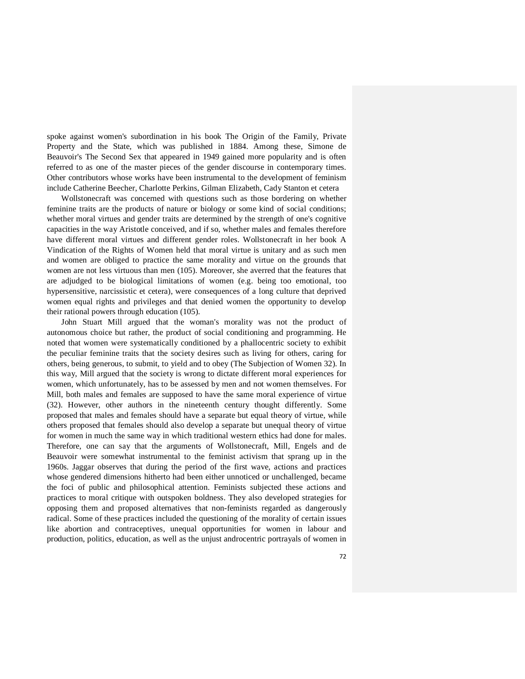spoke against women's subordination in his book The Origin of the Family, Private Property and the State, which was published in 1884. Among these, Simone de Beauvoir's The Second Sex that appeared in 1949 gained more popularity and is often referred to as one of the master pieces of the gender discourse in contemporary times. Other contributors whose works have been instrumental to the development of feminism include Catherine Beecher, Charlotte Perkins, Gilman Elizabeth, Cady Stanton et cetera

 Wollstonecraft was concerned with questions such as those bordering on whether feminine traits are the products of nature or biology or some kind of social conditions; whether moral virtues and gender traits are determined by the strength of one's cognitive capacities in the way Aristotle conceived, and if so, whether males and females therefore have different moral virtues and different gender roles. Wollstonecraft in her book A Vindication of the Rights of Women held that moral virtue is unitary and as such men and women are obliged to practice the same morality and virtue on the grounds that women are not less virtuous than men (105). Moreover, she averred that the features that are adjudged to be biological limitations of women (e.g. being too emotional, too hypersensitive, narcissistic et cetera), were consequences of a long culture that deprived women equal rights and privileges and that denied women the opportunity to develop their rational powers through education (105).

 John Stuart Mill argued that the woman's morality was not the product of autonomous choice but rather, the product of social conditioning and programming. He noted that women were systematically conditioned by a phallocentric society to exhibit the peculiar feminine traits that the society desires such as living for others, caring for others, being generous, to submit, to yield and to obey (The Subjection of Women 32). In this way, Mill argued that the society is wrong to dictate different moral experiences for women, which unfortunately, has to be assessed by men and not women themselves. For Mill, both males and females are supposed to have the same moral experience of virtue (32). However, other authors in the nineteenth century thought differently. Some proposed that males and females should have a separate but equal theory of virtue, while others proposed that females should also develop a separate but unequal theory of virtue for women in much the same way in which traditional western ethics had done for males. Therefore, one can say that the arguments of Wollstonecraft, Mill, Engels and de Beauvoir were somewhat instrumental to the feminist activism that sprang up in the 1960s. Jaggar observes that during the period of the first wave, actions and practices whose gendered dimensions hitherto had been either unnoticed or unchallenged, became the foci of public and philosophical attention. Feminists subjected these actions and practices to moral critique with outspoken boldness. They also developed strategies for opposing them and proposed alternatives that non-feminists regarded as dangerously radical. Some of these practices included the questioning of the morality of certain issues like abortion and contraceptives, unequal opportunities for women in labour and production, politics, education, as well as the unjust androcentric portrayals of women in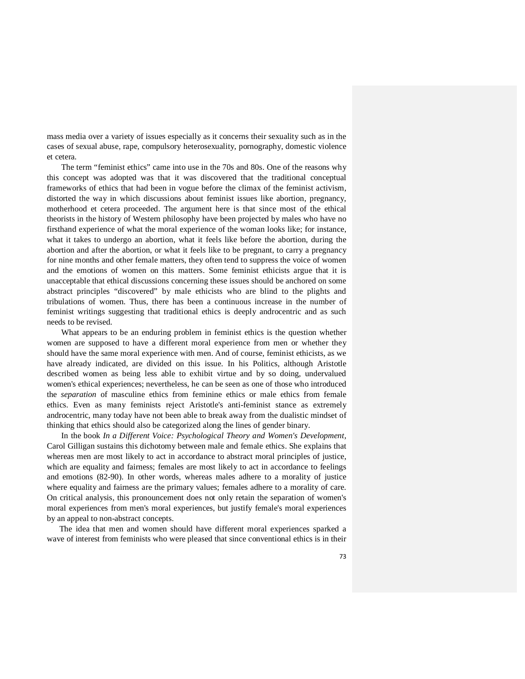mass media over a variety of issues especially as it concerns their sexuality such as in the cases of sexual abuse, rape, compulsory heterosexuality, pornography, domestic violence et cetera.

 The term "feminist ethics" came into use in the 70s and 80s. One of the reasons why this concept was adopted was that it was discovered that the traditional conceptual frameworks of ethics that had been in vogue before the climax of the feminist activism, distorted the way in which discussions about feminist issues like abortion, pregnancy, motherhood et cetera proceeded. The argument here is that since most of the ethical theorists in the history of Western philosophy have been projected by males who have no firsthand experience of what the moral experience of the woman looks like; for instance, what it takes to undergo an abortion, what it feels like before the abortion, during the abortion and after the abortion, or what it feels like to be pregnant, to carry a pregnancy for nine months and other female matters, they often tend to suppress the voice of women and the emotions of women on this matters. Some feminist ethicists argue that it is unacceptable that ethical discussions concerning these issues should be anchored on some abstract principles "discovered" by male ethicists who are blind to the plights and tribulations of women. Thus, there has been a continuous increase in the number of feminist writings suggesting that traditional ethics is deeply androcentric and as such needs to be revised.

 What appears to be an enduring problem in feminist ethics is the question whether women are supposed to have a different moral experience from men or whether they should have the same moral experience with men. And of course, feminist ethicists, as we have already indicated, are divided on this issue. In his Politics, although Aristotle described women as being less able to exhibit virtue and by so doing, undervalued women's ethical experiences; nevertheless, he can be seen as one of those who introduced the *separation* of masculine ethics from feminine ethics or male ethics from female ethics. Even as many feminists reject Aristotle's anti-feminist stance as extremely androcentric, many today have not been able to break away from the dualistic mindset of thinking that ethics should also be categorized along the lines of gender binary.

 In the book *In a Different Voice: Psychological Theory and Women's Development,*  Carol Gilligan sustains this dichotomy between male and female ethics. She explains that whereas men are most likely to act in accordance to abstract moral principles of justice, which are equality and fairness; females are most likely to act in accordance to feelings and emotions (82-90). In other words, whereas males adhere to a morality of justice where equality and fairness are the primary values; females adhere to a morality of care. On critical analysis, this pronouncement does not only retain the separation of women's moral experiences from men's moral experiences, but justify female's moral experiences by an appeal to non-abstract concepts.

 The idea that men and women should have different moral experiences sparked a wave of interest from feminists who were pleased that since conventional ethics is in their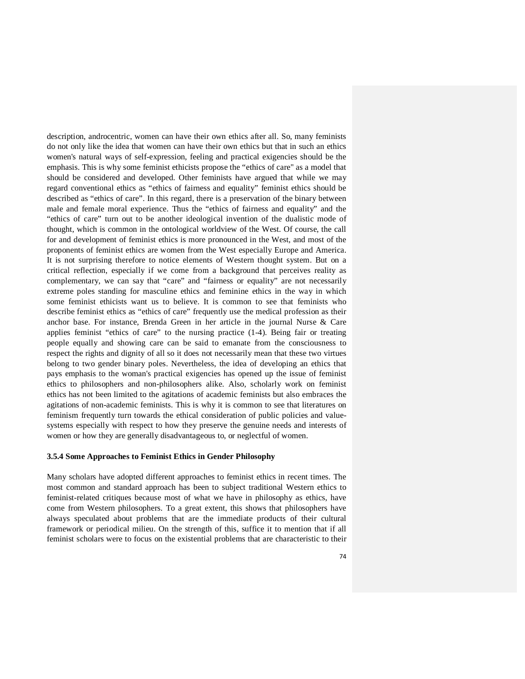description, androcentric, women can have their own ethics after all. So, many feminists do not only like the idea that women can have their own ethics but that in such an ethics women's natural ways of self-expression, feeling and practical exigencies should be the emphasis. This is why some feminist ethicists propose the "ethics of care" as a model that should be considered and developed. Other feminists have argued that while we may regard conventional ethics as "ethics of fairness and equality" feminist ethics should be described as "ethics of care". In this regard, there is a preservation of the binary between male and female moral experience. Thus the "ethics of fairness and equality" and the "ethics of care" turn out to be another ideological invention of the dualistic mode of thought, which is common in the ontological worldview of the West. Of course, the call for and development of feminist ethics is more pronounced in the West, and most of the proponents of feminist ethics are women from the West especially Europe and America. It is not surprising therefore to notice elements of Western thought system. But on a critical reflection, especially if we come from a background that perceives reality as complementary, we can say that "care" and "fairness or equality" are not necessarily extreme poles standing for masculine ethics and feminine ethics in the way in which some feminist ethicists want us to believe. It is common to see that feminists who describe feminist ethics as "ethics of care" frequently use the medical profession as their anchor base. For instance, Brenda Green in her article in the journal Nurse & Care applies feminist "ethics of care" to the nursing practice (1-4). Being fair or treating people equally and showing care can be said to emanate from the consciousness to respect the rights and dignity of all so it does not necessarily mean that these two virtues belong to two gender binary poles. Nevertheless, the idea of developing an ethics that pays emphasis to the woman's practical exigencies has opened up the issue of feminist ethics to philosophers and non-philosophers alike. Also, scholarly work on feminist ethics has not been limited to the agitations of academic feminists but also embraces the agitations of non-academic feminists. This is why it is common to see that literatures on feminism frequently turn towards the ethical consideration of public policies and valuesystems especially with respect to how they preserve the genuine needs and interests of women or how they are generally disadvantageous to, or neglectful of women.

### **3.5.4 Some Approaches to Feminist Ethics in Gender Philosophy**

Many scholars have adopted different approaches to feminist ethics in recent times. The most common and standard approach has been to subject traditional Western ethics to feminist-related critiques because most of what we have in philosophy as ethics, have come from Western philosophers. To a great extent, this shows that philosophers have always speculated about problems that are the immediate products of their cultural framework or periodical milieu. On the strength of this, suffice it to mention that if all feminist scholars were to focus on the existential problems that are characteristic to their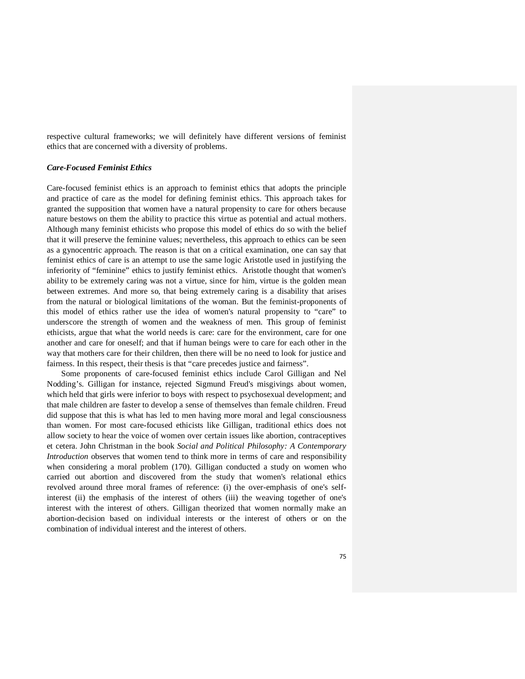respective cultural frameworks; we will definitely have different versions of feminist ethics that are concerned with a diversity of problems.

## *Care-Focused Feminist Ethics*

Care-focused feminist ethics is an approach to feminist ethics that adopts the principle and practice of care as the model for defining feminist ethics. This approach takes for granted the supposition that women have a natural propensity to care for others because nature bestows on them the ability to practice this virtue as potential and actual mothers. Although many feminist ethicists who propose this model of ethics do so with the belief that it will preserve the feminine values; nevertheless, this approach to ethics can be seen as a gynocentric approach. The reason is that on a critical examination, one can say that feminist ethics of care is an attempt to use the same logic Aristotle used in justifying the inferiority of "feminine" ethics to justify feminist ethics. Aristotle thought that women's ability to be extremely caring was not a virtue, since for him, virtue is the golden mean between extremes. And more so, that being extremely caring is a disability that arises from the natural or biological limitations of the woman. But the feminist-proponents of this model of ethics rather use the idea of women's natural propensity to "care" to underscore the strength of women and the weakness of men. This group of feminist ethicists, argue that what the world needs is care: care for the environment, care for one another and care for oneself; and that if human beings were to care for each other in the way that mothers care for their children, then there will be no need to look for justice and fairness. In this respect, their thesis is that "care precedes justice and fairness".

 Some proponents of care-focused feminist ethics include Carol Gilligan and Nel Nodding's. Gilligan for instance, rejected Sigmund Freud's misgivings about women, which held that girls were inferior to boys with respect to psychosexual development; and that male children are faster to develop a sense of themselves than female children. Freud did suppose that this is what has led to men having more moral and legal consciousness than women. For most care-focused ethicists like Gilligan, traditional ethics does not allow society to hear the voice of women over certain issues like abortion, contraceptives et cetera. John Christman in the book *Social and Political Philosophy: A Contemporary Introduction* observes that women tend to think more in terms of care and responsibility when considering a moral problem (170). Gilligan conducted a study on women who carried out abortion and discovered from the study that women's relational ethics revolved around three moral frames of reference: (i) the over-emphasis of one's selfinterest (ii) the emphasis of the interest of others (iii) the weaving together of one's interest with the interest of others. Gilligan theorized that women normally make an abortion-decision based on individual interests or the interest of others or on the combination of individual interest and the interest of others.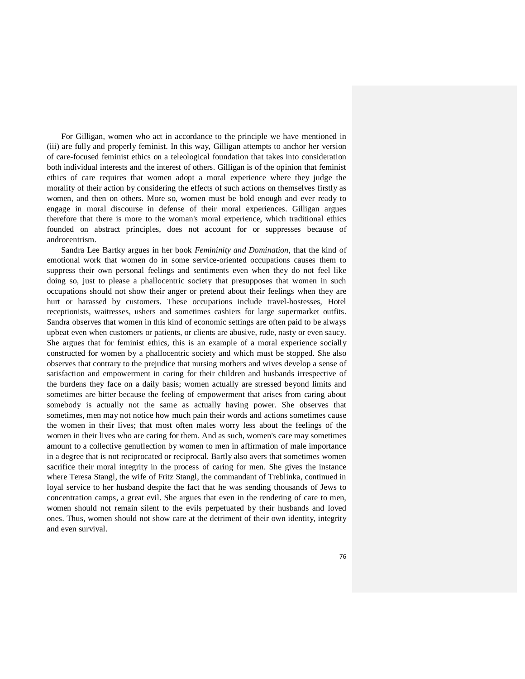For Gilligan, women who act in accordance to the principle we have mentioned in (iii) are fully and properly feminist. In this way, Gilligan attempts to anchor her version of care-focused feminist ethics on a teleological foundation that takes into consideration both individual interests and the interest of others. Gilligan is of the opinion that feminist ethics of care requires that women adopt a moral experience where they judge the morality of their action by considering the effects of such actions on themselves firstly as women, and then on others. More so, women must be bold enough and ever ready to engage in moral discourse in defense of their moral experiences. Gilligan argues therefore that there is more to the woman's moral experience, which traditional ethics founded on abstract principles, does not account for or suppresses because of androcentrism.

 Sandra Lee Bartky argues in her book *Femininity and Domination*, that the kind of emotional work that women do in some service-oriented occupations causes them to suppress their own personal feelings and sentiments even when they do not feel like doing so, just to please a phallocentric society that presupposes that women in such occupations should not show their anger or pretend about their feelings when they are hurt or harassed by customers. These occupations include travel-hostesses, Hotel receptionists, waitresses, ushers and sometimes cashiers for large supermarket outfits. Sandra observes that women in this kind of economic settings are often paid to be always upbeat even when customers or patients, or clients are abusive, rude, nasty or even saucy. She argues that for feminist ethics, this is an example of a moral experience socially constructed for women by a phallocentric society and which must be stopped. She also observes that contrary to the prejudice that nursing mothers and wives develop a sense of satisfaction and empowerment in caring for their children and husbands irrespective of the burdens they face on a daily basis; women actually are stressed beyond limits and sometimes are bitter because the feeling of empowerment that arises from caring about somebody is actually not the same as actually having power. She observes that sometimes, men may not notice how much pain their words and actions sometimes cause the women in their lives; that most often males worry less about the feelings of the women in their lives who are caring for them. And as such, women's care may sometimes amount to a collective genuflection by women to men in affirmation of male importance in a degree that is not reciprocated or reciprocal. Bartly also avers that sometimes women sacrifice their moral integrity in the process of caring for men. She gives the instance where Teresa Stangl, the wife of Fritz Stangl, the commandant of Treblinka, continued in loyal service to her husband despite the fact that he was sending thousands of Jews to concentration camps, a great evil. She argues that even in the rendering of care to men, women should not remain silent to the evils perpetuated by their husbands and loved ones. Thus, women should not show care at the detriment of their own identity, integrity and even survival.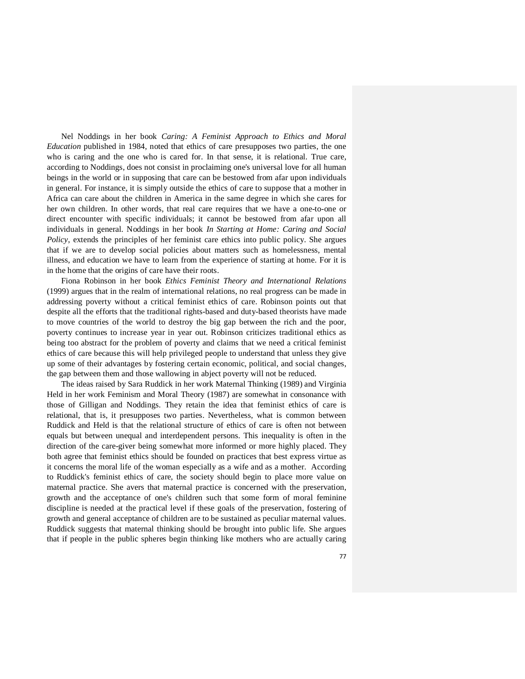Nel Noddings in her book *Caring: A Feminist Approach to Ethics and Moral Education* published in 1984, noted that ethics of care presupposes two parties, the one who is caring and the one who is cared for. In that sense, it is relational. True care, according to Noddings, does not consist in proclaiming one's universal love for all human beings in the world or in supposing that care can be bestowed from afar upon individuals in general. For instance, it is simply outside the ethics of care to suppose that a mother in Africa can care about the children in America in the same degree in which she cares for her own children. In other words, that real care requires that we have a one-to-one or direct encounter with specific individuals; it cannot be bestowed from afar upon all individuals in general. Noddings in her book *In Starting at Home: Caring and Social Policy*, extends the principles of her feminist care ethics into public policy. She argues that if we are to develop social policies about matters such as homelessness, mental illness, and education we have to learn from the experience of starting at home. For it is in the home that the origins of care have their roots.

 Fiona Robinson in her book *Ethics Feminist Theory and International Relations* (1999) argues that in the realm of international relations, no real progress can be made in addressing poverty without a critical feminist ethics of care. Robinson points out that despite all the efforts that the traditional rights-based and duty-based theorists have made to move countries of the world to destroy the big gap between the rich and the poor, poverty continues to increase year in year out. Robinson criticizes traditional ethics as being too abstract for the problem of poverty and claims that we need a critical feminist ethics of care because this will help privileged people to understand that unless they give up some of their advantages by fostering certain economic, political, and social changes, the gap between them and those wallowing in abject poverty will not be reduced.

 The ideas raised by Sara Ruddick in her work Maternal Thinking (1989) and Virginia Held in her work Feminism and Moral Theory (1987) are somewhat in consonance with those of Gilligan and Noddings. They retain the idea that feminist ethics of care is relational, that is, it presupposes two parties. Nevertheless, what is common between Ruddick and Held is that the relational structure of ethics of care is often not between equals but between unequal and interdependent persons. This inequality is often in the direction of the care-giver being somewhat more informed or more highly placed. They both agree that feminist ethics should be founded on practices that best express virtue as it concerns the moral life of the woman especially as a wife and as a mother. According to Ruddick's feminist ethics of care, the society should begin to place more value on maternal practice. She avers that maternal practice is concerned with the preservation, growth and the acceptance of one's children such that some form of moral feminine discipline is needed at the practical level if these goals of the preservation, fostering of growth and general acceptance of children are to be sustained as peculiar maternal values. Ruddick suggests that maternal thinking should be brought into public life. She argues that if people in the public spheres begin thinking like mothers who are actually caring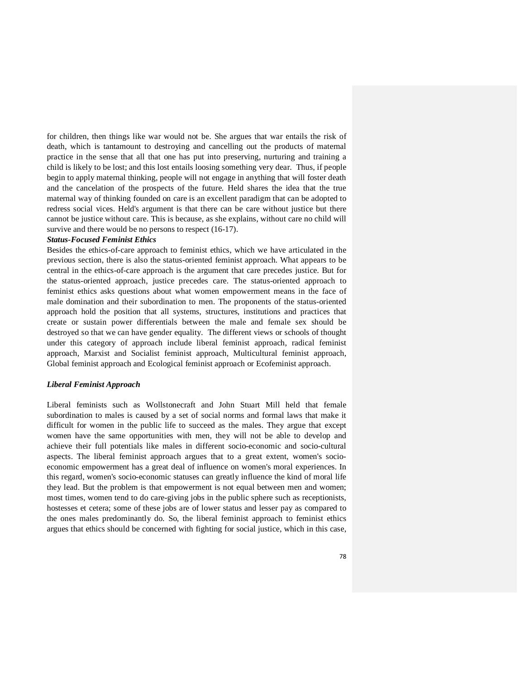for children, then things like war would not be. She argues that war entails the risk of death, which is tantamount to destroying and cancelling out the products of maternal practice in the sense that all that one has put into preserving, nurturing and training a child is likely to be lost; and this lost entails loosing something very dear. Thus, if people begin to apply maternal thinking, people will not engage in anything that will foster death and the cancelation of the prospects of the future. Held shares the idea that the true maternal way of thinking founded on care is an excellent paradigm that can be adopted to redress social vices. Held's argument is that there can be care without justice but there cannot be justice without care. This is because, as she explains, without care no child will survive and there would be no persons to respect  $(16-17)$ .

#### *Status-Focused Feminist Ethics*

Besides the ethics-of-care approach to feminist ethics, which we have articulated in the previous section, there is also the status-oriented feminist approach. What appears to be central in the ethics-of-care approach is the argument that care precedes justice. But for the status-oriented approach, justice precedes care. The status-oriented approach to feminist ethics asks questions about what women empowerment means in the face of male domination and their subordination to men. The proponents of the status-oriented approach hold the position that all systems, structures, institutions and practices that create or sustain power differentials between the male and female sex should be destroyed so that we can have gender equality. The different views or schools of thought under this category of approach include liberal feminist approach, radical feminist approach, Marxist and Socialist feminist approach, Multicultural feminist approach, Global feminist approach and Ecological feminist approach or Ecofeminist approach.

#### *Liberal Feminist Approach*

Liberal feminists such as Wollstonecraft and John Stuart Mill held that female subordination to males is caused by a set of social norms and formal laws that make it difficult for women in the public life to succeed as the males. They argue that except women have the same opportunities with men, they will not be able to develop and achieve their full potentials like males in different socio-economic and socio-cultural aspects. The liberal feminist approach argues that to a great extent, women's socioeconomic empowerment has a great deal of influence on women's moral experiences. In this regard, women's socio-economic statuses can greatly influence the kind of moral life they lead. But the problem is that empowerment is not equal between men and women; most times, women tend to do care-giving jobs in the public sphere such as receptionists, hostesses et cetera; some of these jobs are of lower status and lesser pay as compared to the ones males predominantly do. So, the liberal feminist approach to feminist ethics argues that ethics should be concerned with fighting for social justice, which in this case,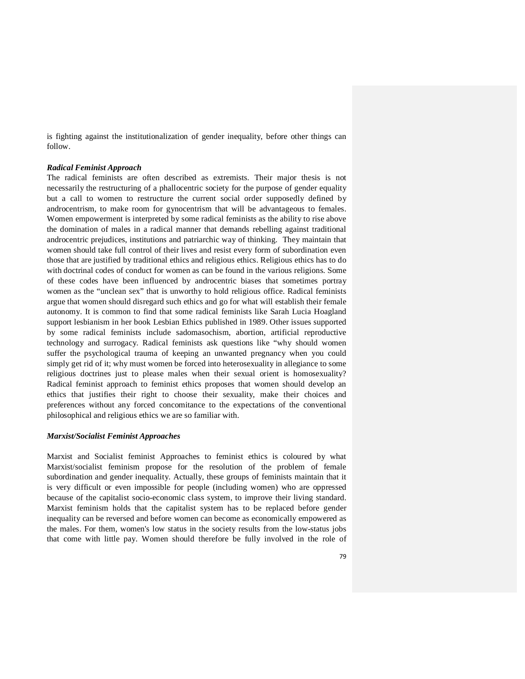is fighting against the institutionalization of gender inequality, before other things can follow.

### *Radical Feminist Approach*

The radical feminists are often described as extremists. Their major thesis is not necessarily the restructuring of a phallocentric society for the purpose of gender equality but a call to women to restructure the current social order supposedly defined by androcentrism, to make room for gynocentrism that will be advantageous to females. Women empowerment is interpreted by some radical feminists as the ability to rise above the domination of males in a radical manner that demands rebelling against traditional androcentric prejudices, institutions and patriarchic way of thinking. They maintain that women should take full control of their lives and resist every form of subordination even those that are justified by traditional ethics and religious ethics. Religious ethics has to do with doctrinal codes of conduct for women as can be found in the various religions. Some of these codes have been influenced by androcentric biases that sometimes portray women as the "unclean sex" that is unworthy to hold religious office. Radical feminists argue that women should disregard such ethics and go for what will establish their female autonomy. It is common to find that some radical feminists like Sarah Lucia Hoagland support lesbianism in her book Lesbian Ethics published in 1989. Other issues supported by some radical feminists include sadomasochism, abortion, artificial reproductive technology and surrogacy. Radical feminists ask questions like "why should women suffer the psychological trauma of keeping an unwanted pregnancy when you could simply get rid of it; why must women be forced into heterosexuality in allegiance to some religious doctrines just to please males when their sexual orient is homosexuality? Radical feminist approach to feminist ethics proposes that women should develop an ethics that justifies their right to choose their sexuality, make their choices and preferences without any forced concomitance to the expectations of the conventional philosophical and religious ethics we are so familiar with.

#### *Marxist/Socialist Feminist Approaches*

Marxist and Socialist feminist Approaches to feminist ethics is coloured by what Marxist/socialist feminism propose for the resolution of the problem of female subordination and gender inequality. Actually, these groups of feminists maintain that it is very difficult or even impossible for people (including women) who are oppressed because of the capitalist socio-economic class system, to improve their living standard. Marxist feminism holds that the capitalist system has to be replaced before gender inequality can be reversed and before women can become as economically empowered as the males. For them, women's low status in the society results from the low-status jobs that come with little pay. Women should therefore be fully involved in the role of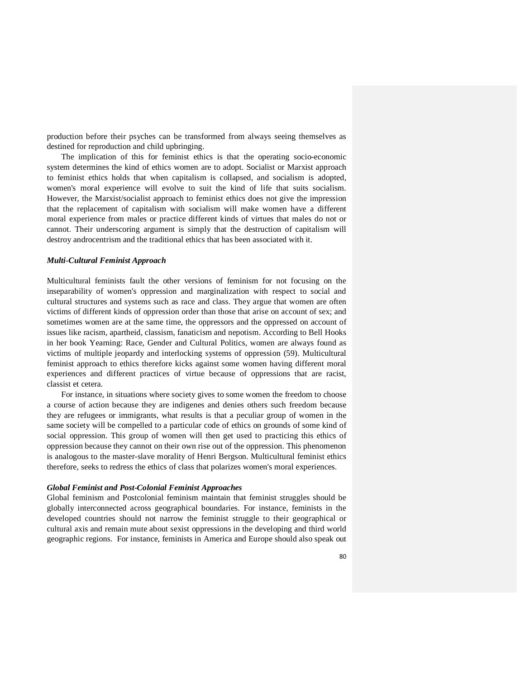production before their psyches can be transformed from always seeing themselves as destined for reproduction and child upbringing.

 The implication of this for feminist ethics is that the operating socio-economic system determines the kind of ethics women are to adopt. Socialist or Marxist approach to feminist ethics holds that when capitalism is collapsed, and socialism is adopted, women's moral experience will evolve to suit the kind of life that suits socialism. However, the Marxist/socialist approach to feminist ethics does not give the impression that the replacement of capitalism with socialism will make women have a different moral experience from males or practice different kinds of virtues that males do not or cannot. Their underscoring argument is simply that the destruction of capitalism will destroy androcentrism and the traditional ethics that has been associated with it.

### *Multi-Cultural Feminist Approach*

Multicultural feminists fault the other versions of feminism for not focusing on the inseparability of women's oppression and marginalization with respect to social and cultural structures and systems such as race and class. They argue that women are often victims of different kinds of oppression order than those that arise on account of sex; and sometimes women are at the same time, the oppressors and the oppressed on account of issues like racism, apartheid, classism, fanaticism and nepotism. According to Bell Hooks in her book Yearning: Race, Gender and Cultural Politics, women are always found as victims of multiple jeopardy and interlocking systems of oppression (59). Multicultural feminist approach to ethics therefore kicks against some women having different moral experiences and different practices of virtue because of oppressions that are racist, classist et cetera.

 For instance, in situations where society gives to some women the freedom to choose a course of action because they are indigenes and denies others such freedom because they are refugees or immigrants, what results is that a peculiar group of women in the same society will be compelled to a particular code of ethics on grounds of some kind of social oppression. This group of women will then get used to practicing this ethics of oppression because they cannot on their own rise out of the oppression. This phenomenon is analogous to the master-slave morality of Henri Bergson. Multicultural feminist ethics therefore, seeks to redress the ethics of class that polarizes women's moral experiences.

### *Global Feminist and Post-Colonial Feminist Approaches*

Global feminism and Postcolonial feminism maintain that feminist struggles should be globally interconnected across geographical boundaries. For instance, feminists in the developed countries should not narrow the feminist struggle to their geographical or cultural axis and remain mute about sexist oppressions in the developing and third world geographic regions. For instance, feminists in America and Europe should also speak out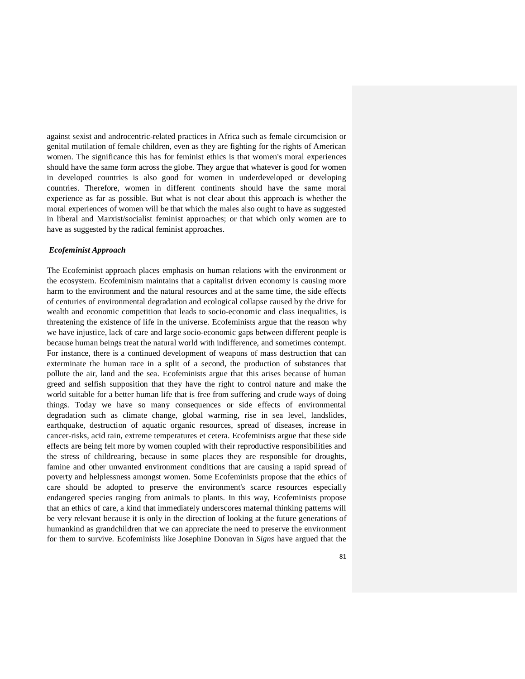against sexist and androcentric-related practices in Africa such as female circumcision or genital mutilation of female children, even as they are fighting for the rights of American women. The significance this has for feminist ethics is that women's moral experiences should have the same form across the globe. They argue that whatever is good for women in developed countries is also good for women in underdeveloped or developing countries. Therefore, women in different continents should have the same moral experience as far as possible. But what is not clear about this approach is whether the moral experiences of women will be that which the males also ought to have as suggested in liberal and Marxist/socialist feminist approaches; or that which only women are to have as suggested by the radical feminist approaches.

### *Ecofeminist Approach*

The Ecofeminist approach places emphasis on human relations with the environment or the ecosystem. Ecofeminism maintains that a capitalist driven economy is causing more harm to the environment and the natural resources and at the same time, the side effects of centuries of environmental degradation and ecological collapse caused by the drive for wealth and economic competition that leads to socio-economic and class inequalities, is threatening the existence of life in the universe. Ecofeminists argue that the reason why we have injustice, lack of care and large socio-economic gaps between different people is because human beings treat the natural world with indifference, and sometimes contempt. For instance, there is a continued development of weapons of mass destruction that can exterminate the human race in a split of a second, the production of substances that pollute the air, land and the sea. Ecofeminists argue that this arises because of human greed and selfish supposition that they have the right to control nature and make the world suitable for a better human life that is free from suffering and crude ways of doing things. Today we have so many consequences or side effects of environmental degradation such as climate change, global warming, rise in sea level, landslides, earthquake, destruction of aquatic organic resources, spread of diseases, increase in cancer-risks, acid rain, extreme temperatures et cetera. Ecofeminists argue that these side effects are being felt more by women coupled with their reproductive responsibilities and the stress of childrearing, because in some places they are responsible for droughts, famine and other unwanted environment conditions that are causing a rapid spread of poverty and helplessness amongst women. Some Ecofeminists propose that the ethics of care should be adopted to preserve the environment's scarce resources especially endangered species ranging from animals to plants. In this way, Ecofeminists propose that an ethics of care, a kind that immediately underscores maternal thinking patterns will be very relevant because it is only in the direction of looking at the future generations of humankind as grandchildren that we can appreciate the need to preserve the environment for them to survive. Ecofeminists like Josephine Donovan in *Signs* have argued that the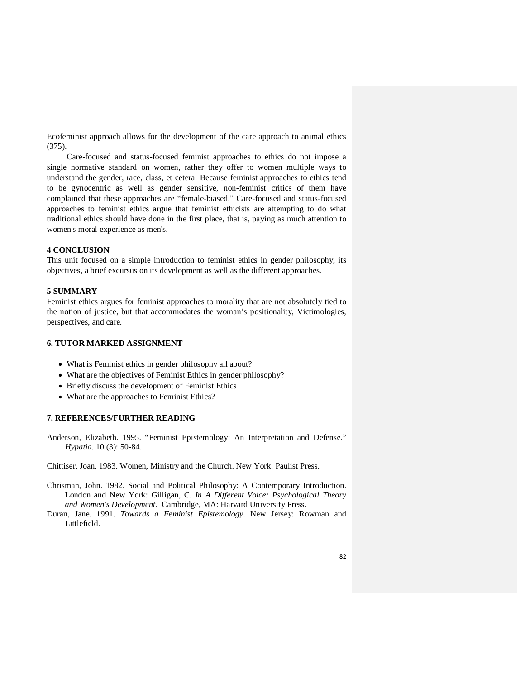Ecofeminist approach allows for the development of the care approach to animal ethics (375).

 Care-focused and status-focused feminist approaches to ethics do not impose a single normative standard on women, rather they offer to women multiple ways to understand the gender, race, class, et cetera. Because feminist approaches to ethics tend to be gynocentric as well as gender sensitive, non-feminist critics of them have complained that these approaches are "female-biased." Care-focused and status-focused approaches to feminist ethics argue that feminist ethicists are attempting to do what traditional ethics should have done in the first place, that is, paying as much attention to women's moral experience as men's.

## **4 CONCLUSION**

This unit focused on a simple introduction to feminist ethics in gender philosophy, its objectives, a brief excursus on its development as well as the different approaches.

## **5 SUMMARY**

Feminist ethics argues for feminist approaches to morality that are not absolutely tied to the notion of justice, but that accommodates the woman's positionality, Victimologies, perspectives, and care.

## **6. TUTOR MARKED ASSIGNMENT**

- What is Feminist ethics in gender philosophy all about?
- What are the objectives of Feminist Ethics in gender philosophy?
- Briefly discuss the development of Feminist Ethics
- What are the approaches to Feminist Ethics?

# **7. REFERENCES/FURTHER READING**

Anderson, Elizabeth. 1995. "Feminist Epistemology: An Interpretation and Defense." *Hypatia*. 10 (3): 50-84.

Chittiser, Joan. 1983. Women, Ministry and the Church. New York: Paulist Press.

- Chrisman, John. 1982. Social and Political Philosophy: A Contemporary Introduction. London and New York: Gilligan, C. *In A Different Voice: Psychological Theory and Women's Development*. Cambridge, MA: Harvard University Press.
- Duran, Jane. 1991. *Towards a Feminist Epistemology*. New Jersey: Rowman and Littlefield.